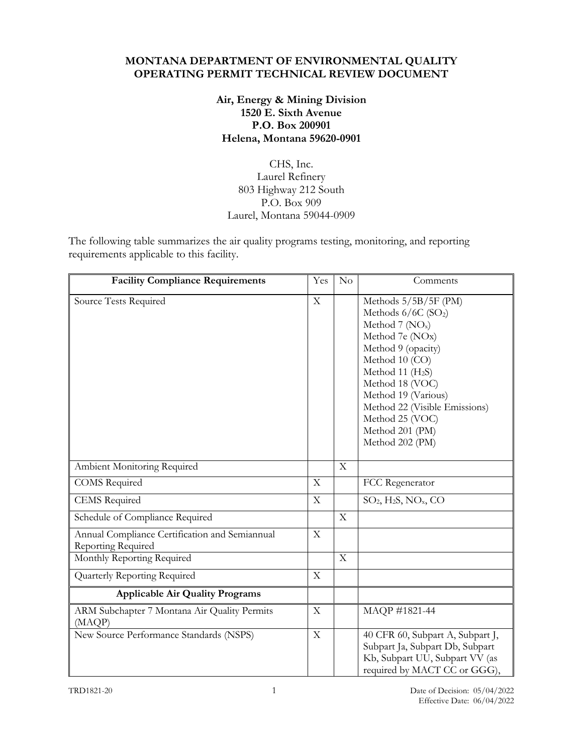#### **MONTANA DEPARTMENT OF ENVIRONMENTAL QUALITY OPERATING PERMIT TECHNICAL REVIEW DOCUMENT**

### **Air, Energy & Mining Division 1520 E. Sixth Avenue P.O. Box 200901 Helena, Montana 59620-0901**

## CHS, Inc. Laurel Refinery 803 Highway 212 South P.O. Box 909 Laurel, Montana 59044-0909

The following table summarizes the air quality programs testing, monitoring, and reporting requirements applicable to this facility.

| <b>Facility Compliance Requirements</b>                              | Yes                       | No                        | Comments                                                                                                                                                                                                                                                                                          |
|----------------------------------------------------------------------|---------------------------|---------------------------|---------------------------------------------------------------------------------------------------------------------------------------------------------------------------------------------------------------------------------------------------------------------------------------------------|
| Source Tests Required                                                | $\mathbf X$               |                           | Methods 5/5B/5F (PM)<br>Methods $6/6C$ (SO <sub>2</sub> )<br>Method $7 (NOx)$<br>Method 7e (NOx)<br>Method 9 (opacity)<br>Method 10 (CO)<br>Method 11 $(H2S)$<br>Method 18 (VOC)<br>Method 19 (Various)<br>Method 22 (Visible Emissions)<br>Method 25 (VOC)<br>Method 201 (PM)<br>Method 202 (PM) |
| Ambient Monitoring Required                                          |                           | $\boldsymbol{\mathrm{X}}$ |                                                                                                                                                                                                                                                                                                   |
| <b>COMS</b> Required                                                 | X                         |                           | FCC Regenerator                                                                                                                                                                                                                                                                                   |
| <b>CEMS</b> Required                                                 | $\boldsymbol{\mathrm{X}}$ |                           | $SO_2$ , H <sub>2</sub> S, NO <sub>x</sub> , CO                                                                                                                                                                                                                                                   |
| Schedule of Compliance Required                                      |                           | $\mathbf X$               |                                                                                                                                                                                                                                                                                                   |
| Annual Compliance Certification and Semiannual<br>Reporting Required | $\mathbf X$               |                           |                                                                                                                                                                                                                                                                                                   |
| Monthly Reporting Required                                           |                           | $\overline{\mathrm{X}}$   |                                                                                                                                                                                                                                                                                                   |
| Quarterly Reporting Required                                         | $\mathbf X$               |                           |                                                                                                                                                                                                                                                                                                   |
| <b>Applicable Air Quality Programs</b>                               |                           |                           |                                                                                                                                                                                                                                                                                                   |
| ARM Subchapter 7 Montana Air Quality Permits<br>(MAQP)               | $\mathbf X$               |                           | MAQP #1821-44                                                                                                                                                                                                                                                                                     |
| New Source Performance Standards (NSPS)                              | $\mathbf X$               |                           | 40 CFR 60, Subpart A, Subpart J,<br>Subpart Ja, Subpart Db, Subpart<br>Kb, Subpart UU, Subpart VV (as<br>required by MACT CC or GGG),                                                                                                                                                             |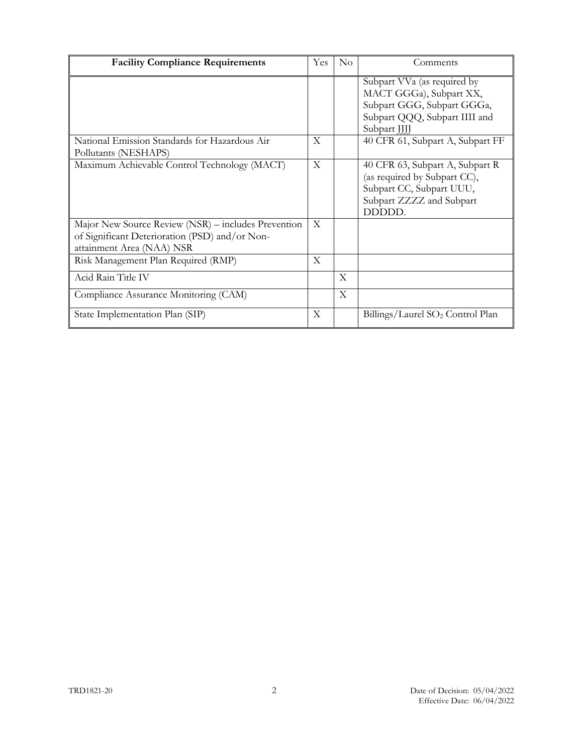| <b>Facility Compliance Requirements</b>                                                                                            | Yes         | $\rm No$ | Comments                                                                                                                              |
|------------------------------------------------------------------------------------------------------------------------------------|-------------|----------|---------------------------------------------------------------------------------------------------------------------------------------|
|                                                                                                                                    |             |          | Subpart VVa (as required by<br>MACT GGGa), Subpart XX,<br>Subpart GGG, Subpart GGGa,<br>Subpart QQQ, Subpart IIII and<br>Subpart JJJJ |
| National Emission Standards for Hazardous Air<br>Pollutants (NESHAPS)                                                              | X           |          | 40 CFR 61, Subpart A, Subpart FF                                                                                                      |
| Maximum Achievable Control Technology (MACT)                                                                                       | $\mathbf X$ |          | 40 CFR 63, Subpart A, Subpart R<br>(as required by Subpart CC),<br>Subpart CC, Subpart UUU,<br>Subpart ZZZZ and Subpart<br>DDDDD.     |
| Major New Source Review (NSR) - includes Prevention<br>of Significant Deterioration (PSD) and/or Non-<br>attainment Area (NAA) NSR | X           |          |                                                                                                                                       |
| Risk Management Plan Required (RMP)                                                                                                | X           |          |                                                                                                                                       |
| Acid Rain Title IV                                                                                                                 |             | X        |                                                                                                                                       |
| Compliance Assurance Monitoring (CAM)                                                                                              |             | X        |                                                                                                                                       |
| State Implementation Plan (SIP)                                                                                                    | X           |          | Billings/Laurel SO <sub>2</sub> Control Plan                                                                                          |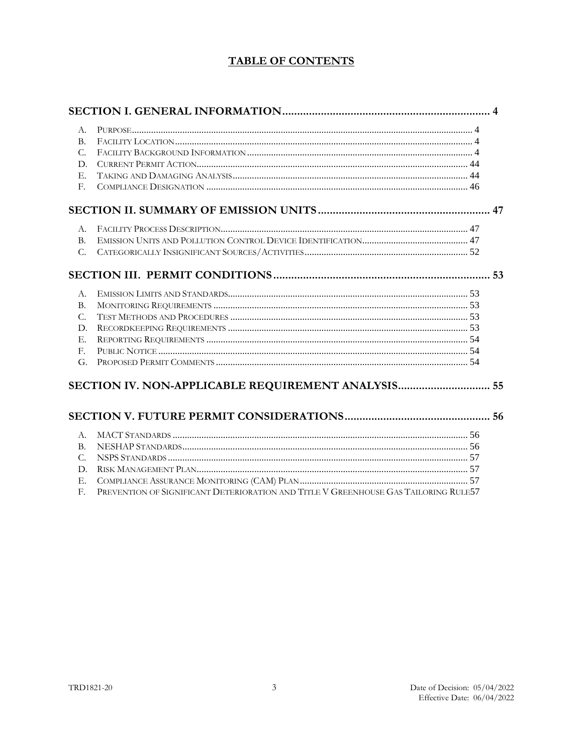## **TABLE OF CONTENTS**

| A.             |                                                    |  |
|----------------|----------------------------------------------------|--|
| B <sub>1</sub> |                                                    |  |
| $C_{\cdot}$    |                                                    |  |
| D.             |                                                    |  |
| $E_{\rm L}$    |                                                    |  |
| $F_{\rm c}$    |                                                    |  |
|                |                                                    |  |
| A.             |                                                    |  |
| <b>B.</b>      |                                                    |  |
| $C$ .          |                                                    |  |
|                |                                                    |  |
| A.             |                                                    |  |
| <b>B.</b>      |                                                    |  |
| $C_{\alpha}$   |                                                    |  |
| D.             |                                                    |  |
| E.             |                                                    |  |
| $F_{\rm r}$    |                                                    |  |
| G.             |                                                    |  |
|                | SECTION IV. NON-APPLICABLE REQUIREMENT ANALYSIS 55 |  |
|                |                                                    |  |
| А.             |                                                    |  |
| <b>B.</b>      |                                                    |  |
| $C_{\alpha}$   |                                                    |  |
| D.             |                                                    |  |
| $E_{\rm L}$    |                                                    |  |

F. PREVENTION OF SIGNIFICANT DETERIORATION AND TITLE V GREENHOUSE GAS TAILORING RULE57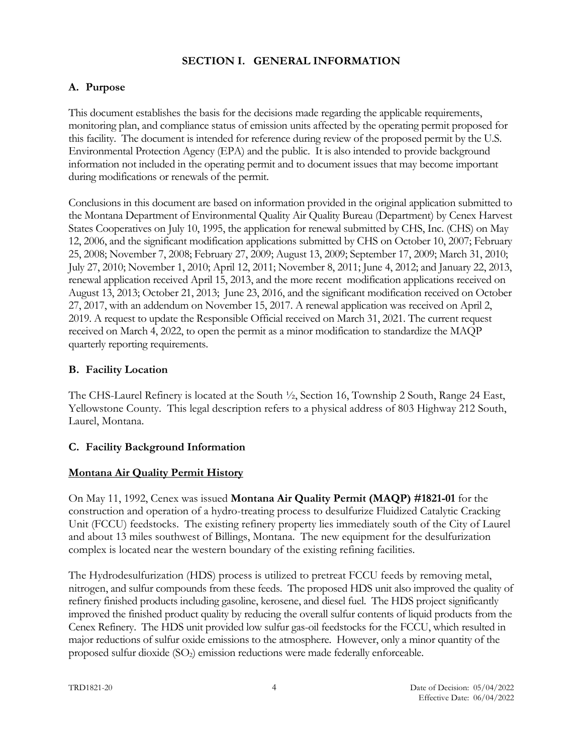#### <span id="page-3-0"></span>**SECTION I. GENERAL INFORMATION**

# <span id="page-3-1"></span>**A. Purpose**

This document establishes the basis for the decisions made regarding the applicable requirements, monitoring plan, and compliance status of emission units affected by the operating permit proposed for this facility. The document is intended for reference during review of the proposed permit by the U.S. Environmental Protection Agency (EPA) and the public. It is also intended to provide background information not included in the operating permit and to document issues that may become important during modifications or renewals of the permit.

Conclusions in this document are based on information provided in the original application submitted to the Montana Department of Environmental Quality Air Quality Bureau (Department) by Cenex Harvest States Cooperatives on July 10, 1995, the application for renewal submitted by CHS, Inc. (CHS) on May 12, 2006, and the significant modification applications submitted by CHS on October 10, 2007; February 25, 2008; November 7, 2008; February 27, 2009; August 13, 2009; September 17, 2009; March 31, 2010; July 27, 2010; November 1, 2010; April 12, 2011; November 8, 2011; June 4, 2012; and January 22, 2013, renewal application received April 15, 2013, and the more recent modification applications received on August 13, 2013; October 21, 2013; June 23, 2016, and the significant modification received on October 27, 2017, with an addendum on November 15, 2017. A renewal application was received on April 2, 2019. A request to update the Responsible Official received on March 31, 2021. The current request received on March 4, 2022, to open the permit as a minor modification to standardize the MAQP quarterly reporting requirements.

#### <span id="page-3-2"></span>**B. Facility Location**

The CHS-Laurel Refinery is located at the South ½, Section 16, Township 2 South, Range 24 East, Yellowstone County. This legal description refers to a physical address of 803 Highway 212 South, Laurel, Montana.

#### <span id="page-3-3"></span>**C. Facility Background Information**

#### **Montana Air Quality Permit History**

On May 11, 1992, Cenex was issued **Montana Air Quality Permit (MAQP) #1821-01** for the construction and operation of a hydro-treating process to desulfurize Fluidized Catalytic Cracking Unit (FCCU) feedstocks. The existing refinery property lies immediately south of the City of Laurel and about 13 miles southwest of Billings, Montana. The new equipment for the desulfurization complex is located near the western boundary of the existing refining facilities.

The Hydrodesulfurization (HDS) process is utilized to pretreat FCCU feeds by removing metal, nitrogen, and sulfur compounds from these feeds. The proposed HDS unit also improved the quality of refinery finished products including gasoline, kerosene, and diesel fuel. The HDS project significantly improved the finished product quality by reducing the overall sulfur contents of liquid products from the Cenex Refinery. The HDS unit provided low sulfur gas-oil feedstocks for the FCCU, which resulted in major reductions of sulfur oxide emissions to the atmosphere. However, only a minor quantity of the proposed sulfur dioxide (SO<sub>2</sub>) emission reductions were made federally enforceable.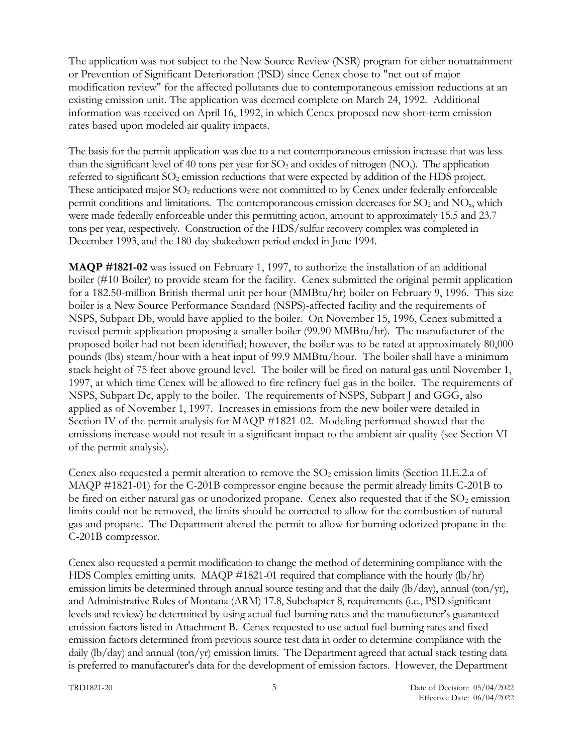The application was not subject to the New Source Review (NSR) program for either nonattainment or Prevention of Significant Deterioration (PSD) since Cenex chose to "net out of major modification review" for the affected pollutants due to contemporaneous emission reductions at an existing emission unit. The application was deemed complete on March 24, 1992. Additional information was received on April 16, 1992, in which Cenex proposed new short-term emission rates based upon modeled air quality impacts.

The basis for the permit application was due to a net contemporaneous emission increase that was less than the significant level of 40 tons per year for  $SO_2$  and oxides of nitrogen  $(NO_x)$ . The application referred to significant  $SO_2$  emission reductions that were expected by addition of the HDS project. These anticipated major  $SO_2$  reductions were not committed to by Cenex under federally enforceable permit conditions and limitations. The contemporaneous emission decreases for  $SO_2$  and  $NO<sub>x</sub>$ , which were made federally enforceable under this permitting action, amount to approximately 15.5 and 23.7 tons per year, respectively. Construction of the HDS/sulfur recovery complex was completed in December 1993, and the 180-day shakedown period ended in June 1994.

**MAQP #1821-02** was issued on February 1, 1997, to authorize the installation of an additional boiler (#10 Boiler) to provide steam for the facility. Cenex submitted the original permit application for a 182.50-million British thermal unit per hour (MMBtu/hr) boiler on February 9, 1996. This size boiler is a New Source Performance Standard (NSPS)-affected facility and the requirements of NSPS, Subpart Db, would have applied to the boiler. On November 15, 1996, Cenex submitted a revised permit application proposing a smaller boiler (99.90 MMBtu/hr). The manufacturer of the proposed boiler had not been identified; however, the boiler was to be rated at approximately 80,000 pounds (lbs) steam/hour with a heat input of 99.9 MMBtu/hour. The boiler shall have a minimum stack height of 75 feet above ground level. The boiler will be fired on natural gas until November 1, 1997, at which time Cenex will be allowed to fire refinery fuel gas in the boiler. The requirements of NSPS, Subpart Dc, apply to the boiler. The requirements of NSPS, Subpart J and GGG, also applied as of November 1, 1997. Increases in emissions from the new boiler were detailed in Section IV of the permit analysis for MAQP #1821-02. Modeling performed showed that the emissions increase would not result in a significant impact to the ambient air quality (see Section VI of the permit analysis).

Cenex also requested a permit alteration to remove the  $SO<sub>2</sub>$  emission limits (Section II.E.2.a of MAQP #1821-01) for the C-201B compressor engine because the permit already limits C-201B to be fired on either natural gas or unodorized propane. Cenex also requested that if the  $SO_2$  emission limits could not be removed, the limits should be corrected to allow for the combustion of natural gas and propane. The Department altered the permit to allow for burning odorized propane in the C-201B compressor.

Cenex also requested a permit modification to change the method of determining compliance with the HDS Complex emitting units. MAQP #1821-01 required that compliance with the hourly (lb/hr) emission limits be determined through annual source testing and that the daily (lb/day), annual (ton/yr), and Administrative Rules of Montana (ARM) 17.8, Subchapter 8, requirements (i.e., PSD significant levels and review) be determined by using actual fuel-burning rates and the manufacturer's guaranteed emission factors listed in Attachment B. Cenex requested to use actual fuel-burning rates and fixed emission factors determined from previous source test data in order to determine compliance with the daily (lb/day) and annual (ton/yr) emission limits. The Department agreed that actual stack testing data is preferred to manufacturer's data for the development of emission factors. However, the Department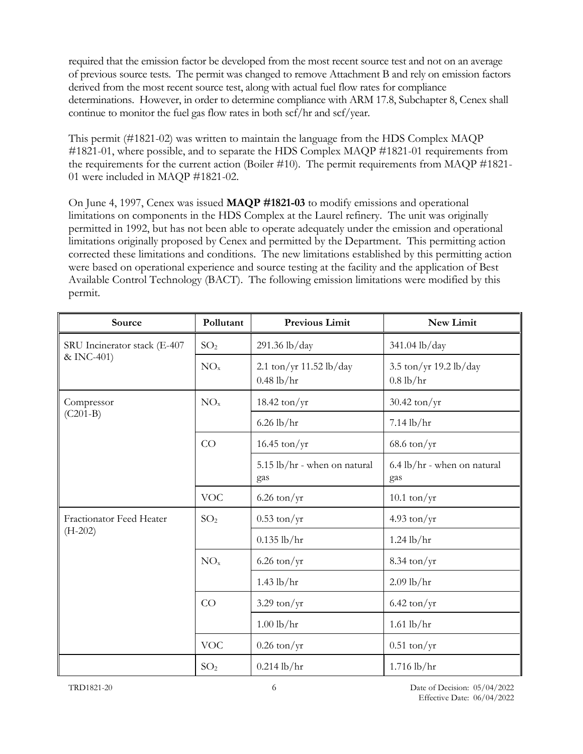required that the emission factor be developed from the most recent source test and not on an average of previous source tests. The permit was changed to remove Attachment B and rely on emission factors derived from the most recent source test, along with actual fuel flow rates for compliance determinations. However, in order to determine compliance with ARM 17.8, Subchapter 8, Cenex shall continue to monitor the fuel gas flow rates in both scf/hr and scf/year.

This permit (#1821-02) was written to maintain the language from the HDS Complex MAQP #1821-01, where possible, and to separate the HDS Complex MAQP #1821-01 requirements from the requirements for the current action (Boiler #10). The permit requirements from MAQP #1821- 01 were included in MAQP #1821-02.

On June 4, 1997, Cenex was issued **MAQP #1821-03** to modify emissions and operational limitations on components in the HDS Complex at the Laurel refinery. The unit was originally permitted in 1992, but has not been able to operate adequately under the emission and operational limitations originally proposed by Cenex and permitted by the Department. This permitting action corrected these limitations and conditions. The new limitations established by this permitting action were based on operational experience and source testing at the facility and the application of Best Available Control Technology (BACT). The following emission limitations were modified by this permit.

| Source                       | Pollutant       | <b>Previous Limit</b>                     | New Limit                             |
|------------------------------|-----------------|-------------------------------------------|---------------------------------------|
| SRU Incinerator stack (E-407 | SO <sub>2</sub> | 291.36 lb/day                             | 341.04 lb/day                         |
| & INC-401)                   | $NO_{x}$        | 2.1 ton/yr $11.52$ lb/day<br>$0.48$ lb/hr | 3.5 ton/yr 19.2 lb/day<br>$0.8$ lb/hr |
| Compressor                   | NO <sub>x</sub> | $18.42 \text{ ton/yr}$                    | $30.42 \text{ ton/yr}$                |
| $(C201-B)$                   |                 | $6.26$ lb/hr                              | $7.14$ lb/hr                          |
|                              | CO              | $16.45 \text{ ton/yr}$                    | $68.6 \text{ ton/yr}$                 |
|                              |                 | 5.15 lb/hr - when on natural<br>gas       | 6.4 lb/hr - when on natural<br>gas    |
|                              | <b>VOC</b>      | $6.26$ ton/yr                             | $10.1 \text{ ton/yr}$                 |
| Fractionator Feed Heater     | SO <sub>2</sub> | $0.53 \text{ ton/yr}$                     | 4.93 ton/ $yr$                        |
| $(H-202)$                    |                 | $0.135$ lb/hr                             | $1.24$ lb/hr                          |
|                              | NO <sub>x</sub> | $6.26 \text{ ton/yr}$                     | $8.34 \text{ ton/yr}$                 |
|                              |                 | $1.43$ lb/hr                              | $2.09$ lb/hr                          |
|                              | CO              | $3.29 \text{ ton/yr}$                     | $6.42 \text{ ton/yr}$                 |
|                              |                 | $1.00$ lb/hr                              | $1.61$ lb/hr                          |
|                              | <b>VOC</b>      | $0.26$ ton/yr                             | $0.51$ ton/yr                         |
|                              | SO <sub>2</sub> | $0.214$ lb/hr                             | 1.716 lb/hr                           |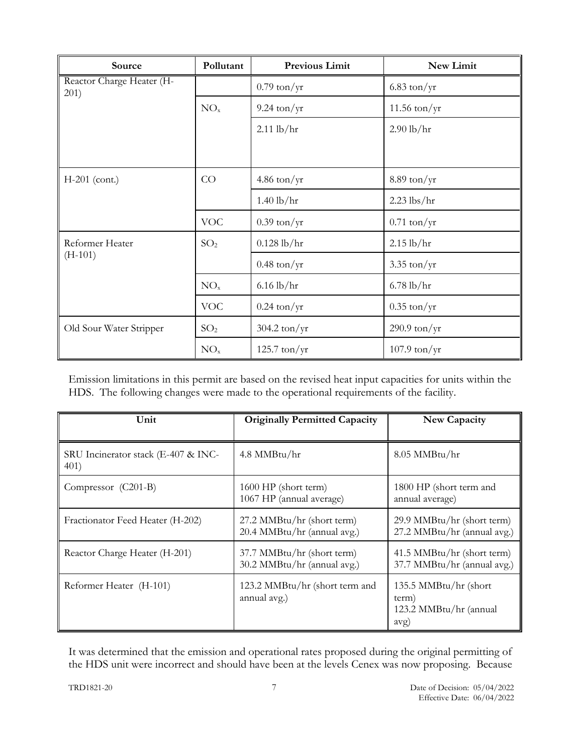| Source                            | Pollutant       | <b>Previous Limit</b>  | New Limit              |
|-----------------------------------|-----------------|------------------------|------------------------|
| Reactor Charge Heater (H-<br>201) |                 | $0.79$ ton/yr          | $6.83 \text{ ton/yr}$  |
|                                   | NO <sub>x</sub> | $9.24 \text{ ton/yr}$  | $11.56$ ton/yr         |
|                                   |                 | $2.11$ lb/hr           | $2.90$ lb/hr           |
|                                   |                 |                        |                        |
| $H-201$ (cont.)                   | CO              | $4.86$ ton/yr          | $8.89 \text{ ton/yr}$  |
|                                   |                 | $1.40$ lb/hr           | $2.23$ lbs/hr          |
|                                   | <b>VOC</b>      | $0.39 \text{ ton/yr}$  | $0.71$ ton/yr          |
| Reformer Heater                   | SO <sub>2</sub> | $0.128$ lb/hr          | $2.15$ lb/hr           |
| $(H-101)$                         |                 | $0.48 \text{ ton/yr}$  | $3.35 \text{ ton/yr}$  |
|                                   | NO <sub>x</sub> | $6.16$ lb/hr           | $6.78$ lb/hr           |
|                                   | <b>VOC</b>      | $0.24 \text{ ton/yr}$  | $0.35 \text{ ton/yr}$  |
| Old Sour Water Stripper           | SO <sub>2</sub> | $304.2 \text{ ton/yr}$ | $290.9 \text{ ton/yr}$ |
|                                   | NO <sub>x</sub> | $125.7 \text{ ton/yr}$ | $107.9 \text{ ton/yr}$ |

Emission limitations in this permit are based on the revised heat input capacities for units within the HDS. The following changes were made to the operational requirements of the facility.

| Unit                                        | <b>Originally Permitted Capacity</b>                      | New Capacity                                                     |
|---------------------------------------------|-----------------------------------------------------------|------------------------------------------------------------------|
| SRU Incinerator stack (E-407 & INC-<br>401) | 4.8 MMBtu/hr                                              | 8.05 MMBtu/hr                                                    |
| Compressor (C201-B)                         | 1600 HP (short term)<br>1067 HP (annual average)          | 1800 HP (short term and<br>annual average)                       |
| Fractionator Feed Heater (H-202)            | 27.2 MMBtu/hr (short term)<br>20.4 MMBtu/hr (annual avg.) | 29.9 MMBtu/hr (short term)<br>27.2 MMBtu/hr (annual avg.)        |
| Reactor Charge Heater (H-201)               | 37.7 MMBtu/hr (short term)<br>30.2 MMBtu/hr (annual avg.) | 41.5 MMBtu/hr (short term)<br>37.7 MMBtu/hr (annual avg.)        |
| Reformer Heater (H-101)                     | 123.2 MMBtu/hr (short term and<br>annual avg.)            | 135.5 MMBtu/hr (short<br>term)<br>123.2 MMBtu/hr (annual<br>avg) |

It was determined that the emission and operational rates proposed during the original permitting of the HDS unit were incorrect and should have been at the levels Cenex was now proposing. Because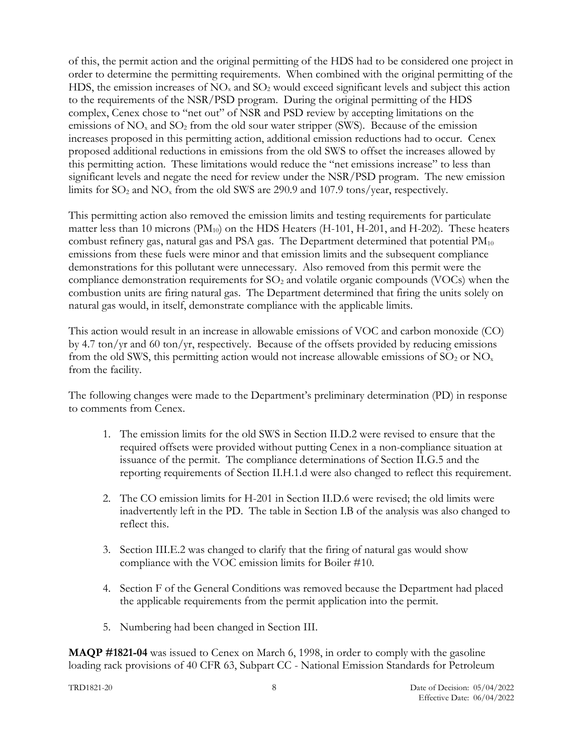of this, the permit action and the original permitting of the HDS had to be considered one project in order to determine the permitting requirements. When combined with the original permitting of the HDS, the emission increases of  $NO<sub>x</sub>$  and  $SO<sub>2</sub>$  would exceed significant levels and subject this action to the requirements of the NSR/PSD program. During the original permitting of the HDS complex, Cenex chose to "net out" of NSR and PSD review by accepting limitations on the emissions of  $NO<sub>x</sub>$  and  $SO<sub>2</sub>$  from the old sour water stripper (SWS). Because of the emission increases proposed in this permitting action, additional emission reductions had to occur. Cenex proposed additional reductions in emissions from the old SWS to offset the increases allowed by this permitting action. These limitations would reduce the "net emissions increase" to less than significant levels and negate the need for review under the NSR/PSD program. The new emission limits for  $SO_2$  and  $NO_x$  from the old SWS are 290.9 and 107.9 tons/year, respectively.

This permitting action also removed the emission limits and testing requirements for particulate matter less than 10 microns (PM<sub>10</sub>) on the HDS Heaters (H-101, H-201, and H-202). These heaters combust refinery gas, natural gas and PSA gas. The Department determined that potential  $PM_{10}$ emissions from these fuels were minor and that emission limits and the subsequent compliance demonstrations for this pollutant were unnecessary. Also removed from this permit were the compliance demonstration requirements for  $SO<sub>2</sub>$  and volatile organic compounds (VOCs) when the combustion units are firing natural gas. The Department determined that firing the units solely on natural gas would, in itself, demonstrate compliance with the applicable limits.

This action would result in an increase in allowable emissions of VOC and carbon monoxide (CO) by 4.7 ton/yr and 60 ton/yr, respectively. Because of the offsets provided by reducing emissions from the old SWS, this permitting action would not increase allowable emissions of  $SO_2$  or  $NO_x$ from the facility.

The following changes were made to the Department's preliminary determination (PD) in response to comments from Cenex.

- 1. The emission limits for the old SWS in Section II.D.2 were revised to ensure that the required offsets were provided without putting Cenex in a non-compliance situation at issuance of the permit. The compliance determinations of Section II.G.5 and the reporting requirements of Section II.H.1.d were also changed to reflect this requirement.
- 2. The CO emission limits for H-201 in Section II.D.6 were revised; the old limits were inadvertently left in the PD. The table in Section I.B of the analysis was also changed to reflect this.
- 3. Section III.E.2 was changed to clarify that the firing of natural gas would show compliance with the VOC emission limits for Boiler #10.
- 4. Section F of the General Conditions was removed because the Department had placed the applicable requirements from the permit application into the permit.
- 5. Numbering had been changed in Section III.

**MAQP #1821-04** was issued to Cenex on March 6, 1998, in order to comply with the gasoline loading rack provisions of 40 CFR 63, Subpart CC - National Emission Standards for Petroleum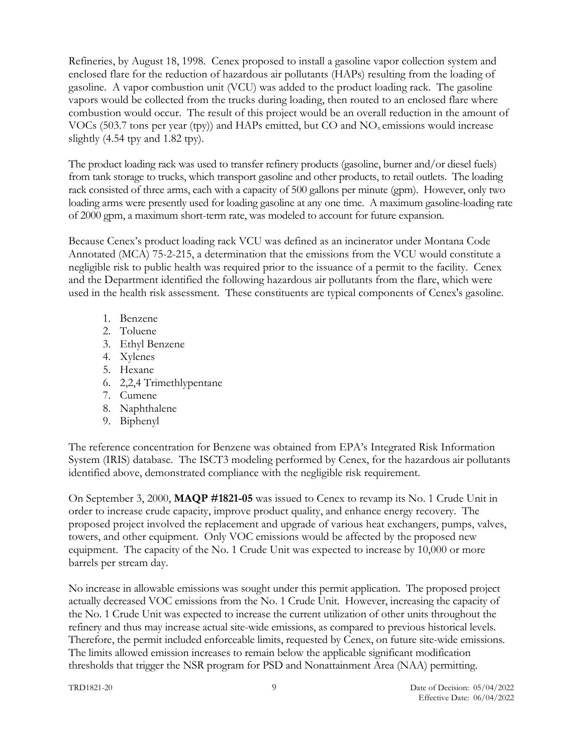Refineries, by August 18, 1998. Cenex proposed to install a gasoline vapor collection system and enclosed flare for the reduction of hazardous air pollutants (HAPs) resulting from the loading of gasoline. A vapor combustion unit (VCU) was added to the product loading rack. The gasoline vapors would be collected from the trucks during loading, then routed to an enclosed flare where combustion would occur. The result of this project would be an overall reduction in the amount of VOCs (503.7 tons per year (tpy)) and HAPs emitted, but  $CO$  and  $NO<sub>x</sub>$  emissions would increase slightly  $(4.54$  tpy and  $1.82$  tpy).

The product loading rack was used to transfer refinery products (gasoline, burner and/or diesel fuels) from tank storage to trucks, which transport gasoline and other products, to retail outlets. The loading rack consisted of three arms, each with a capacity of 500 gallons per minute (gpm). However, only two loading arms were presently used for loading gasoline at any one time. A maximum gasoline-loading rate of 2000 gpm, a maximum short-term rate, was modeled to account for future expansion.

Because Cenex's product loading rack VCU was defined as an incinerator under Montana Code Annotated (MCA) 75-2-215, a determination that the emissions from the VCU would constitute a negligible risk to public health was required prior to the issuance of a permit to the facility. Cenex and the Department identified the following hazardous air pollutants from the flare, which were used in the health risk assessment. These constituents are typical components of Cenex's gasoline.

- 1. Benzene
- 2. Toluene
- 3. Ethyl Benzene
- 4. Xylenes
- 5. Hexane
- 6. 2,2,4 Trimethlypentane
- 7. Cumene
- 8. Naphthalene
- 9. Biphenyl

The reference concentration for Benzene was obtained from EPA's Integrated Risk Information System (IRIS) database. The ISCT3 modeling performed by Cenex, for the hazardous air pollutants identified above, demonstrated compliance with the negligible risk requirement.

On September 3, 2000, **MAQP #1821-05** was issued to Cenex to revamp its No. 1 Crude Unit in order to increase crude capacity, improve product quality, and enhance energy recovery. The proposed project involved the replacement and upgrade of various heat exchangers, pumps, valves, towers, and other equipment. Only VOC emissions would be affected by the proposed new equipment. The capacity of the No. 1 Crude Unit was expected to increase by 10,000 or more barrels per stream day.

No increase in allowable emissions was sought under this permit application. The proposed project actually decreased VOC emissions from the No. 1 Crude Unit. However, increasing the capacity of the No. 1 Crude Unit was expected to increase the current utilization of other units throughout the refinery and thus may increase actual site-wide emissions, as compared to previous historical levels. Therefore, the permit included enforceable limits, requested by Cenex, on future site-wide emissions. The limits allowed emission increases to remain below the applicable significant modification thresholds that trigger the NSR program for PSD and Nonattainment Area (NAA) permitting.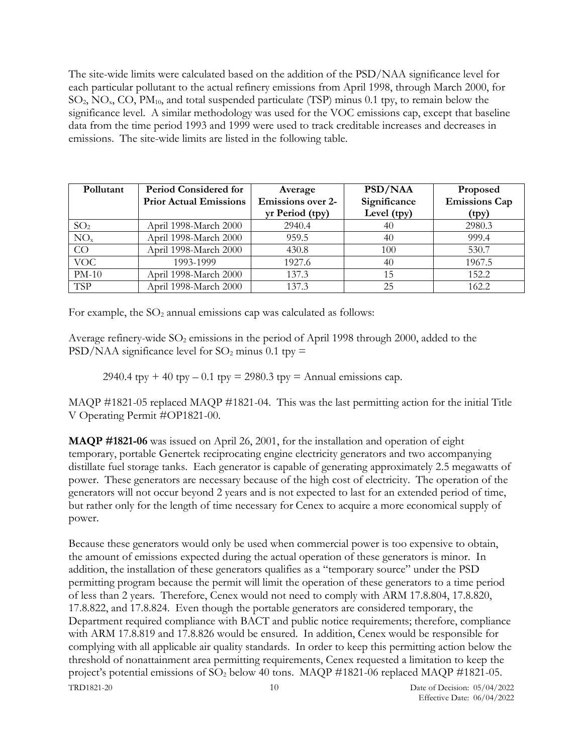The site-wide limits were calculated based on the addition of the PSD/NAA significance level for each particular pollutant to the actual refinery emissions from April 1998, through March 2000, for  $SO_2$ , NO<sub>x</sub>, CO, PM<sub>10</sub>, and total suspended particulate (TSP) minus 0.1 tpy, to remain below the significance level. A similar methodology was used for the VOC emissions cap, except that baseline data from the time period 1993 and 1999 were used to track creditable increases and decreases in emissions. The site-wide limits are listed in the following table.

| Pollutant       | <b>Period Considered for</b>  | Average                  | PSD/NAA      | Proposed             |
|-----------------|-------------------------------|--------------------------|--------------|----------------------|
|                 | <b>Prior Actual Emissions</b> | <b>Emissions over 2-</b> | Significance | <b>Emissions Cap</b> |
|                 |                               | yr Period (tpy)          | Level (tpy)  | (tpy)                |
| SO <sub>2</sub> | April 1998-March 2000         | 2940.4                   | 40           | 2980.3               |
| NO <sub>x</sub> | April 1998-March 2000         | 959.5                    | 40           | 999.4                |
| CO              | April 1998-March 2000         | 430.8                    | 100          | 530.7                |
| <b>VOC</b>      | 1993-1999                     | 1927.6                   | 40           | 1967.5               |
| $PM-10$         | April 1998-March 2000         | 137.3                    | 15           | 152.2                |
| <b>TSP</b>      | April 1998-March 2000         | 137.3                    | 25           | 162.2                |

For example, the  $SO_2$  annual emissions cap was calculated as follows:

Average refinery-wide  $SO_2$  emissions in the period of April 1998 through 2000, added to the PSD/NAA significance level for  $SO_2$  minus 0.1 tpy =

2940.4 tpy + 40 tpy – 0.1 tpy = 2980.3 tpy = Annual emissions cap.

MAQP #1821-05 replaced MAQP #1821-04. This was the last permitting action for the initial Title V Operating Permit #OP1821-00.

**MAQP #1821-06** was issued on April 26, 2001, for the installation and operation of eight temporary, portable Genertek reciprocating engine electricity generators and two accompanying distillate fuel storage tanks. Each generator is capable of generating approximately 2.5 megawatts of power. These generators are necessary because of the high cost of electricity. The operation of the generators will not occur beyond 2 years and is not expected to last for an extended period of time, but rather only for the length of time necessary for Cenex to acquire a more economical supply of power.

TRD1821-20 10 Date of Decision: 05/04/2022 Because these generators would only be used when commercial power is too expensive to obtain, the amount of emissions expected during the actual operation of these generators is minor. In addition, the installation of these generators qualifies as a "temporary source" under the PSD permitting program because the permit will limit the operation of these generators to a time period of less than 2 years. Therefore, Cenex would not need to comply with ARM 17.8.804, 17.8.820, 17.8.822, and 17.8.824. Even though the portable generators are considered temporary, the Department required compliance with BACT and public notice requirements; therefore, compliance with ARM 17.8.819 and 17.8.826 would be ensured. In addition, Cenex would be responsible for complying with all applicable air quality standards. In order to keep this permitting action below the threshold of nonattainment area permitting requirements, Cenex requested a limitation to keep the project's potential emissions of  $SO_2$  below 40 tons. MAQP #1821-06 replaced MAQP #1821-05.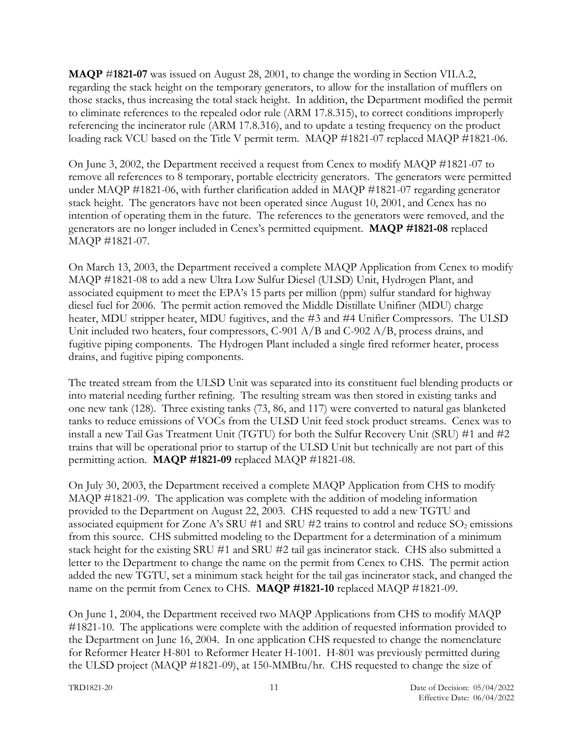**MAQP** #**1821-07** was issued on August 28, 2001, to change the wording in Section VII.A.2, regarding the stack height on the temporary generators, to allow for the installation of mufflers on those stacks, thus increasing the total stack height. In addition, the Department modified the permit to eliminate references to the repealed odor rule (ARM 17.8.315), to correct conditions improperly referencing the incinerator rule (ARM 17.8.316), and to update a testing frequency on the product loading rack VCU based on the Title V permit term. MAQP #1821-07 replaced MAQP #1821-06.

On June 3, 2002, the Department received a request from Cenex to modify MAQP #1821-07 to remove all references to 8 temporary, portable electricity generators. The generators were permitted under MAQP #1821-06, with further clarification added in MAQP #1821-07 regarding generator stack height. The generators have not been operated since August 10, 2001, and Cenex has no intention of operating them in the future. The references to the generators were removed, and the generators are no longer included in Cenex's permitted equipment. **MAQP #1821-08** replaced MAQP #1821-07.

On March 13, 2003, the Department received a complete MAQP Application from Cenex to modify MAQP #1821-08 to add a new Ultra Low Sulfur Diesel (ULSD) Unit, Hydrogen Plant, and associated equipment to meet the EPA's 15 parts per million (ppm) sulfur standard for highway diesel fuel for 2006. The permit action removed the Middle Distillate Unifiner (MDU) charge heater, MDU stripper heater, MDU fugitives, and the #3 and #4 Unifier Compressors. The ULSD Unit included two heaters, four compressors, C-901 A/B and C-902 A/B, process drains, and fugitive piping components. The Hydrogen Plant included a single fired reformer heater, process drains, and fugitive piping components.

The treated stream from the ULSD Unit was separated into its constituent fuel blending products or into material needing further refining. The resulting stream was then stored in existing tanks and one new tank (128). Three existing tanks (73, 86, and 117) were converted to natural gas blanketed tanks to reduce emissions of VOCs from the ULSD Unit feed stock product streams. Cenex was to install a new Tail Gas Treatment Unit (TGTU) for both the Sulfur Recovery Unit (SRU) #1 and #2 trains that will be operational prior to startup of the ULSD Unit but technically are not part of this permitting action. **MAQP #1821-09** replaced MAQP #1821-08.

On July 30, 2003, the Department received a complete MAQP Application from CHS to modify MAQP #1821-09. The application was complete with the addition of modeling information provided to the Department on August 22, 2003. CHS requested to add a new TGTU and associated equipment for Zone A's SRU #1 and SRU #2 trains to control and reduce  $SO_2$  emissions from this source. CHS submitted modeling to the Department for a determination of a minimum stack height for the existing SRU #1 and SRU #2 tail gas incinerator stack. CHS also submitted a letter to the Department to change the name on the permit from Cenex to CHS. The permit action added the new TGTU, set a minimum stack height for the tail gas incinerator stack, and changed the name on the permit from Cenex to CHS. **MAQP #1821-10** replaced MAQP #1821-09.

On June 1, 2004, the Department received two MAQP Applications from CHS to modify MAQP #1821-10. The applications were complete with the addition of requested information provided to the Department on June 16, 2004. In one application CHS requested to change the nomenclature for Reformer Heater H-801 to Reformer Heater H-1001. H-801 was previously permitted during the ULSD project (MAQP #1821-09), at 150-MMBtu/hr. CHS requested to change the size of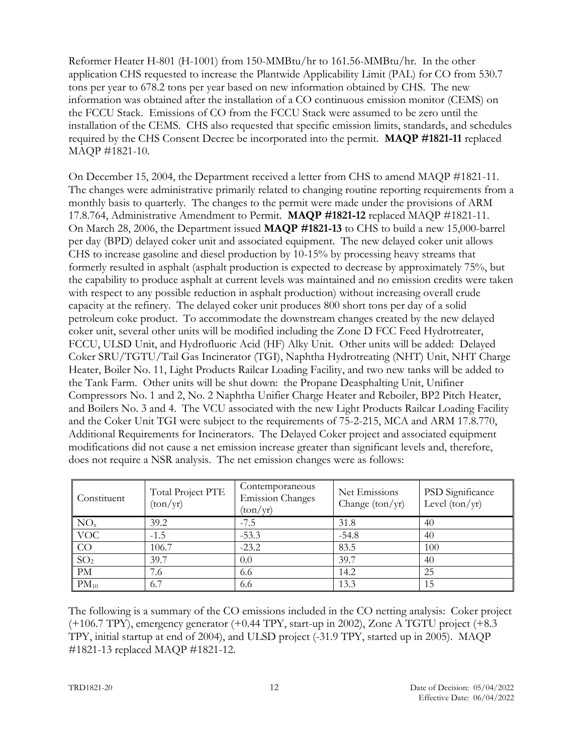Reformer Heater H-801 (H-1001) from 150-MMBtu/hr to 161.56-MMBtu/hr. In the other application CHS requested to increase the Plantwide Applicability Limit (PAL) for CO from 530.7 tons per year to 678.2 tons per year based on new information obtained by CHS. The new information was obtained after the installation of a CO continuous emission monitor (CEMS) on the FCCU Stack. Emissions of CO from the FCCU Stack were assumed to be zero until the installation of the CEMS. CHS also requested that specific emission limits, standards, and schedules required by the CHS Consent Decree be incorporated into the permit. **MAQP #1821-11** replaced MAQP #1821-10.

On December 15, 2004, the Department received a letter from CHS to amend MAQP #1821-11. The changes were administrative primarily related to changing routine reporting requirements from a monthly basis to quarterly. The changes to the permit were made under the provisions of ARM 17.8.764, Administrative Amendment to Permit. **MAQP #1821-12** replaced MAQP #1821-11. On March 28, 2006, the Department issued **MAQP #1821-13** to CHS to build a new 15,000-barrel per day (BPD) delayed coker unit and associated equipment. The new delayed coker unit allows CHS to increase gasoline and diesel production by 10-15% by processing heavy streams that formerly resulted in asphalt (asphalt production is expected to decrease by approximately 75%, but the capability to produce asphalt at current levels was maintained and no emission credits were taken with respect to any possible reduction in asphalt production) without increasing overall crude capacity at the refinery. The delayed coker unit produces 800 short tons per day of a solid petroleum coke product. To accommodate the downstream changes created by the new delayed coker unit, several other units will be modified including the Zone D FCC Feed Hydrotreater, FCCU, ULSD Unit, and Hydrofluoric Acid (HF) Alky Unit. Other units will be added: Delayed Coker SRU/TGTU/Tail Gas Incinerator (TGI), Naphtha Hydrotreating (NHT) Unit, NHT Charge Heater, Boiler No. 11, Light Products Railcar Loading Facility, and two new tanks will be added to the Tank Farm. Other units will be shut down: the Propane Deasphalting Unit, Unifiner Compressors No. 1 and 2, No. 2 Naphtha Unifier Charge Heater and Reboiler, BP2 Pitch Heater, and Boilers No. 3 and 4. The VCU associated with the new Light Products Railcar Loading Facility and the Coker Unit TGI were subject to the requirements of 75-2-215, MCA and ARM 17.8.770, Additional Requirements for Incinerators. The Delayed Coker project and associated equipment modifications did not cause a net emission increase greater than significant levels and, therefore, does not require a NSR analysis. The net emission changes were as follows:

| Constituent     | Total Project PTE<br>(ton/yr) | Contemporaneous<br><b>Emission Changes</b><br>(ton/yr) | Net Emissions<br>Change $(ton/yr)$ | <b>PSD</b> Significance<br>Level $(ton/yr)$ |
|-----------------|-------------------------------|--------------------------------------------------------|------------------------------------|---------------------------------------------|
| NO <sub>x</sub> | 39.2                          | $-7.5$                                                 | 31.8                               | 40                                          |
| <b>VOC</b>      | $-1.5$                        | $-53.3$                                                | $-54.8$                            | 40                                          |
| CO              | 106.7                         | $-23.2$                                                | 83.5                               | 100                                         |
| SO <sub>2</sub> | 39.7                          | 0.0                                                    | 39.7                               | 40                                          |
| PM              | 7.6                           | 6.6                                                    | 14.2                               | 25                                          |
| $PM_{10}$       | 6.7                           | 6.6                                                    | 13.3                               | 15                                          |

The following is a summary of the CO emissions included in the CO netting analysis: Coker project (+106.7 TPY), emergency generator (+0.44 TPY, start-up in 2002), Zone A TGTU project (+8.3 TPY, initial startup at end of 2004), and ULSD project (-31.9 TPY, started up in 2005). MAQP #1821-13 replaced MAQP #1821-12.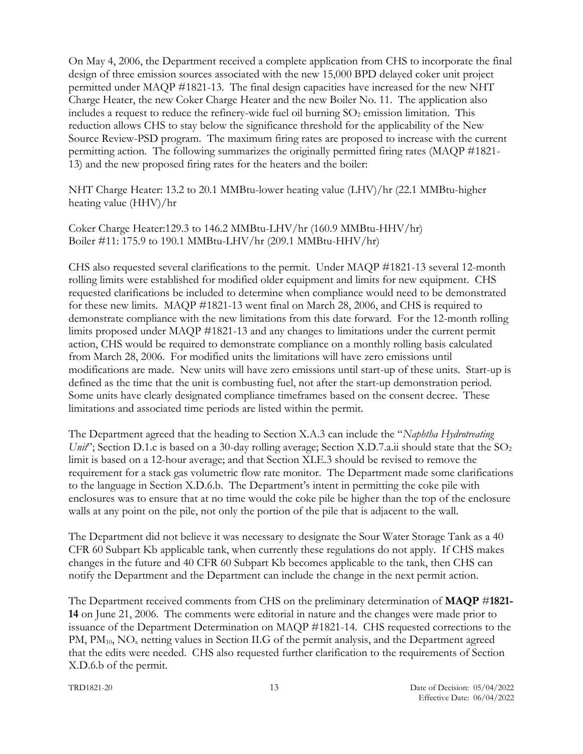On May 4, 2006, the Department received a complete application from CHS to incorporate the final design of three emission sources associated with the new 15,000 BPD delayed coker unit project permitted under MAQP #1821-13. The final design capacities have increased for the new NHT Charge Heater, the new Coker Charge Heater and the new Boiler No. 11. The application also includes a request to reduce the refinery-wide fuel oil burning  $SO<sub>2</sub>$  emission limitation. This reduction allows CHS to stay below the significance threshold for the applicability of the New Source Review-PSD program. The maximum firing rates are proposed to increase with the current permitting action. The following summarizes the originally permitted firing rates (MAQP #1821- 13) and the new proposed firing rates for the heaters and the boiler:

NHT Charge Heater: 13.2 to 20.1 MMBtu-lower heating value (LHV)/hr (22.1 MMBtu-higher heating value (HHV)/hr

Coker Charge Heater:129.3 to 146.2 MMBtu-LHV/hr (160.9 MMBtu-HHV/hr) Boiler #11: 175.9 to 190.1 MMBtu-LHV/hr (209.1 MMBtu-HHV/hr)

CHS also requested several clarifications to the permit. Under MAQP #1821-13 several 12-month rolling limits were established for modified older equipment and limits for new equipment. CHS requested clarifications be included to determine when compliance would need to be demonstrated for these new limits. MAQP #1821-13 went final on March 28, 2006, and CHS is required to demonstrate compliance with the new limitations from this date forward. For the 12-month rolling limits proposed under MAQP #1821-13 and any changes to limitations under the current permit action, CHS would be required to demonstrate compliance on a monthly rolling basis calculated from March 28, 2006. For modified units the limitations will have zero emissions until modifications are made. New units will have zero emissions until start-up of these units. Start-up is defined as the time that the unit is combusting fuel, not after the start-up demonstration period. Some units have clearly designated compliance timeframes based on the consent decree. These limitations and associated time periods are listed within the permit.

The Department agreed that the heading to Section X.A.3 can include the "*Naphtha Hydrotreating Unit*"; Section D.1.c is based on a 30-day rolling average; Section X.D.7.a.ii should state that the SO<sub>2</sub> limit is based on a 12-hour average; and that Section XI.E.3 should be revised to remove the requirement for a stack gas volumetric flow rate monitor. The Department made some clarifications to the language in Section X.D.6.b. The Department's intent in permitting the coke pile with enclosures was to ensure that at no time would the coke pile be higher than the top of the enclosure walls at any point on the pile, not only the portion of the pile that is adjacent to the wall.

The Department did not believe it was necessary to designate the Sour Water Storage Tank as a 40 CFR 60 Subpart Kb applicable tank, when currently these regulations do not apply. If CHS makes changes in the future and 40 CFR 60 Subpart Kb becomes applicable to the tank, then CHS can notify the Department and the Department can include the change in the next permit action.

The Department received comments from CHS on the preliminary determination of **MAQP** #**1821- 14** on June 21, 2006. The comments were editorial in nature and the changes were made prior to issuance of the Department Determination on MAQP #1821-14. CHS requested corrections to the PM, PM<sub>10</sub>, NO<sub>x</sub> netting values in Section II.G of the permit analysis, and the Department agreed that the edits were needed. CHS also requested further clarification to the requirements of Section X.D.6.b of the permit.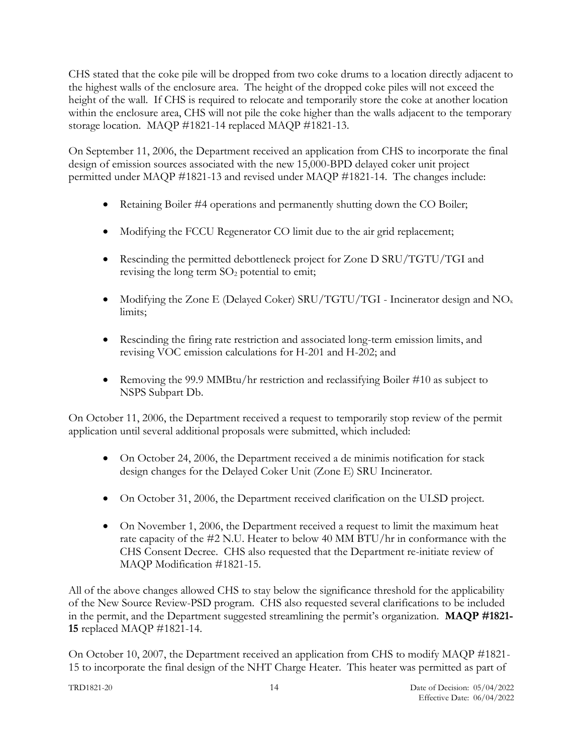CHS stated that the coke pile will be dropped from two coke drums to a location directly adjacent to the highest walls of the enclosure area. The height of the dropped coke piles will not exceed the height of the wall. If CHS is required to relocate and temporarily store the coke at another location within the enclosure area, CHS will not pile the coke higher than the walls adjacent to the temporary storage location. MAQP #1821-14 replaced MAQP #1821-13.

On September 11, 2006, the Department received an application from CHS to incorporate the final design of emission sources associated with the new 15,000-BPD delayed coker unit project permitted under MAQP #1821-13 and revised under MAQP #1821-14. The changes include:

- Retaining Boiler #4 operations and permanently shutting down the CO Boiler;
- Modifying the FCCU Regenerator CO limit due to the air grid replacement;
- Rescinding the permitted debottleneck project for Zone D SRU/TGTU/TGI and revising the long term  $SO<sub>2</sub>$  potential to emit;
- Modifying the Zone E (Delayed Coker) SRU/TGTU/TGI Incinerator design and  $NO<sub>x</sub>$ limits;
- Rescinding the firing rate restriction and associated long-term emission limits, and revising VOC emission calculations for H-201 and H-202; and
- Removing the 99.9 MMBtu/hr restriction and reclassifying Boiler #10 as subject to NSPS Subpart Db.

On October 11, 2006, the Department received a request to temporarily stop review of the permit application until several additional proposals were submitted, which included:

- On October 24, 2006, the Department received a de minimis notification for stack design changes for the Delayed Coker Unit (Zone E) SRU Incinerator.
- On October 31, 2006, the Department received clarification on the ULSD project.
- On November 1, 2006, the Department received a request to limit the maximum heat rate capacity of the #2 N.U. Heater to below 40 MM BTU/hr in conformance with the CHS Consent Decree. CHS also requested that the Department re-initiate review of MAQP Modification #1821-15.

All of the above changes allowed CHS to stay below the significance threshold for the applicability of the New Source Review-PSD program. CHS also requested several clarifications to be included in the permit, and the Department suggested streamlining the permit's organization. **MAQP #1821- 15** replaced MAQP #1821-14.

On October 10, 2007, the Department received an application from CHS to modify MAQP #1821- 15 to incorporate the final design of the NHT Charge Heater. This heater was permitted as part of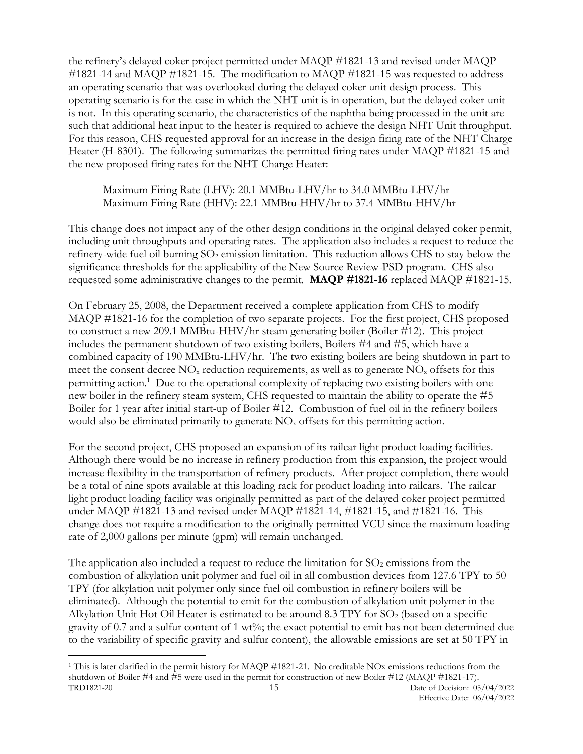the refinery's delayed coker project permitted under MAQP #1821-13 and revised under MAQP #1821-14 and MAQP #1821-15. The modification to MAQP #1821-15 was requested to address an operating scenario that was overlooked during the delayed coker unit design process. This operating scenario is for the case in which the NHT unit is in operation, but the delayed coker unit is not. In this operating scenario, the characteristics of the naphtha being processed in the unit are such that additional heat input to the heater is required to achieve the design NHT Unit throughput. For this reason, CHS requested approval for an increase in the design firing rate of the NHT Charge Heater (H-8301). The following summarizes the permitted firing rates under MAQP #1821-15 and the new proposed firing rates for the NHT Charge Heater:

Maximum Firing Rate (LHV): 20.1 MMBtu-LHV/hr to 34.0 MMBtu-LHV/hr Maximum Firing Rate (HHV): 22.1 MMBtu-HHV/hr to 37.4 MMBtu-HHV/hr

This change does not impact any of the other design conditions in the original delayed coker permit, including unit throughputs and operating rates. The application also includes a request to reduce the refinery-wide fuel oil burning  $SO_2$  emission limitation. This reduction allows CHS to stay below the significance thresholds for the applicability of the New Source Review-PSD program. CHS also requested some administrative changes to the permit. **MAQP #1821-16** replaced MAQP #1821-15.

On February 25, 2008, the Department received a complete application from CHS to modify MAQP #1821-16 for the completion of two separate projects. For the first project, CHS proposed to construct a new 209.1 MMBtu-HHV/hr steam generating boiler (Boiler #12). This project includes the permanent shutdown of two existing boilers, Boilers #4 and #5, which have a combined capacity of 190 MMBtu-LHV/hr. The two existing boilers are being shutdown in part to meet the consent decree  $NO<sub>x</sub>$  reduction requirements, as well as to generate  $NO<sub>x</sub>$  offsets for this permitting action.<sup>1</sup> Due to the operational complexity of replacing two existing boilers with one new boiler in the refinery steam system, CHS requested to maintain the ability to operate the #5 Boiler for 1 year after initial start-up of Boiler #12. Combustion of fuel oil in the refinery boilers would also be eliminated primarily to generate  $NO<sub>x</sub>$  offsets for this permitting action.

For the second project, CHS proposed an expansion of its railcar light product loading facilities. Although there would be no increase in refinery production from this expansion, the project would increase flexibility in the transportation of refinery products. After project completion, there would be a total of nine spots available at this loading rack for product loading into railcars. The railcar light product loading facility was originally permitted as part of the delayed coker project permitted under MAQP #1821-13 and revised under MAQP #1821-14, #1821-15, and #1821-16. This change does not require a modification to the originally permitted VCU since the maximum loading rate of 2,000 gallons per minute (gpm) will remain unchanged.

The application also included a request to reduce the limitation for  $SO_2$  emissions from the combustion of alkylation unit polymer and fuel oil in all combustion devices from 127.6 TPY to 50 TPY (for alkylation unit polymer only since fuel oil combustion in refinery boilers will be eliminated). Although the potential to emit for the combustion of alkylation unit polymer in the Alkylation Unit Hot Oil Heater is estimated to be around  $8.3$  TPY for  $SO<sub>2</sub>$  (based on a specific gravity of 0.7 and a sulfur content of 1 wt%; the exact potential to emit has not been determined due to the variability of specific gravity and sulfur content), the allowable emissions are set at 50 TPY in

TRD1821-20 15 Date of Decision: 05/04/2022 <sup>1</sup> This is later clarified in the permit history for MAQP #1821-21. No creditable NOx emissions reductions from the shutdown of Boiler #4 and #5 were used in the permit for construction of new Boiler #12 (MAQP #1821-17).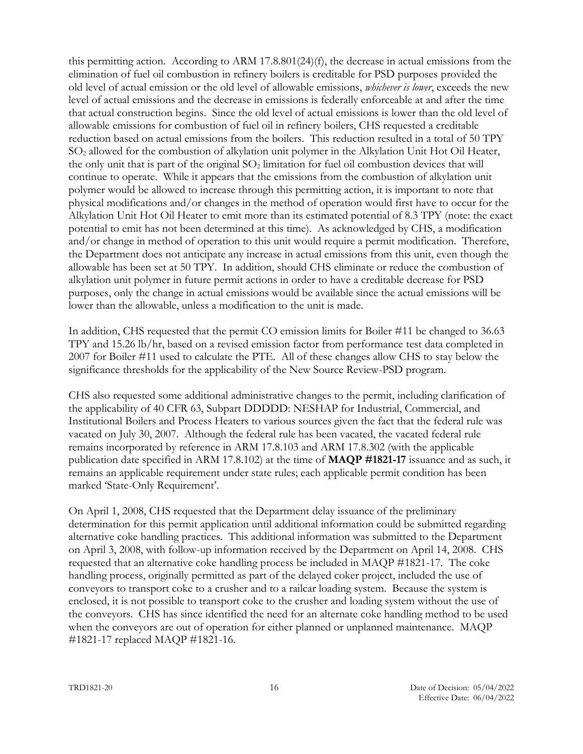this permitting action. According to ARM 17.8.801(24)(f), the decrease in actual emissions from the elimination of fuel oil combustion in refinery boilers is creditable for PSD purposes provided the old level of actual emission or the old level of allowable emissions, *whichever is lower*, exceeds the new level of actual emissions and the decrease in emissions is federally enforceable at and after the time that actual construction begins. Since the old level of actual emissions is lower than the old level of allowable emissions for combustion of fuel oil in refinery boilers, CHS requested a creditable reduction based on actual emissions from the boilers. This reduction resulted in a total of 50 TPY SO<sup>2</sup> allowed for the combustion of alkylation unit polymer in the Alkylation Unit Hot Oil Heater, the only unit that is part of the original  $SO<sub>2</sub>$  limitation for fuel oil combustion devices that will continue to operate. While it appears that the emissions from the combustion of alkylation unit polymer would be allowed to increase through this permitting action, it is important to note that physical modifications and/or changes in the method of operation would first have to occur for the Alkylation Unit Hot Oil Heater to emit more than its estimated potential of 8.3 TPY (note: the exact potential to emit has not been determined at this time). As acknowledged by CHS, a modification and/or change in method of operation to this unit would require a permit modification. Therefore, the Department does not anticipate any increase in actual emissions from this unit, even though the allowable has been set at 50 TPY. In addition, should CHS eliminate or reduce the combustion of alkylation unit polymer in future permit actions in order to have a creditable decrease for PSD purposes, only the change in actual emissions would be available since the actual emissions will be lower than the allowable, unless a modification to the unit is made.

In addition, CHS requested that the permit CO emission limits for Boiler #11 be changed to 36.63 TPY and 15.26 lb/hr, based on a revised emission factor from performance test data completed in 2007 for Boiler #11 used to calculate the PTE. All of these changes allow CHS to stay below the significance thresholds for the applicability of the New Source Review-PSD program.

CHS also requested some additional administrative changes to the permit, including clarification of the applicability of 40 CFR 63, Subpart DDDDD: NESHAP for Industrial, Commercial, and Institutional Boilers and Process Heaters to various sources given the fact that the federal rule was vacated on July 30, 2007. Although the federal rule has been vacated, the vacated federal rule remains incorporated by reference in ARM 17.8.103 and ARM 17.8.302 (with the applicable publication date specified in ARM 17.8.102) at the time of **MAQP #1821-17** issuance and as such, it remains an applicable requirement under state rules; each applicable permit condition has been marked 'State-Only Requirement'.

On April 1, 2008, CHS requested that the Department delay issuance of the preliminary determination for this permit application until additional information could be submitted regarding alternative coke handling practices. This additional information was submitted to the Department on April 3, 2008, with follow-up information received by the Department on April 14, 2008. CHS requested that an alternative coke handling process be included in MAQP #1821-17. The coke handling process, originally permitted as part of the delayed coker project, included the use of conveyors to transport coke to a crusher and to a railcar loading system. Because the system is enclosed, it is not possible to transport coke to the crusher and loading system without the use of the conveyors. CHS has since identified the need for an alternate coke handling method to be used when the conveyors are out of operation for either planned or unplanned maintenance. MAQP #1821-17 replaced MAQP #1821-16.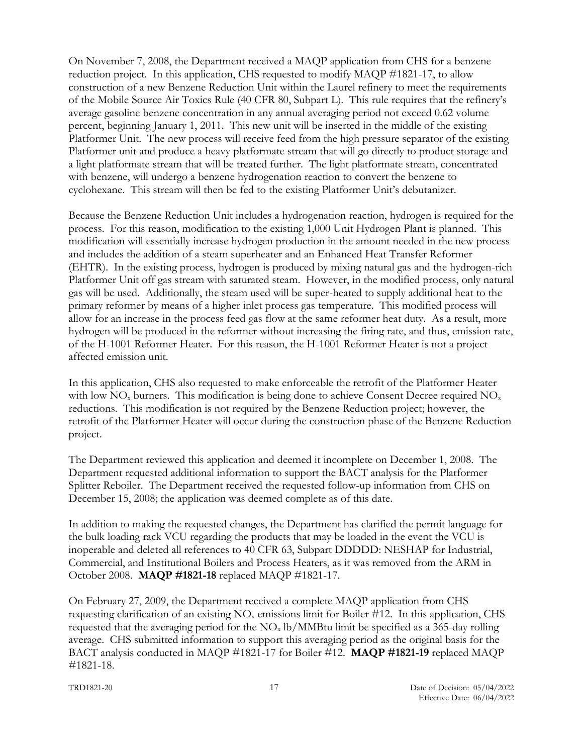On November 7, 2008, the Department received a MAQP application from CHS for a benzene reduction project. In this application, CHS requested to modify MAQP #1821-17, to allow construction of a new Benzene Reduction Unit within the Laurel refinery to meet the requirements of the Mobile Source Air Toxics Rule (40 CFR 80, Subpart L). This rule requires that the refinery's average gasoline benzene concentration in any annual averaging period not exceed 0.62 volume percent, beginning January 1, 2011. This new unit will be inserted in the middle of the existing Platformer Unit. The new process will receive feed from the high pressure separator of the existing Platformer unit and produce a heavy platformate stream that will go directly to product storage and a light platformate stream that will be treated further. The light platformate stream, concentrated with benzene, will undergo a benzene hydrogenation reaction to convert the benzene to cyclohexane. This stream will then be fed to the existing Platformer Unit's debutanizer.

Because the Benzene Reduction Unit includes a hydrogenation reaction, hydrogen is required for the process. For this reason, modification to the existing 1,000 Unit Hydrogen Plant is planned. This modification will essentially increase hydrogen production in the amount needed in the new process and includes the addition of a steam superheater and an Enhanced Heat Transfer Reformer (EHTR). In the existing process, hydrogen is produced by mixing natural gas and the hydrogen-rich Platformer Unit off gas stream with saturated steam. However, in the modified process, only natural gas will be used. Additionally, the steam used will be super-heated to supply additional heat to the primary reformer by means of a higher inlet process gas temperature. This modified process will allow for an increase in the process feed gas flow at the same reformer heat duty. As a result, more hydrogen will be produced in the reformer without increasing the firing rate, and thus, emission rate, of the H-1001 Reformer Heater. For this reason, the H-1001 Reformer Heater is not a project affected emission unit.

In this application, CHS also requested to make enforceable the retrofit of the Platformer Heater with low  $NO<sub>x</sub>$  burners. This modification is being done to achieve Consent Decree required  $NO<sub>x</sub>$ reductions. This modification is not required by the Benzene Reduction project; however, the retrofit of the Platformer Heater will occur during the construction phase of the Benzene Reduction project.

The Department reviewed this application and deemed it incomplete on December 1, 2008. The Department requested additional information to support the BACT analysis for the Platformer Splitter Reboiler. The Department received the requested follow-up information from CHS on December 15, 2008; the application was deemed complete as of this date.

In addition to making the requested changes, the Department has clarified the permit language for the bulk loading rack VCU regarding the products that may be loaded in the event the VCU is inoperable and deleted all references to 40 CFR 63, Subpart DDDDD: NESHAP for Industrial, Commercial, and Institutional Boilers and Process Heaters, as it was removed from the ARM in October 2008. **MAQP #1821-18** replaced MAQP #1821-17.

On February 27, 2009, the Department received a complete MAQP application from CHS requesting clarification of an existing  $NO<sub>x</sub>$  emissions limit for Boiler #12. In this application, CHS requested that the averaging period for the  $NO<sub>x</sub> lb/MMBtu$  limit be specified as a 365-day rolling average. CHS submitted information to support this averaging period as the original basis for the BACT analysis conducted in MAQP #1821-17 for Boiler #12. **MAQP #1821-19** replaced MAQP #1821-18.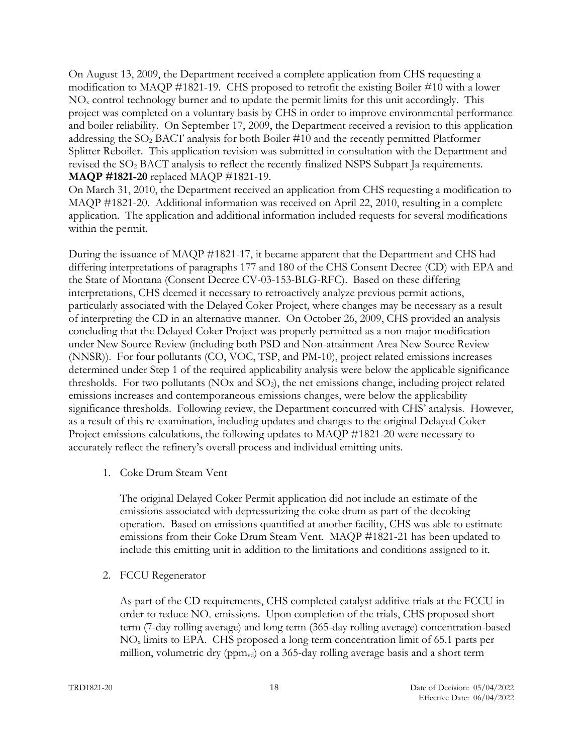On August 13, 2009, the Department received a complete application from CHS requesting a modification to MAQP #1821-19. CHS proposed to retrofit the existing Boiler #10 with a lower NO<sup>x</sup> control technology burner and to update the permit limits for this unit accordingly. This project was completed on a voluntary basis by CHS in order to improve environmental performance and boiler reliability. On September 17, 2009, the Department received a revision to this application addressing the SO<sup>2</sup> BACT analysis for both Boiler #10 and the recently permitted Platformer Splitter Reboiler. This application revision was submitted in consultation with the Department and revised the SO<sup>2</sup> BACT analysis to reflect the recently finalized NSPS Subpart Ja requirements. **MAQP #1821-20** replaced MAQP #1821-19.

On March 31, 2010, the Department received an application from CHS requesting a modification to MAQP #1821-20. Additional information was received on April 22, 2010, resulting in a complete application. The application and additional information included requests for several modifications within the permit.

During the issuance of MAQP #1821-17, it became apparent that the Department and CHS had differing interpretations of paragraphs 177 and 180 of the CHS Consent Decree (CD) with EPA and the State of Montana (Consent Decree CV-03-153-BLG-RFC). Based on these differing interpretations, CHS deemed it necessary to retroactively analyze previous permit actions, particularly associated with the Delayed Coker Project, where changes may be necessary as a result of interpreting the CD in an alternative manner. On October 26, 2009, CHS provided an analysis concluding that the Delayed Coker Project was properly permitted as a non-major modification under New Source Review (including both PSD and Non-attainment Area New Source Review (NNSR)). For four pollutants (CO, VOC, TSP, and PM-10), project related emissions increases determined under Step 1 of the required applicability analysis were below the applicable significance thresholds. For two pollutants (NOx and  $SO<sub>2</sub>$ ), the net emissions change, including project related emissions increases and contemporaneous emissions changes, were below the applicability significance thresholds. Following review, the Department concurred with CHS' analysis. However, as a result of this re-examination, including updates and changes to the original Delayed Coker Project emissions calculations, the following updates to MAQP #1821-20 were necessary to accurately reflect the refinery's overall process and individual emitting units.

1. Coke Drum Steam Vent

The original Delayed Coker Permit application did not include an estimate of the emissions associated with depressurizing the coke drum as part of the decoking operation. Based on emissions quantified at another facility, CHS was able to estimate emissions from their Coke Drum Steam Vent. MAQP #1821-21 has been updated to include this emitting unit in addition to the limitations and conditions assigned to it.

2. FCCU Regenerator

As part of the CD requirements, CHS completed catalyst additive trials at the FCCU in order to reduce  $NO<sub>x</sub>$  emissions. Upon completion of the trials, CHS proposed short term (7-day rolling average) and long term (365-day rolling average) concentration-based NO<sup>x</sup> limits to EPA. CHS proposed a long term concentration limit of 65.1 parts per million, volumetric dry ( $ppm_{vd}$ ) on a 365-day rolling average basis and a short term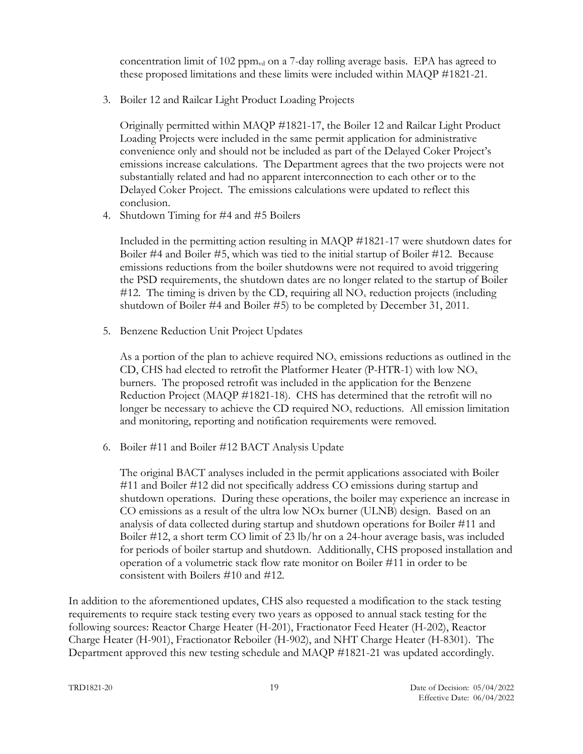concentration limit of 102 ppm $_{\rm{vd}}$  on a 7-day rolling average basis. EPA has agreed to these proposed limitations and these limits were included within MAQP #1821-21.

3. Boiler 12 and Railcar Light Product Loading Projects

Originally permitted within MAQP #1821-17, the Boiler 12 and Railcar Light Product Loading Projects were included in the same permit application for administrative convenience only and should not be included as part of the Delayed Coker Project's emissions increase calculations. The Department agrees that the two projects were not substantially related and had no apparent interconnection to each other or to the Delayed Coker Project. The emissions calculations were updated to reflect this conclusion.

4. Shutdown Timing for #4 and #5 Boilers

Included in the permitting action resulting in MAQP #1821-17 were shutdown dates for Boiler #4 and Boiler #5, which was tied to the initial startup of Boiler #12. Because emissions reductions from the boiler shutdowns were not required to avoid triggering the PSD requirements, the shutdown dates are no longer related to the startup of Boiler #12. The timing is driven by the CD, requiring all  $NO<sub>x</sub>$  reduction projects (including shutdown of Boiler #4 and Boiler #5) to be completed by December 31, 2011.

5. Benzene Reduction Unit Project Updates

As a portion of the plan to achieve required  $NO<sub>x</sub>$  emissions reductions as outlined in the CD, CHS had elected to retrofit the Platformer Heater (P-HTR-1) with low  $NO<sub>x</sub>$ burners. The proposed retrofit was included in the application for the Benzene Reduction Project (MAQP #1821-18). CHS has determined that the retrofit will no longer be necessary to achieve the CD required  $NO<sub>x</sub>$  reductions. All emission limitation and monitoring, reporting and notification requirements were removed.

6. Boiler #11 and Boiler #12 BACT Analysis Update

The original BACT analyses included in the permit applications associated with Boiler #11 and Boiler #12 did not specifically address CO emissions during startup and shutdown operations. During these operations, the boiler may experience an increase in CO emissions as a result of the ultra low NOx burner (ULNB) design. Based on an analysis of data collected during startup and shutdown operations for Boiler #11 and Boiler #12, a short term CO limit of 23 lb/hr on a 24-hour average basis, was included for periods of boiler startup and shutdown. Additionally, CHS proposed installation and operation of a volumetric stack flow rate monitor on Boiler #11 in order to be consistent with Boilers #10 and #12.

In addition to the aforementioned updates, CHS also requested a modification to the stack testing requirements to require stack testing every two years as opposed to annual stack testing for the following sources: Reactor Charge Heater (H-201), Fractionator Feed Heater (H-202), Reactor Charge Heater (H-901), Fractionator Reboiler (H-902), and NHT Charge Heater (H-8301). The Department approved this new testing schedule and MAQP #1821-21 was updated accordingly.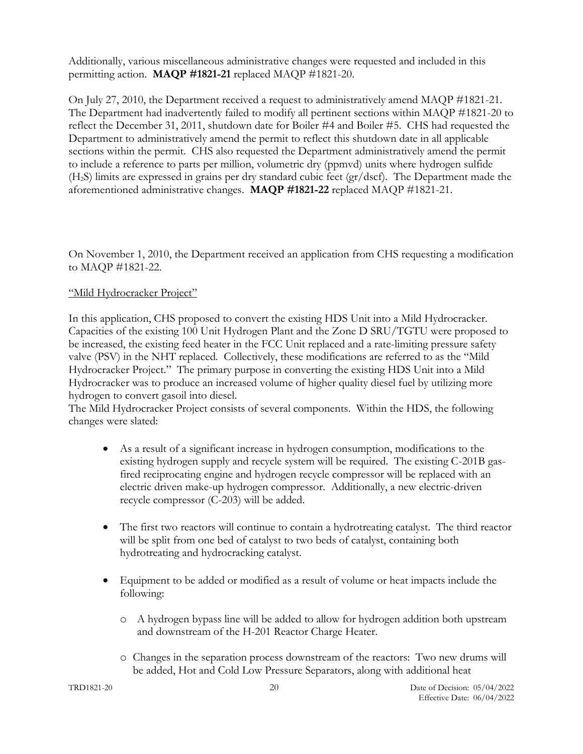Additionally, various miscellaneous administrative changes were requested and included in this permitting action. **MAQP #1821-21** replaced MAQP #1821-20.

On July 27, 2010, the Department received a request to administratively amend MAQP #1821-21. The Department had inadvertently failed to modify all pertinent sections within MAQP #1821-20 to reflect the December 31, 2011, shutdown date for Boiler #4 and Boiler #5. CHS had requested the Department to administratively amend the permit to reflect this shutdown date in all applicable sections within the permit. CHS also requested the Department administratively amend the permit to include a reference to parts per million, volumetric dry (ppmvd) units where hydrogen sulfide (H2S) limits are expressed in grains per dry standard cubic feet (gr/dscf). The Department made the aforementioned administrative changes. **MAQP #1821-22** replaced MAQP #1821-21.

On November 1, 2010, the Department received an application from CHS requesting a modification to MAQP #1821-22.

# "Mild Hydrocracker Project"

In this application, CHS proposed to convert the existing HDS Unit into a Mild Hydrocracker. Capacities of the existing 100 Unit Hydrogen Plant and the Zone D SRU/TGTU were proposed to be increased, the existing feed heater in the FCC Unit replaced and a rate-limiting pressure safety valve (PSV) in the NHT replaced. Collectively, these modifications are referred to as the "Mild Hydrocracker Project." The primary purpose in converting the existing HDS Unit into a Mild Hydrocracker was to produce an increased volume of higher quality diesel fuel by utilizing more hydrogen to convert gasoil into diesel.

The Mild Hydrocracker Project consists of several components. Within the HDS, the following changes were slated:

- As a result of a significant increase in hydrogen consumption, modifications to the existing hydrogen supply and recycle system will be required. The existing C-201B gasfired reciprocating engine and hydrogen recycle compressor will be replaced with an electric driven make-up hydrogen compressor. Additionally, a new electric-driven recycle compressor (C-203) will be added.
- The first two reactors will continue to contain a hydrotreating catalyst. The third reactor will be split from one bed of catalyst to two beds of catalyst, containing both hydrotreating and hydrocracking catalyst.
- Equipment to be added or modified as a result of volume or heat impacts include the following:
	- o A hydrogen bypass line will be added to allow for hydrogen addition both upstream and downstream of the H-201 Reactor Charge Heater.
	- o Changes in the separation process downstream of the reactors: Two new drums will be added, Hot and Cold Low Pressure Separators, along with additional heat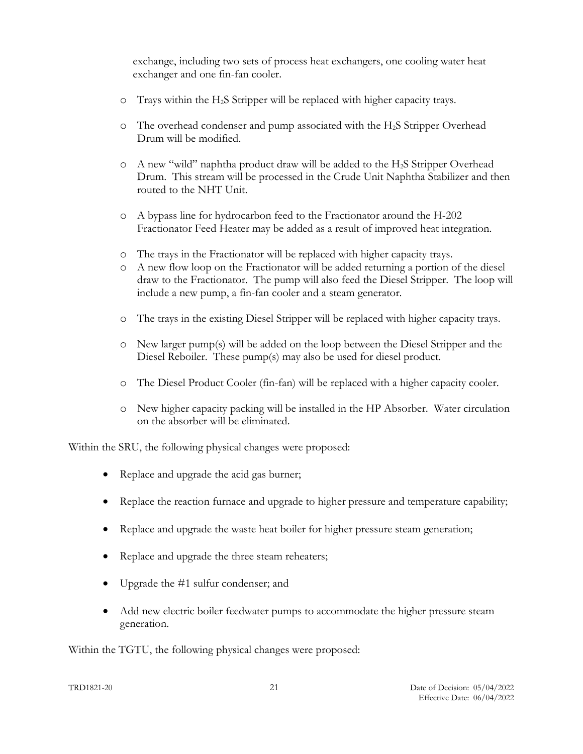exchange, including two sets of process heat exchangers, one cooling water heat exchanger and one fin-fan cooler.

- o Trays within the H2S Stripper will be replaced with higher capacity trays.
- o The overhead condenser and pump associated with the H2S Stripper Overhead Drum will be modified.
- o A new "wild" naphtha product draw will be added to the H2S Stripper Overhead Drum. This stream will be processed in the Crude Unit Naphtha Stabilizer and then routed to the NHT Unit.
- o A bypass line for hydrocarbon feed to the Fractionator around the H-202 Fractionator Feed Heater may be added as a result of improved heat integration.
- o The trays in the Fractionator will be replaced with higher capacity trays.
- o A new flow loop on the Fractionator will be added returning a portion of the diesel draw to the Fractionator. The pump will also feed the Diesel Stripper. The loop will include a new pump, a fin-fan cooler and a steam generator.
- o The trays in the existing Diesel Stripper will be replaced with higher capacity trays.
- o New larger pump(s) will be added on the loop between the Diesel Stripper and the Diesel Reboiler. These pump(s) may also be used for diesel product.
- o The Diesel Product Cooler (fin-fan) will be replaced with a higher capacity cooler.
- o New higher capacity packing will be installed in the HP Absorber. Water circulation on the absorber will be eliminated.

Within the SRU, the following physical changes were proposed:

- Replace and upgrade the acid gas burner;
- Replace the reaction furnace and upgrade to higher pressure and temperature capability;
- Replace and upgrade the waste heat boiler for higher pressure steam generation;
- Replace and upgrade the three steam reheaters;
- Upgrade the #1 sulfur condenser; and
- Add new electric boiler feedwater pumps to accommodate the higher pressure steam generation.

Within the TGTU, the following physical changes were proposed: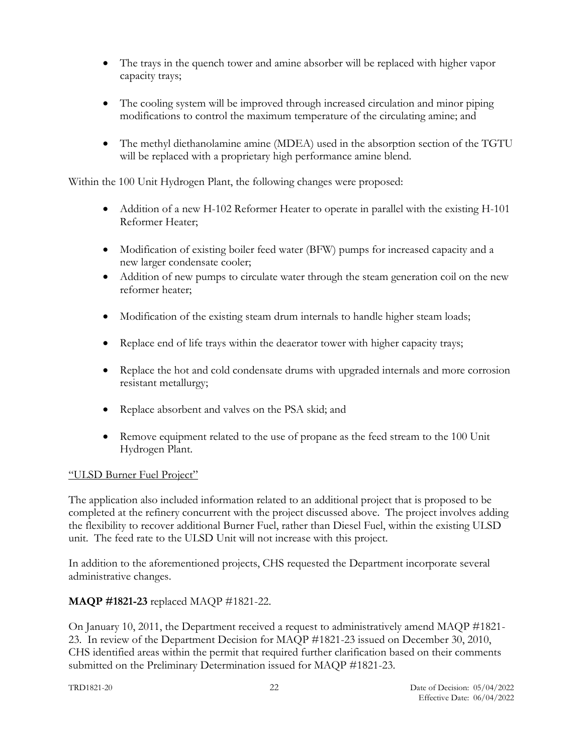- The trays in the quench tower and amine absorber will be replaced with higher vapor capacity trays;
- The cooling system will be improved through increased circulation and minor piping modifications to control the maximum temperature of the circulating amine; and
- The methyl diethanolamine amine (MDEA) used in the absorption section of the TGTU will be replaced with a proprietary high performance amine blend.

Within the 100 Unit Hydrogen Plant, the following changes were proposed:

- Addition of a new H-102 Reformer Heater to operate in parallel with the existing H-101 Reformer Heater;
- Modification of existing boiler feed water (BFW) pumps for increased capacity and a new larger condensate cooler;
- Addition of new pumps to circulate water through the steam generation coil on the new reformer heater;
- Modification of the existing steam drum internals to handle higher steam loads;
- Replace end of life trays within the deaerator tower with higher capacity trays;
- Replace the hot and cold condensate drums with upgraded internals and more corrosion resistant metallurgy;
- Replace absorbent and valves on the PSA skid; and
- Remove equipment related to the use of propane as the feed stream to the 100 Unit Hydrogen Plant.

# "ULSD Burner Fuel Project"

The application also included information related to an additional project that is proposed to be completed at the refinery concurrent with the project discussed above. The project involves adding the flexibility to recover additional Burner Fuel, rather than Diesel Fuel, within the existing ULSD unit. The feed rate to the ULSD Unit will not increase with this project.

In addition to the aforementioned projects, CHS requested the Department incorporate several administrative changes.

# **MAQP #1821-23** replaced MAQP #1821-22.

On January 10, 2011, the Department received a request to administratively amend MAQP #1821- 23. In review of the Department Decision for MAQP #1821-23 issued on December 30, 2010, CHS identified areas within the permit that required further clarification based on their comments submitted on the Preliminary Determination issued for MAQP #1821-23.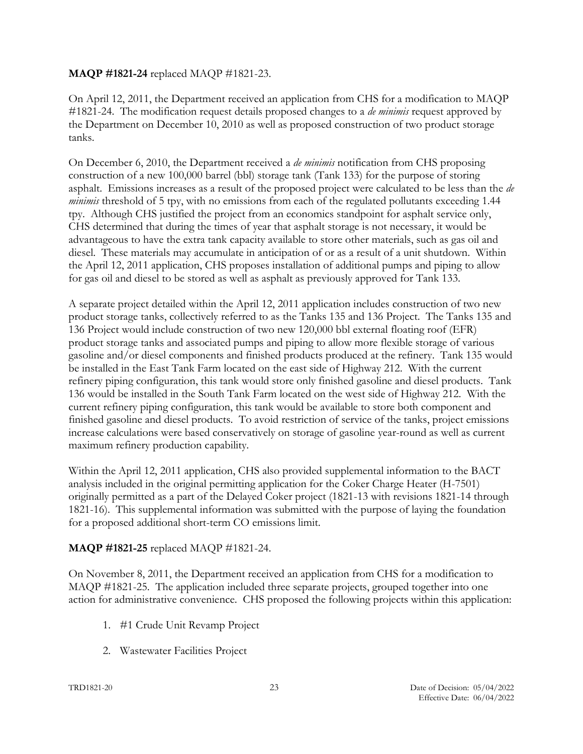## **MAQP #1821-24** replaced MAQP #1821-23.

On April 12, 2011, the Department received an application from CHS for a modification to MAQP #1821-24. The modification request details proposed changes to a *de minimis* request approved by the Department on December 10, 2010 as well as proposed construction of two product storage tanks.

On December 6, 2010, the Department received a *de minimis* notification from CHS proposing construction of a new 100,000 barrel (bbl) storage tank (Tank 133) for the purpose of storing asphalt. Emissions increases as a result of the proposed project were calculated to be less than the *de minimis* threshold of 5 tpy, with no emissions from each of the regulated pollutants exceeding 1.44 tpy. Although CHS justified the project from an economics standpoint for asphalt service only, CHS determined that during the times of year that asphalt storage is not necessary, it would be advantageous to have the extra tank capacity available to store other materials, such as gas oil and diesel. These materials may accumulate in anticipation of or as a result of a unit shutdown. Within the April 12, 2011 application, CHS proposes installation of additional pumps and piping to allow for gas oil and diesel to be stored as well as asphalt as previously approved for Tank 133.

A separate project detailed within the April 12, 2011 application includes construction of two new product storage tanks, collectively referred to as the Tanks 135 and 136 Project. The Tanks 135 and 136 Project would include construction of two new 120,000 bbl external floating roof (EFR) product storage tanks and associated pumps and piping to allow more flexible storage of various gasoline and/or diesel components and finished products produced at the refinery. Tank 135 would be installed in the East Tank Farm located on the east side of Highway 212. With the current refinery piping configuration, this tank would store only finished gasoline and diesel products. Tank 136 would be installed in the South Tank Farm located on the west side of Highway 212. With the current refinery piping configuration, this tank would be available to store both component and finished gasoline and diesel products. To avoid restriction of service of the tanks, project emissions increase calculations were based conservatively on storage of gasoline year-round as well as current maximum refinery production capability.

Within the April 12, 2011 application, CHS also provided supplemental information to the BACT analysis included in the original permitting application for the Coker Charge Heater (H-7501) originally permitted as a part of the Delayed Coker project (1821-13 with revisions 1821-14 through 1821-16). This supplemental information was submitted with the purpose of laying the foundation for a proposed additional short-term CO emissions limit.

# **MAQP #1821-25** replaced MAQP #1821-24.

On November 8, 2011, the Department received an application from CHS for a modification to MAQP #1821-25. The application included three separate projects, grouped together into one action for administrative convenience. CHS proposed the following projects within this application:

- 1. #1 Crude Unit Revamp Project
- 2. Wastewater Facilities Project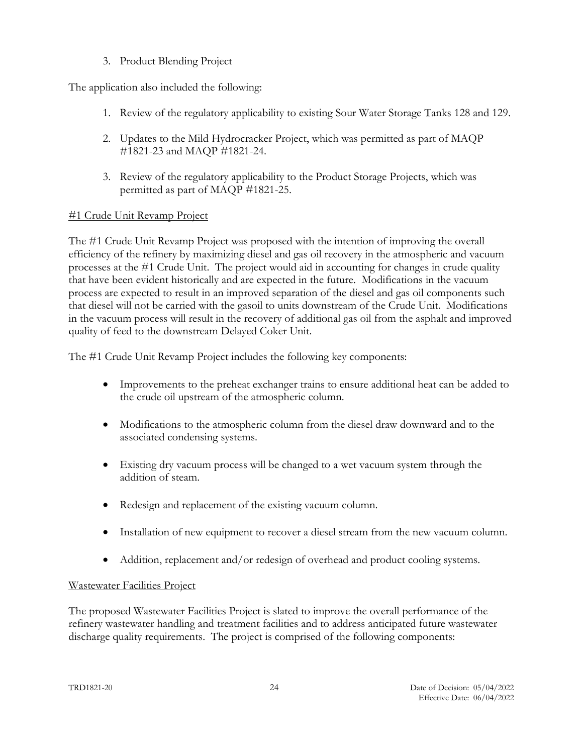3. Product Blending Project

The application also included the following:

- 1. Review of the regulatory applicability to existing Sour Water Storage Tanks 128 and 129.
- 2. Updates to the Mild Hydrocracker Project, which was permitted as part of MAQP #1821-23 and MAQP #1821-24.
- 3. Review of the regulatory applicability to the Product Storage Projects, which was permitted as part of MAQP #1821-25.

### #1 Crude Unit Revamp Project

The #1 Crude Unit Revamp Project was proposed with the intention of improving the overall efficiency of the refinery by maximizing diesel and gas oil recovery in the atmospheric and vacuum processes at the #1 Crude Unit. The project would aid in accounting for changes in crude quality that have been evident historically and are expected in the future. Modifications in the vacuum process are expected to result in an improved separation of the diesel and gas oil components such that diesel will not be carried with the gasoil to units downstream of the Crude Unit. Modifications in the vacuum process will result in the recovery of additional gas oil from the asphalt and improved quality of feed to the downstream Delayed Coker Unit.

The #1 Crude Unit Revamp Project includes the following key components:

- Improvements to the preheat exchanger trains to ensure additional heat can be added to the crude oil upstream of the atmospheric column.
- Modifications to the atmospheric column from the diesel draw downward and to the associated condensing systems.
- Existing dry vacuum process will be changed to a wet vacuum system through the addition of steam.
- Redesign and replacement of the existing vacuum column.
- Installation of new equipment to recover a diesel stream from the new vacuum column.
- Addition, replacement and/or redesign of overhead and product cooling systems.

#### Wastewater Facilities Project

The proposed Wastewater Facilities Project is slated to improve the overall performance of the refinery wastewater handling and treatment facilities and to address anticipated future wastewater discharge quality requirements. The project is comprised of the following components: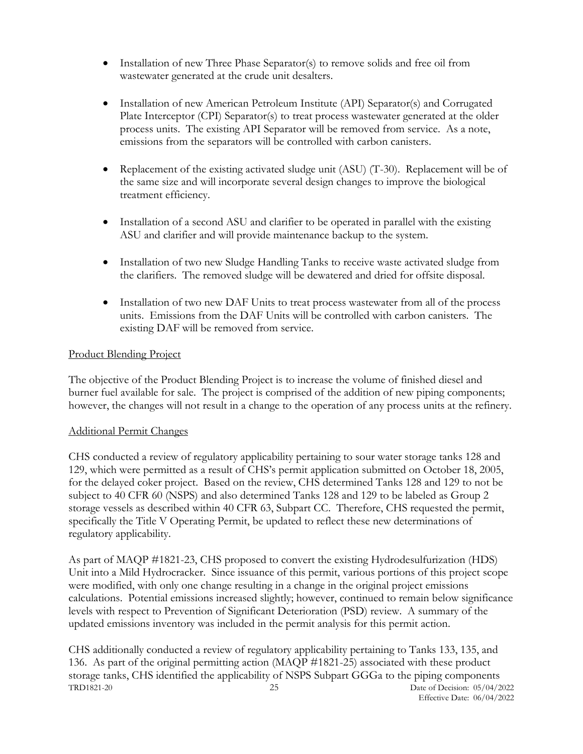- Installation of new Three Phase Separator(s) to remove solids and free oil from wastewater generated at the crude unit desalters.
- Installation of new American Petroleum Institute (API) Separator(s) and Corrugated Plate Interceptor (CPI) Separator(s) to treat process wastewater generated at the older process units. The existing API Separator will be removed from service. As a note, emissions from the separators will be controlled with carbon canisters.
- Replacement of the existing activated sludge unit (ASU) (T-30). Replacement will be of the same size and will incorporate several design changes to improve the biological treatment efficiency.
- Installation of a second ASU and clarifier to be operated in parallel with the existing ASU and clarifier and will provide maintenance backup to the system.
- Installation of two new Sludge Handling Tanks to receive waste activated sludge from the clarifiers. The removed sludge will be dewatered and dried for offsite disposal.
- Installation of two new DAF Units to treat process wastewater from all of the process units. Emissions from the DAF Units will be controlled with carbon canisters. The existing DAF will be removed from service.

### Product Blending Project

The objective of the Product Blending Project is to increase the volume of finished diesel and burner fuel available for sale. The project is comprised of the addition of new piping components; however, the changes will not result in a change to the operation of any process units at the refinery.

#### Additional Permit Changes

CHS conducted a review of regulatory applicability pertaining to sour water storage tanks 128 and 129, which were permitted as a result of CHS's permit application submitted on October 18, 2005, for the delayed coker project. Based on the review, CHS determined Tanks 128 and 129 to not be subject to 40 CFR 60 (NSPS) and also determined Tanks 128 and 129 to be labeled as Group 2 storage vessels as described within 40 CFR 63, Subpart CC. Therefore, CHS requested the permit, specifically the Title V Operating Permit, be updated to reflect these new determinations of regulatory applicability.

As part of MAQP #1821-23, CHS proposed to convert the existing Hydrodesulfurization (HDS) Unit into a Mild Hydrocracker. Since issuance of this permit, various portions of this project scope were modified, with only one change resulting in a change in the original project emissions calculations. Potential emissions increased slightly; however, continued to remain below significance levels with respect to Prevention of Significant Deterioration (PSD) review. A summary of the updated emissions inventory was included in the permit analysis for this permit action.

TRD1821-20 25 Date of Decision: 05/04/2022 CHS additionally conducted a review of regulatory applicability pertaining to Tanks 133, 135, and 136. As part of the original permitting action (MAQP #1821-25) associated with these product storage tanks, CHS identified the applicability of NSPS Subpart GGGa to the piping components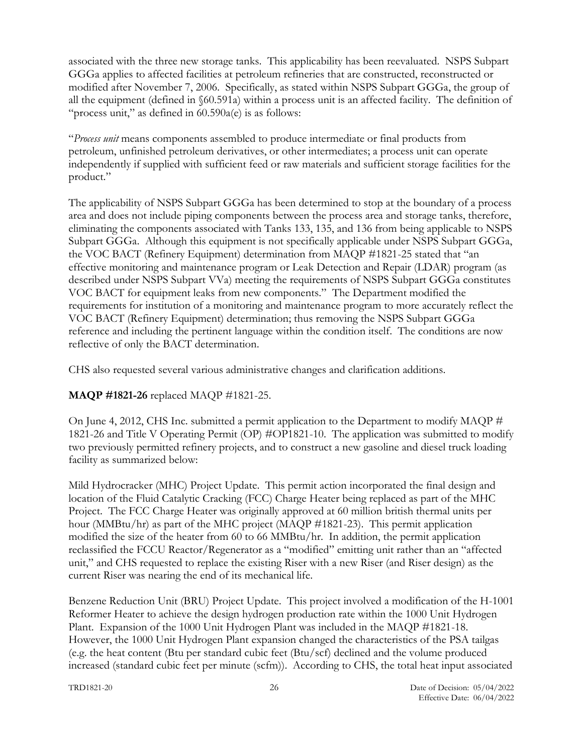associated with the three new storage tanks. This applicability has been reevaluated. NSPS Subpart GGGa applies to affected facilities at petroleum refineries that are constructed, reconstructed or modified after November 7, 2006. Specifically, as stated within NSPS Subpart GGGa, the group of all the equipment (defined in §60.591a) within a process unit is an affected facility. The definition of "process unit," as defined in  $60.590a(e)$  is as follows:

"*Process unit* means components assembled to produce intermediate or final products from petroleum, unfinished petroleum derivatives, or other intermediates; a process unit can operate independently if supplied with sufficient feed or raw materials and sufficient storage facilities for the product."

The applicability of NSPS Subpart GGGa has been determined to stop at the boundary of a process area and does not include piping components between the process area and storage tanks, therefore, eliminating the components associated with Tanks 133, 135, and 136 from being applicable to NSPS Subpart GGGa. Although this equipment is not specifically applicable under NSPS Subpart GGGa, the VOC BACT (Refinery Equipment) determination from MAQP #1821-25 stated that "an effective monitoring and maintenance program or Leak Detection and Repair (LDAR) program (as described under NSPS Subpart VVa) meeting the requirements of NSPS Subpart GGGa constitutes VOC BACT for equipment leaks from new components." The Department modified the requirements for institution of a monitoring and maintenance program to more accurately reflect the VOC BACT (Refinery Equipment) determination; thus removing the NSPS Subpart GGGa reference and including the pertinent language within the condition itself. The conditions are now reflective of only the BACT determination.

CHS also requested several various administrative changes and clarification additions.

# **MAQP #1821-26** replaced MAQP #1821-25.

On June 4, 2012, CHS Inc. submitted a permit application to the Department to modify MAQP  $#$ 1821-26 and Title V Operating Permit (OP) #OP1821-10. The application was submitted to modify two previously permitted refinery projects, and to construct a new gasoline and diesel truck loading facility as summarized below:

Mild Hydrocracker (MHC) Project Update. This permit action incorporated the final design and location of the Fluid Catalytic Cracking (FCC) Charge Heater being replaced as part of the MHC Project. The FCC Charge Heater was originally approved at 60 million british thermal units per hour (MMBtu/hr) as part of the MHC project (MAQP #1821-23). This permit application modified the size of the heater from 60 to 66 MMBtu/hr. In addition, the permit application reclassified the FCCU Reactor/Regenerator as a "modified" emitting unit rather than an "affected unit," and CHS requested to replace the existing Riser with a new Riser (and Riser design) as the current Riser was nearing the end of its mechanical life.

Benzene Reduction Unit (BRU) Project Update. This project involved a modification of the H-1001 Reformer Heater to achieve the design hydrogen production rate within the 1000 Unit Hydrogen Plant. Expansion of the 1000 Unit Hydrogen Plant was included in the MAQP #1821-18. However, the 1000 Unit Hydrogen Plant expansion changed the characteristics of the PSA tailgas (e.g. the heat content (Btu per standard cubic feet (Btu/scf) declined and the volume produced increased (standard cubic feet per minute (scfm)). According to CHS, the total heat input associated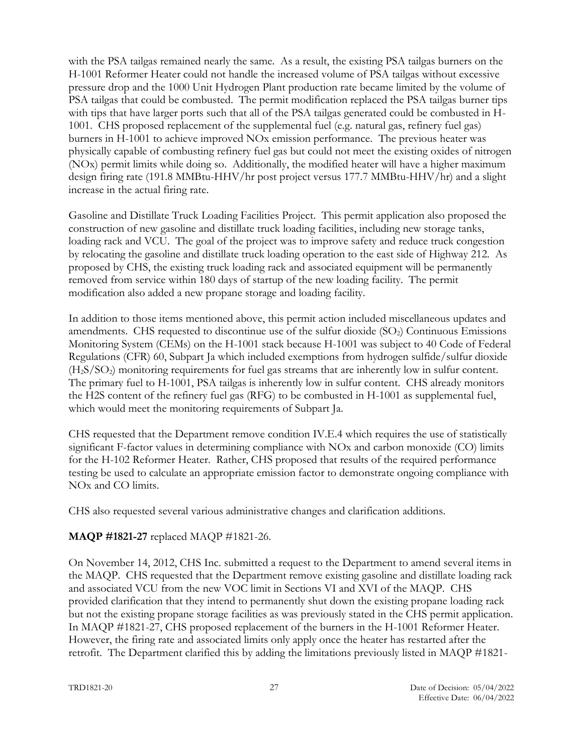with the PSA tailgas remained nearly the same. As a result, the existing PSA tailgas burners on the H-1001 Reformer Heater could not handle the increased volume of PSA tailgas without excessive pressure drop and the 1000 Unit Hydrogen Plant production rate became limited by the volume of PSA tailgas that could be combusted. The permit modification replaced the PSA tailgas burner tips with tips that have larger ports such that all of the PSA tailgas generated could be combusted in H-1001. CHS proposed replacement of the supplemental fuel (e.g. natural gas, refinery fuel gas) burners in H-1001 to achieve improved NOx emission performance. The previous heater was physically capable of combusting refinery fuel gas but could not meet the existing oxides of nitrogen (NOx) permit limits while doing so. Additionally, the modified heater will have a higher maximum design firing rate (191.8 MMBtu-HHV/hr post project versus 177.7 MMBtu-HHV/hr) and a slight increase in the actual firing rate.

Gasoline and Distillate Truck Loading Facilities Project. This permit application also proposed the construction of new gasoline and distillate truck loading facilities, including new storage tanks, loading rack and VCU. The goal of the project was to improve safety and reduce truck congestion by relocating the gasoline and distillate truck loading operation to the east side of Highway 212. As proposed by CHS, the existing truck loading rack and associated equipment will be permanently removed from service within 180 days of startup of the new loading facility. The permit modification also added a new propane storage and loading facility.

In addition to those items mentioned above, this permit action included miscellaneous updates and amendments. CHS requested to discontinue use of the sulfur dioxide  $(SO<sub>2</sub>)$  Continuous Emissions Monitoring System (CEMs) on the H-1001 stack because H-1001 was subject to 40 Code of Federal Regulations (CFR) 60, Subpart Ja which included exemptions from hydrogen sulfide/sulfur dioxide (H2S/SO2) monitoring requirements for fuel gas streams that are inherently low in sulfur content. The primary fuel to H-1001, PSA tailgas is inherently low in sulfur content. CHS already monitors the H2S content of the refinery fuel gas (RFG) to be combusted in H-1001 as supplemental fuel, which would meet the monitoring requirements of Subpart Ja.

CHS requested that the Department remove condition IV.E.4 which requires the use of statistically significant F-factor values in determining compliance with NOx and carbon monoxide (CO) limits for the H-102 Reformer Heater. Rather, CHS proposed that results of the required performance testing be used to calculate an appropriate emission factor to demonstrate ongoing compliance with NOx and CO limits.

CHS also requested several various administrative changes and clarification additions.

#### **MAQP #1821-27** replaced MAQP #1821-26.

On November 14, 2012, CHS Inc. submitted a request to the Department to amend several items in the MAQP. CHS requested that the Department remove existing gasoline and distillate loading rack and associated VCU from the new VOC limit in Sections VI and XVI of the MAQP. CHS provided clarification that they intend to permanently shut down the existing propane loading rack but not the existing propane storage facilities as was previously stated in the CHS permit application. In MAQP #1821-27, CHS proposed replacement of the burners in the H-1001 Reformer Heater. However, the firing rate and associated limits only apply once the heater has restarted after the retrofit. The Department clarified this by adding the limitations previously listed in MAQP #1821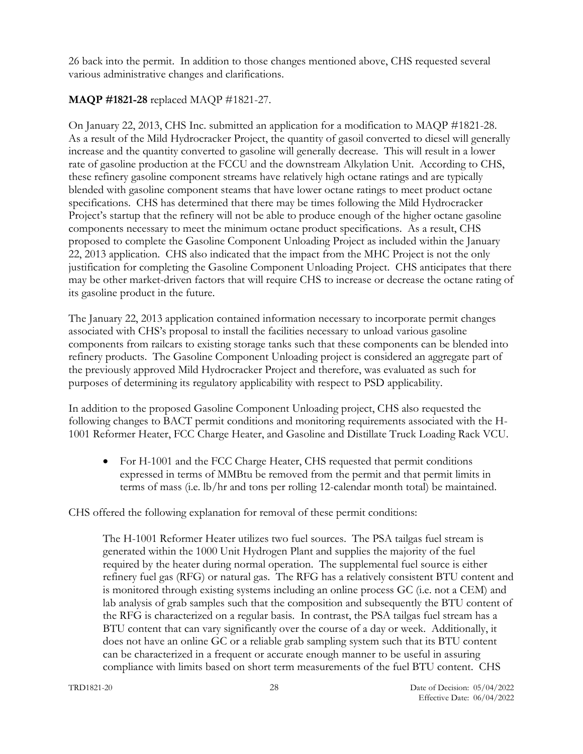26 back into the permit. In addition to those changes mentioned above, CHS requested several various administrative changes and clarifications.

# **MAQP #1821-28** replaced MAQP #1821-27.

On January 22, 2013, CHS Inc. submitted an application for a modification to MAQP #1821-28. As a result of the Mild Hydrocracker Project, the quantity of gasoil converted to diesel will generally increase and the quantity converted to gasoline will generally decrease. This will result in a lower rate of gasoline production at the FCCU and the downstream Alkylation Unit. According to CHS, these refinery gasoline component streams have relatively high octane ratings and are typically blended with gasoline component steams that have lower octane ratings to meet product octane specifications. CHS has determined that there may be times following the Mild Hydrocracker Project's startup that the refinery will not be able to produce enough of the higher octane gasoline components necessary to meet the minimum octane product specifications. As a result, CHS proposed to complete the Gasoline Component Unloading Project as included within the January 22, 2013 application. CHS also indicated that the impact from the MHC Project is not the only justification for completing the Gasoline Component Unloading Project. CHS anticipates that there may be other market-driven factors that will require CHS to increase or decrease the octane rating of its gasoline product in the future.

The January 22, 2013 application contained information necessary to incorporate permit changes associated with CHS's proposal to install the facilities necessary to unload various gasoline components from railcars to existing storage tanks such that these components can be blended into refinery products. The Gasoline Component Unloading project is considered an aggregate part of the previously approved Mild Hydrocracker Project and therefore, was evaluated as such for purposes of determining its regulatory applicability with respect to PSD applicability.

In addition to the proposed Gasoline Component Unloading project, CHS also requested the following changes to BACT permit conditions and monitoring requirements associated with the H-1001 Reformer Heater, FCC Charge Heater, and Gasoline and Distillate Truck Loading Rack VCU.

• For H-1001 and the FCC Charge Heater, CHS requested that permit conditions expressed in terms of MMBtu be removed from the permit and that permit limits in terms of mass (i.e. lb/hr and tons per rolling 12-calendar month total) be maintained.

CHS offered the following explanation for removal of these permit conditions:

The H-1001 Reformer Heater utilizes two fuel sources. The PSA tailgas fuel stream is generated within the 1000 Unit Hydrogen Plant and supplies the majority of the fuel required by the heater during normal operation. The supplemental fuel source is either refinery fuel gas (RFG) or natural gas. The RFG has a relatively consistent BTU content and is monitored through existing systems including an online process GC (i.e. not a CEM) and lab analysis of grab samples such that the composition and subsequently the BTU content of the RFG is characterized on a regular basis. In contrast, the PSA tailgas fuel stream has a BTU content that can vary significantly over the course of a day or week. Additionally, it does not have an online GC or a reliable grab sampling system such that its BTU content can be characterized in a frequent or accurate enough manner to be useful in assuring compliance with limits based on short term measurements of the fuel BTU content. CHS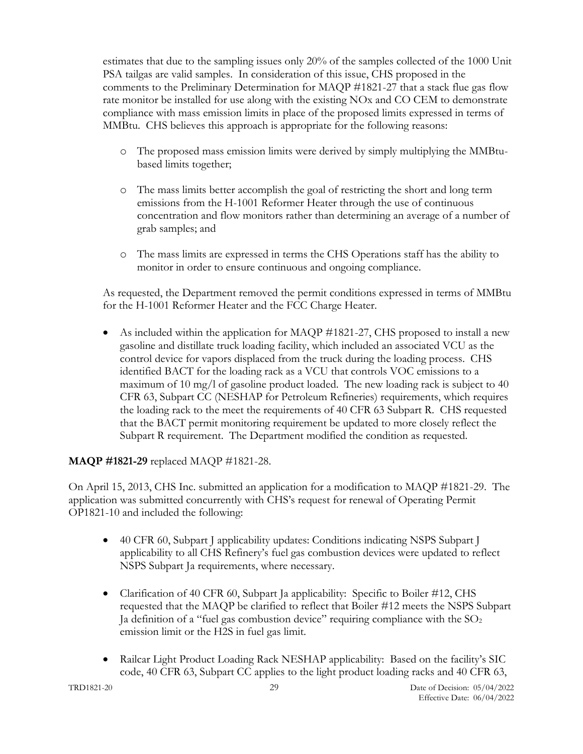estimates that due to the sampling issues only 20% of the samples collected of the 1000 Unit PSA tailgas are valid samples. In consideration of this issue, CHS proposed in the comments to the Preliminary Determination for MAQP #1821-27 that a stack flue gas flow rate monitor be installed for use along with the existing NOx and CO CEM to demonstrate compliance with mass emission limits in place of the proposed limits expressed in terms of MMBtu. CHS believes this approach is appropriate for the following reasons:

- o The proposed mass emission limits were derived by simply multiplying the MMBtubased limits together;
- o The mass limits better accomplish the goal of restricting the short and long term emissions from the H-1001 Reformer Heater through the use of continuous concentration and flow monitors rather than determining an average of a number of grab samples; and
- o The mass limits are expressed in terms the CHS Operations staff has the ability to monitor in order to ensure continuous and ongoing compliance.

As requested, the Department removed the permit conditions expressed in terms of MMBtu for the H-1001 Reformer Heater and the FCC Charge Heater.

• As included within the application for MAQP #1821-27, CHS proposed to install a new gasoline and distillate truck loading facility, which included an associated VCU as the control device for vapors displaced from the truck during the loading process. CHS identified BACT for the loading rack as a VCU that controls VOC emissions to a maximum of 10 mg/l of gasoline product loaded. The new loading rack is subject to 40 CFR 63, Subpart CC (NESHAP for Petroleum Refineries) requirements, which requires the loading rack to the meet the requirements of 40 CFR 63 Subpart R. CHS requested that the BACT permit monitoring requirement be updated to more closely reflect the Subpart R requirement. The Department modified the condition as requested.

#### **MAQP #1821-29** replaced MAQP #1821-28.

On April 15, 2013, CHS Inc. submitted an application for a modification to MAQP #1821-29. The application was submitted concurrently with CHS's request for renewal of Operating Permit OP1821-10 and included the following:

- 40 CFR 60, Subpart I applicability updates: Conditions indicating NSPS Subpart I applicability to all CHS Refinery's fuel gas combustion devices were updated to reflect NSPS Subpart Ja requirements, where necessary.
- Clarification of 40 CFR 60, Subpart Ja applicability: Specific to Boiler #12, CHS requested that the MAQP be clarified to reflect that Boiler #12 meets the NSPS Subpart Ja definition of a "fuel gas combustion device" requiring compliance with the  $SO<sub>2</sub>$ emission limit or the H2S in fuel gas limit.
- Railcar Light Product Loading Rack NESHAP applicability: Based on the facility's SIC code, 40 CFR 63, Subpart CC applies to the light product loading racks and 40 CFR 63,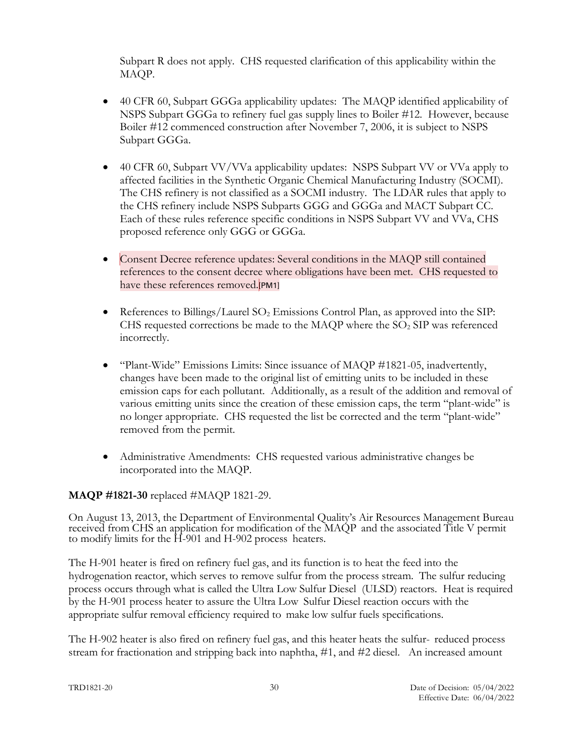Subpart R does not apply. CHS requested clarification of this applicability within the MAQP.

- 40 CFR 60, Subpart GGGa applicability updates: The MAQP identified applicability of NSPS Subpart GGGa to refinery fuel gas supply lines to Boiler #12. However, because Boiler #12 commenced construction after November 7, 2006, it is subject to NSPS Subpart GGGa.
- 40 CFR 60, Subpart VV/VVa applicability updates: NSPS Subpart VV or VVa apply to affected facilities in the Synthetic Organic Chemical Manufacturing Industry (SOCMI). The CHS refinery is not classified as a SOCMI industry. The LDAR rules that apply to the CHS refinery include NSPS Subparts GGG and GGGa and MACT Subpart CC. Each of these rules reference specific conditions in NSPS Subpart VV and VVa, CHS proposed reference only GGG or GGGa.
- Consent Decree reference updates: Several conditions in the MAQP still contained references to the consent decree where obligations have been met. CHS requested to have these references removed.[PM1]
- References to Billings/Laurel  $SO_2$  Emissions Control Plan, as approved into the SIP: CHS requested corrections be made to the MAQP where the  $SO<sub>2</sub>$  SIP was referenced incorrectly.
- "Plant-Wide" Emissions Limits: Since issuance of MAQP #1821-05, inadvertently, changes have been made to the original list of emitting units to be included in these emission caps for each pollutant. Additionally, as a result of the addition and removal of various emitting units since the creation of these emission caps, the term "plant-wide" is no longer appropriate. CHS requested the list be corrected and the term "plant-wide" removed from the permit.
- Administrative Amendments: CHS requested various administrative changes be incorporated into the MAQP.

# **MAQP #1821-30** replaced #MAQP 1821-29.

On August 13, 2013, the Department of Environmental Quality's Air Resources Management Bureau received from CHS an application for modification of the MAQP and the associated Title V permit to modify limits for the H-901 and H-902 process heaters.

The H-901 heater is fired on refinery fuel gas, and its function is to heat the feed into the hydrogenation reactor, which serves to remove sulfur from the process stream. The sulfur reducing process occurs through what is called the Ultra Low Sulfur Diesel (ULSD) reactors. Heat is required by the H-901 process heater to assure the Ultra Low Sulfur Diesel reaction occurs with the appropriate sulfur removal efficiency required to make low sulfur fuels specifications.

The H-902 heater is also fired on refinery fuel gas, and this heater heats the sulfur- reduced process stream for fractionation and stripping back into naphtha, #1, and #2 diesel. An increased amount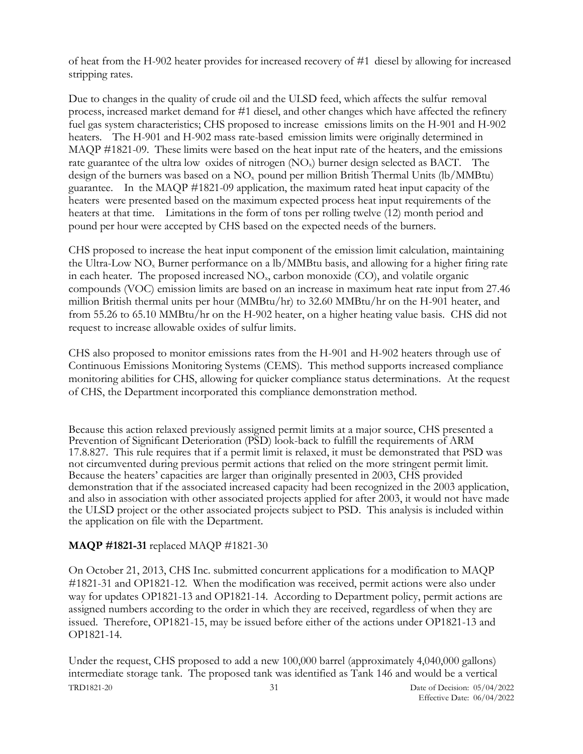of heat from the H-902 heater provides for increased recovery of #1 diesel by allowing for increased stripping rates.

Due to changes in the quality of crude oil and the ULSD feed, which affects the sulfur removal process, increased market demand for #1 diesel, and other changes which have affected the refinery fuel gas system characteristics; CHS proposed to increase emissions limits on the H-901 and H-902 heaters. The H-901 and H-902 mass rate-based emission limits were originally determined in MAQP #1821-09. These limits were based on the heat input rate of the heaters, and the emissions rate guarantee of the ultra low oxides of nitrogen (NO<sub>x</sub>) burner design selected as BACT. The design of the burners was based on a  $NO<sub>x</sub>$  pound per million British Thermal Units (lb/MMBtu) guarantee. In the MAQP #1821-09 application, the maximum rated heat input capacity of the heaters were presented based on the maximum expected process heat input requirements of the heaters at that time. Limitations in the form of tons per rolling twelve (12) month period and pound per hour were accepted by CHS based on the expected needs of the burners.

CHS proposed to increase the heat input component of the emission limit calculation, maintaining the Ultra-Low  $NO<sub>x</sub>$  Burner performance on a lb/MMBtu basis, and allowing for a higher firing rate in each heater. The proposed increased  $NO<sub>x</sub>$ , carbon monoxide (CO), and volatile organic compounds (VOC) emission limits are based on an increase in maximum heat rate input from 27.46 million British thermal units per hour (MMBtu/hr) to 32.60 MMBtu/hr on the H-901 heater, and from 55.26 to 65.10 MMBtu/hr on the H-902 heater, on a higher heating value basis. CHS did not request to increase allowable oxides of sulfur limits.

CHS also proposed to monitor emissions rates from the H-901 and H-902 heaters through use of Continuous Emissions Monitoring Systems (CEMS). This method supports increased compliance monitoring abilities for CHS, allowing for quicker compliance status determinations. At the request of CHS, the Department incorporated this compliance demonstration method.

Because this action relaxed previously assigned permit limits at a major source, CHS presented a Prevention of Significant Deterioration (PSD) look-back to fulfill the requirements of ARM 17.8.827. This rule requires that if a permit limit is relaxed, it must be demonstrated that PSD was not circumvented during previous permit actions that relied on the more stringent permit limit. Because the heaters' capacities are larger than originally presented in 2003, CHS provided demonstration that if the associated increased capacity had been recognized in the 2003 application, and also in association with other associated projects applied for after 2003, it would not have made the ULSD project or the other associated projects subject to PSD. This analysis is included within the application on file with the Department.

#### **MAQP #1821-31** replaced MAQP #1821-30

On October 21, 2013, CHS Inc. submitted concurrent applications for a modification to MAQP #1821-31 and OP1821-12. When the modification was received, permit actions were also under way for updates OP1821-13 and OP1821-14. According to Department policy, permit actions are assigned numbers according to the order in which they are received, regardless of when they are issued. Therefore, OP1821-15, may be issued before either of the actions under OP1821-13 and OP1821-14.

TRD1821-20 31 Date of Decision: 05/04/2022 Under the request, CHS proposed to add a new 100,000 barrel (approximately 4,040,000 gallons) intermediate storage tank. The proposed tank was identified as Tank 146 and would be a vertical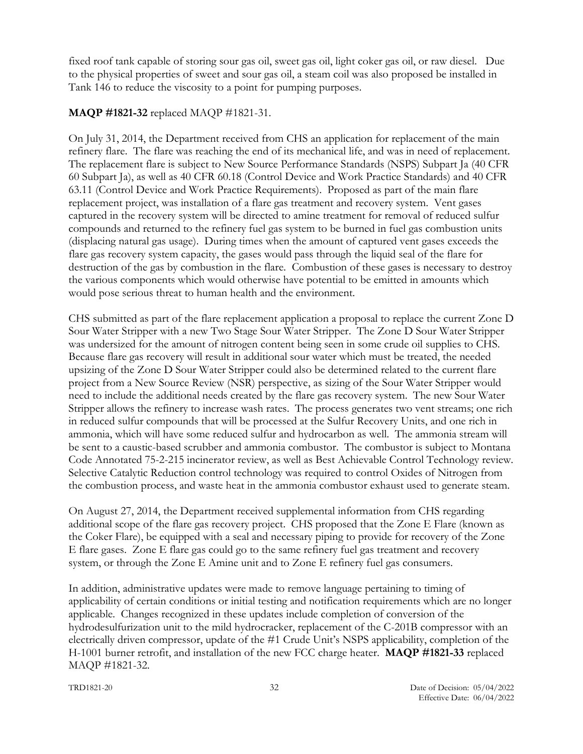fixed roof tank capable of storing sour gas oil, sweet gas oil, light coker gas oil, or raw diesel. Due to the physical properties of sweet and sour gas oil, a steam coil was also proposed be installed in Tank 146 to reduce the viscosity to a point for pumping purposes.

## **MAQP #1821-32** replaced MAQP #1821-31.

On July 31, 2014, the Department received from CHS an application for replacement of the main refinery flare. The flare was reaching the end of its mechanical life, and was in need of replacement. The replacement flare is subject to New Source Performance Standards (NSPS) Subpart Ja (40 CFR 60 Subpart Ja), as well as 40 CFR 60.18 (Control Device and Work Practice Standards) and 40 CFR 63.11 (Control Device and Work Practice Requirements). Proposed as part of the main flare replacement project, was installation of a flare gas treatment and recovery system. Vent gases captured in the recovery system will be directed to amine treatment for removal of reduced sulfur compounds and returned to the refinery fuel gas system to be burned in fuel gas combustion units (displacing natural gas usage). During times when the amount of captured vent gases exceeds the flare gas recovery system capacity, the gases would pass through the liquid seal of the flare for destruction of the gas by combustion in the flare. Combustion of these gases is necessary to destroy the various components which would otherwise have potential to be emitted in amounts which would pose serious threat to human health and the environment.

CHS submitted as part of the flare replacement application a proposal to replace the current Zone D Sour Water Stripper with a new Two Stage Sour Water Stripper. The Zone D Sour Water Stripper was undersized for the amount of nitrogen content being seen in some crude oil supplies to CHS. Because flare gas recovery will result in additional sour water which must be treated, the needed upsizing of the Zone D Sour Water Stripper could also be determined related to the current flare project from a New Source Review (NSR) perspective, as sizing of the Sour Water Stripper would need to include the additional needs created by the flare gas recovery system. The new Sour Water Stripper allows the refinery to increase wash rates. The process generates two vent streams; one rich in reduced sulfur compounds that will be processed at the Sulfur Recovery Units, and one rich in ammonia, which will have some reduced sulfur and hydrocarbon as well. The ammonia stream will be sent to a caustic-based scrubber and ammonia combustor. The combustor is subject to Montana Code Annotated 75-2-215 incinerator review, as well as Best Achievable Control Technology review. Selective Catalytic Reduction control technology was required to control Oxides of Nitrogen from the combustion process, and waste heat in the ammonia combustor exhaust used to generate steam.

On August 27, 2014, the Department received supplemental information from CHS regarding additional scope of the flare gas recovery project. CHS proposed that the Zone E Flare (known as the Coker Flare), be equipped with a seal and necessary piping to provide for recovery of the Zone E flare gases. Zone E flare gas could go to the same refinery fuel gas treatment and recovery system, or through the Zone E Amine unit and to Zone E refinery fuel gas consumers.

In addition, administrative updates were made to remove language pertaining to timing of applicability of certain conditions or initial testing and notification requirements which are no longer applicable. Changes recognized in these updates include completion of conversion of the hydrodesulfurization unit to the mild hydrocracker, replacement of the C-201B compressor with an electrically driven compressor, update of the #1 Crude Unit's NSPS applicability, completion of the H-1001 burner retrofit, and installation of the new FCC charge heater. **MAQP #1821-33** replaced MAQP #1821-32.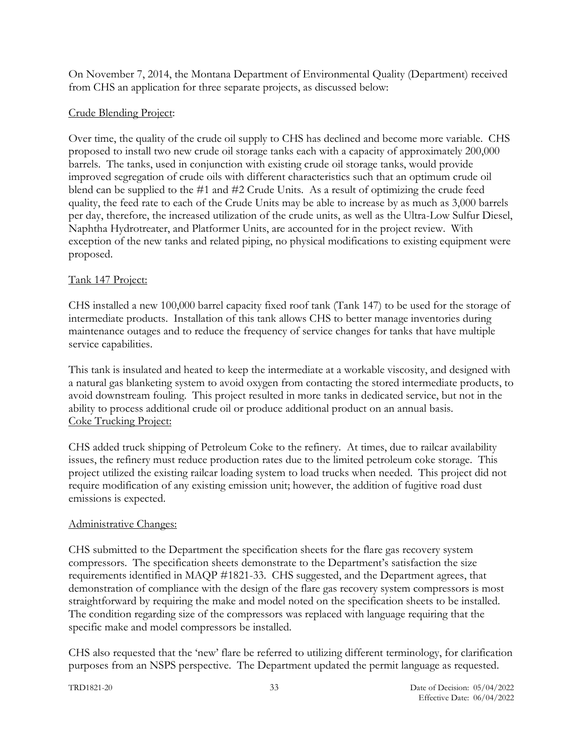On November 7, 2014, the Montana Department of Environmental Quality (Department) received from CHS an application for three separate projects, as discussed below:

### Crude Blending Project:

Over time, the quality of the crude oil supply to CHS has declined and become more variable. CHS proposed to install two new crude oil storage tanks each with a capacity of approximately 200,000 barrels. The tanks, used in conjunction with existing crude oil storage tanks, would provide improved segregation of crude oils with different characteristics such that an optimum crude oil blend can be supplied to the #1 and #2 Crude Units. As a result of optimizing the crude feed quality, the feed rate to each of the Crude Units may be able to increase by as much as 3,000 barrels per day, therefore, the increased utilization of the crude units, as well as the Ultra-Low Sulfur Diesel, Naphtha Hydrotreater, and Platformer Units, are accounted for in the project review. With exception of the new tanks and related piping, no physical modifications to existing equipment were proposed.

### Tank 147 Project:

CHS installed a new 100,000 barrel capacity fixed roof tank (Tank 147) to be used for the storage of intermediate products. Installation of this tank allows CHS to better manage inventories during maintenance outages and to reduce the frequency of service changes for tanks that have multiple service capabilities.

This tank is insulated and heated to keep the intermediate at a workable viscosity, and designed with a natural gas blanketing system to avoid oxygen from contacting the stored intermediate products, to avoid downstream fouling. This project resulted in more tanks in dedicated service, but not in the ability to process additional crude oil or produce additional product on an annual basis. Coke Trucking Project:

CHS added truck shipping of Petroleum Coke to the refinery. At times, due to railcar availability issues, the refinery must reduce production rates due to the limited petroleum coke storage. This project utilized the existing railcar loading system to load trucks when needed. This project did not require modification of any existing emission unit; however, the addition of fugitive road dust emissions is expected.

#### Administrative Changes:

CHS submitted to the Department the specification sheets for the flare gas recovery system compressors. The specification sheets demonstrate to the Department's satisfaction the size requirements identified in MAQP #1821-33. CHS suggested, and the Department agrees, that demonstration of compliance with the design of the flare gas recovery system compressors is most straightforward by requiring the make and model noted on the specification sheets to be installed. The condition regarding size of the compressors was replaced with language requiring that the specific make and model compressors be installed.

CHS also requested that the 'new' flare be referred to utilizing different terminology, for clarification purposes from an NSPS perspective. The Department updated the permit language as requested.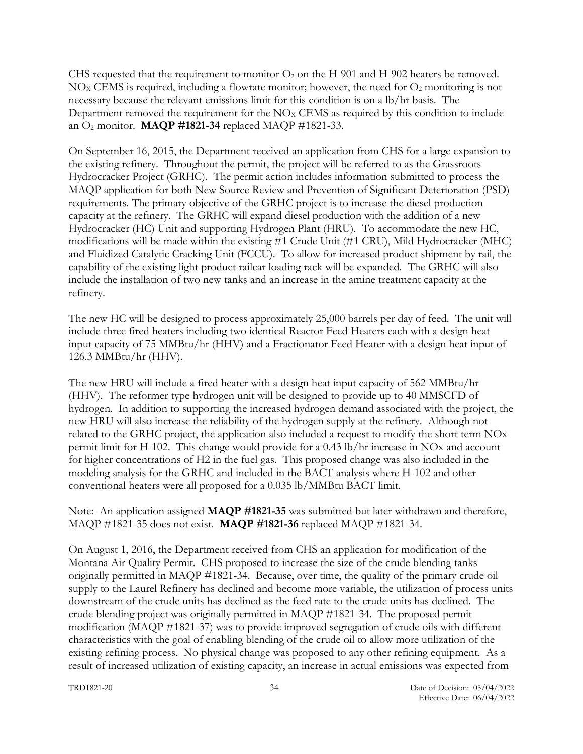CHS requested that the requirement to monitor  $O_2$  on the H-901 and H-902 heaters be removed.  $NO<sub>x</sub>$  CEMS is required, including a flowrate monitor; however, the need for  $O<sub>2</sub>$  monitoring is not necessary because the relevant emissions limit for this condition is on a lb/hr basis. The Department removed the requirement for the  $NO<sub>x</sub>$  CEMS as required by this condition to include an O<sup>2</sup> monitor. **MAQP #1821-34** replaced MAQP #1821-33.

On September 16, 2015, the Department received an application from CHS for a large expansion to the existing refinery. Throughout the permit, the project will be referred to as the Grassroots Hydrocracker Project (GRHC). The permit action includes information submitted to process the MAQP application for both New Source Review and Prevention of Significant Deterioration (PSD) requirements. The primary objective of the GRHC project is to increase the diesel production capacity at the refinery. The GRHC will expand diesel production with the addition of a new Hydrocracker (HC) Unit and supporting Hydrogen Plant (HRU). To accommodate the new HC, modifications will be made within the existing #1 Crude Unit (#1 CRU), Mild Hydrocracker (MHC) and Fluidized Catalytic Cracking Unit (FCCU). To allow for increased product shipment by rail, the capability of the existing light product railcar loading rack will be expanded. The GRHC will also include the installation of two new tanks and an increase in the amine treatment capacity at the refinery.

The new HC will be designed to process approximately 25,000 barrels per day of feed. The unit will include three fired heaters including two identical Reactor Feed Heaters each with a design heat input capacity of 75 MMBtu/hr (HHV) and a Fractionator Feed Heater with a design heat input of 126.3 MMBtu/hr (HHV).

The new HRU will include a fired heater with a design heat input capacity of 562 MMBtu/hr (HHV). The reformer type hydrogen unit will be designed to provide up to 40 MMSCFD of hydrogen. In addition to supporting the increased hydrogen demand associated with the project, the new HRU will also increase the reliability of the hydrogen supply at the refinery. Although not related to the GRHC project, the application also included a request to modify the short term NOx permit limit for H-102. This change would provide for a 0.43 lb/hr increase in NOx and account for higher concentrations of H2 in the fuel gas. This proposed change was also included in the modeling analysis for the GRHC and included in the BACT analysis where H-102 and other conventional heaters were all proposed for a 0.035 lb/MMBtu BACT limit.

Note: An application assigned **MAQP #1821-35** was submitted but later withdrawn and therefore, MAQP #1821-35 does not exist. **MAQP #1821-36** replaced MAQP #1821-34.

On August 1, 2016, the Department received from CHS an application for modification of the Montana Air Quality Permit. CHS proposed to increase the size of the crude blending tanks originally permitted in MAQP #1821-34. Because, over time, the quality of the primary crude oil supply to the Laurel Refinery has declined and become more variable, the utilization of process units downstream of the crude units has declined as the feed rate to the crude units has declined. The crude blending project was originally permitted in MAQP #1821-34. The proposed permit modification (MAQP #1821-37) was to provide improved segregation of crude oils with different characteristics with the goal of enabling blending of the crude oil to allow more utilization of the existing refining process. No physical change was proposed to any other refining equipment. As a result of increased utilization of existing capacity, an increase in actual emissions was expected from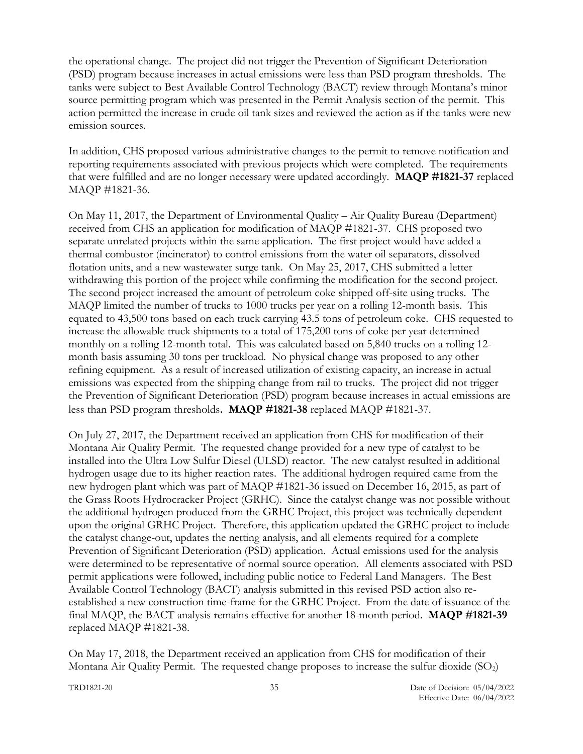the operational change. The project did not trigger the Prevention of Significant Deterioration (PSD) program because increases in actual emissions were less than PSD program thresholds. The tanks were subject to Best Available Control Technology (BACT) review through Montana's minor source permitting program which was presented in the Permit Analysis section of the permit. This action permitted the increase in crude oil tank sizes and reviewed the action as if the tanks were new emission sources.

In addition, CHS proposed various administrative changes to the permit to remove notification and reporting requirements associated with previous projects which were completed. The requirements that were fulfilled and are no longer necessary were updated accordingly. **MAQP #1821-37** replaced MAQP #1821-36.

On May 11, 2017, the Department of Environmental Quality – Air Quality Bureau (Department) received from CHS an application for modification of MAQP #1821-37. CHS proposed two separate unrelated projects within the same application. The first project would have added a thermal combustor (incinerator) to control emissions from the water oil separators, dissolved flotation units, and a new wastewater surge tank. On May 25, 2017, CHS submitted a letter withdrawing this portion of the project while confirming the modification for the second project. The second project increased the amount of petroleum coke shipped off-site using trucks. The MAQP limited the number of trucks to 1000 trucks per year on a rolling 12-month basis. This equated to 43,500 tons based on each truck carrying 43.5 tons of petroleum coke. CHS requested to increase the allowable truck shipments to a total of 175,200 tons of coke per year determined monthly on a rolling 12-month total. This was calculated based on 5,840 trucks on a rolling 12 month basis assuming 30 tons per truckload. No physical change was proposed to any other refining equipment. As a result of increased utilization of existing capacity, an increase in actual emissions was expected from the shipping change from rail to trucks. The project did not trigger the Prevention of Significant Deterioration (PSD) program because increases in actual emissions are less than PSD program thresholds. **MAQP #1821-38** replaced MAQP #1821-37.

On July 27, 2017, the Department received an application from CHS for modification of their Montana Air Quality Permit. The requested change provided for a new type of catalyst to be installed into the Ultra Low Sulfur Diesel (ULSD) reactor. The new catalyst resulted in additional hydrogen usage due to its higher reaction rates. The additional hydrogen required came from the new hydrogen plant which was part of MAQP #1821-36 issued on December 16, 2015, as part of the Grass Roots Hydrocracker Project (GRHC). Since the catalyst change was not possible without the additional hydrogen produced from the GRHC Project, this project was technically dependent upon the original GRHC Project. Therefore, this application updated the GRHC project to include the catalyst change-out, updates the netting analysis, and all elements required for a complete Prevention of Significant Deterioration (PSD) application. Actual emissions used for the analysis were determined to be representative of normal source operation. All elements associated with PSD permit applications were followed, including public notice to Federal Land Managers. The Best Available Control Technology (BACT) analysis submitted in this revised PSD action also reestablished a new construction time-frame for the GRHC Project. From the date of issuance of the final MAQP, the BACT analysis remains effective for another 18-month period. **MAQP #1821-39** replaced MAQP #1821-38.

On May 17, 2018, the Department received an application from CHS for modification of their Montana Air Quality Permit. The requested change proposes to increase the sulfur dioxide  $(SO<sub>2</sub>)$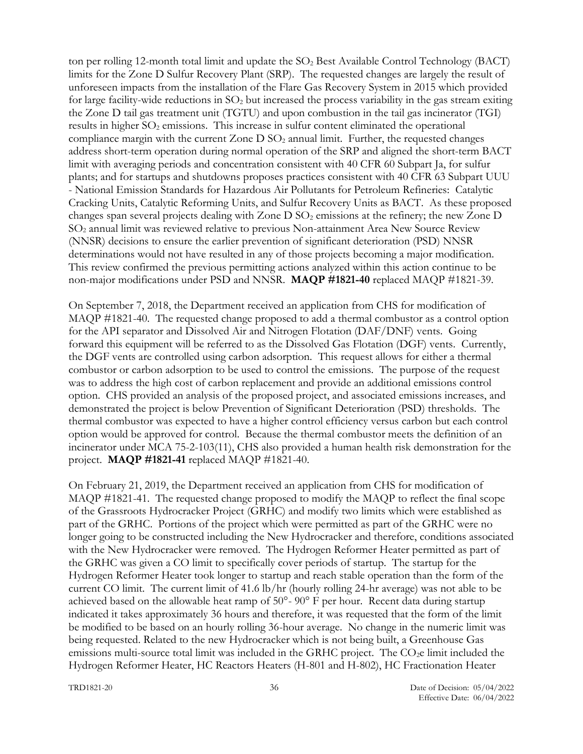ton per rolling 12-month total limit and update the  $SO<sub>2</sub>$  Best Available Control Technology (BACT) limits for the Zone D Sulfur Recovery Plant (SRP). The requested changes are largely the result of unforeseen impacts from the installation of the Flare Gas Recovery System in 2015 which provided for large facility-wide reductions in SO<sub>2</sub> but increased the process variability in the gas stream exiting the Zone D tail gas treatment unit (TGTU) and upon combustion in the tail gas incinerator (TGI) results in higher  $SO<sub>2</sub>$  emissions. This increase in sulfur content eliminated the operational compliance margin with the current Zone  $D SO<sub>2</sub>$  annual limit. Further, the requested changes address short-term operation during normal operation of the SRP and aligned the short-term BACT limit with averaging periods and concentration consistent with 40 CFR 60 Subpart Ja, for sulfur plants; and for startups and shutdowns proposes practices consistent with 40 CFR 63 Subpart UUU - National Emission Standards for Hazardous Air Pollutants for Petroleum Refineries: Catalytic Cracking Units, Catalytic Reforming Units, and Sulfur Recovery Units as BACT. As these proposed changes span several projects dealing with Zone  $D SO<sub>2</sub>$  emissions at the refinery; the new Zone  $D$ SO<sup>2</sup> annual limit was reviewed relative to previous Non-attainment Area New Source Review (NNSR) decisions to ensure the earlier prevention of significant deterioration (PSD) NNSR determinations would not have resulted in any of those projects becoming a major modification. This review confirmed the previous permitting actions analyzed within this action continue to be non-major modifications under PSD and NNSR. **MAQP #1821-40** replaced MAQP #1821-39.

On September 7, 2018, the Department received an application from CHS for modification of MAQP #1821-40. The requested change proposed to add a thermal combustor as a control option for the API separator and Dissolved Air and Nitrogen Flotation (DAF/DNF) vents. Going forward this equipment will be referred to as the Dissolved Gas Flotation (DGF) vents. Currently, the DGF vents are controlled using carbon adsorption. This request allows for either a thermal combustor or carbon adsorption to be used to control the emissions. The purpose of the request was to address the high cost of carbon replacement and provide an additional emissions control option. CHS provided an analysis of the proposed project, and associated emissions increases, and demonstrated the project is below Prevention of Significant Deterioration (PSD) thresholds. The thermal combustor was expected to have a higher control efficiency versus carbon but each control option would be approved for control. Because the thermal combustor meets the definition of an incinerator under MCA 75-2-103(11), CHS also provided a human health risk demonstration for the project. **MAQP #1821-41** replaced MAQP #1821-40.

On February 21, 2019, the Department received an application from CHS for modification of MAQP #1821-41. The requested change proposed to modify the MAQP to reflect the final scope of the Grassroots Hydrocracker Project (GRHC) and modify two limits which were established as part of the GRHC. Portions of the project which were permitted as part of the GRHC were no longer going to be constructed including the New Hydrocracker and therefore, conditions associated with the New Hydrocracker were removed. The Hydrogen Reformer Heater permitted as part of the GRHC was given a CO limit to specifically cover periods of startup. The startup for the Hydrogen Reformer Heater took longer to startup and reach stable operation than the form of the current CO limit. The current limit of 41.6 lb/hr (hourly rolling 24-hr average) was not able to be achieved based on the allowable heat ramp of 50°- 90° F per hour. Recent data during startup indicated it takes approximately 36 hours and therefore, it was requested that the form of the limit be modified to be based on an hourly rolling 36-hour average. No change in the numeric limit was being requested. Related to the new Hydrocracker which is not being built, a Greenhouse Gas emissions multi-source total limit was included in the GRHC project. The CO<sub>2</sub>e limit included the Hydrogen Reformer Heater, HC Reactors Heaters (H-801 and H-802), HC Fractionation Heater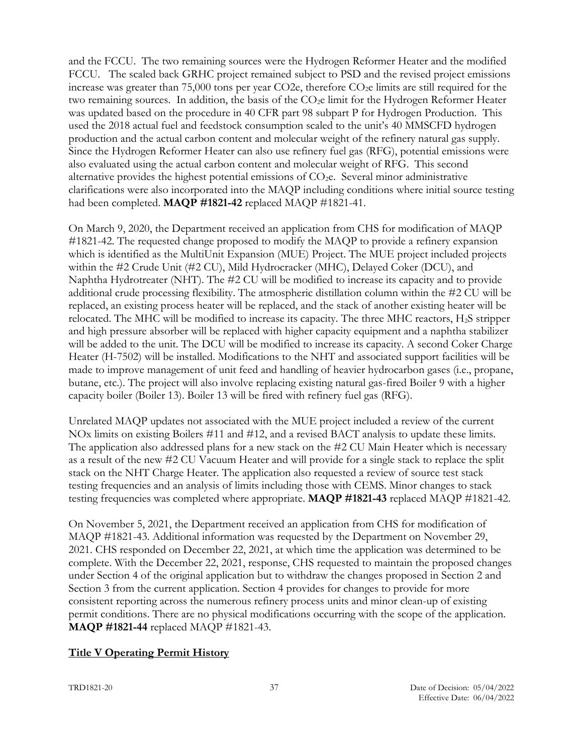and the FCCU. The two remaining sources were the Hydrogen Reformer Heater and the modified FCCU. The scaled back GRHC project remained subject to PSD and the revised project emissions increase was greater than 75,000 tons per year CO2e, therefore  $CO<sub>2</sub>e$  limits are still required for the two remaining sources. In addition, the basis of the  $CO<sub>2</sub>e$  limit for the Hydrogen Reformer Heater was updated based on the procedure in 40 CFR part 98 subpart P for Hydrogen Production. This used the 2018 actual fuel and feedstock consumption scaled to the unit's 40 MMSCFD hydrogen production and the actual carbon content and molecular weight of the refinery natural gas supply. Since the Hydrogen Reformer Heater can also use refinery fuel gas (RFG), potential emissions were also evaluated using the actual carbon content and molecular weight of RFG. This second alternative provides the highest potential emissions of  $CO<sub>2</sub>e$ . Several minor administrative clarifications were also incorporated into the MAQP including conditions where initial source testing had been completed. **MAQP #1821-42** replaced MAQP #1821-41.

On March 9, 2020, the Department received an application from CHS for modification of MAQP #1821-42. The requested change proposed to modify the MAQP to provide a refinery expansion which is identified as the MultiUnit Expansion (MUE) Project. The MUE project included projects within the #2 Crude Unit (#2 CU), Mild Hydrocracker (MHC), Delayed Coker (DCU), and Naphtha Hydrotreater (NHT). The #2 CU will be modified to increase its capacity and to provide additional crude processing flexibility. The atmospheric distillation column within the #2 CU will be replaced, an existing process heater will be replaced, and the stack of another existing heater will be relocated. The MHC will be modified to increase its capacity. The three MHC reactors, H2S stripper and high pressure absorber will be replaced with higher capacity equipment and a naphtha stabilizer will be added to the unit. The DCU will be modified to increase its capacity. A second Coker Charge Heater (H-7502) will be installed. Modifications to the NHT and associated support facilities will be made to improve management of unit feed and handling of heavier hydrocarbon gases (i.e., propane, butane, etc.). The project will also involve replacing existing natural gas-fired Boiler 9 with a higher capacity boiler (Boiler 13). Boiler 13 will be fired with refinery fuel gas (RFG).

Unrelated MAQP updates not associated with the MUE project included a review of the current NOx limits on existing Boilers #11 and #12, and a revised BACT analysis to update these limits. The application also addressed plans for a new stack on the #2 CU Main Heater which is necessary as a result of the new #2 CU Vacuum Heater and will provide for a single stack to replace the split stack on the NHT Charge Heater. The application also requested a review of source test stack testing frequencies and an analysis of limits including those with CEMS. Minor changes to stack testing frequencies was completed where appropriate. **MAQP #1821-43** replaced MAQP #1821-42.

On November 5, 2021, the Department received an application from CHS for modification of MAQP #1821-43. Additional information was requested by the Department on November 29, 2021. CHS responded on December 22, 2021, at which time the application was determined to be complete. With the December 22, 2021, response, CHS requested to maintain the proposed changes under Section 4 of the original application but to withdraw the changes proposed in Section 2 and Section 3 from the current application. Section 4 provides for changes to provide for more consistent reporting across the numerous refinery process units and minor clean-up of existing permit conditions. There are no physical modifications occurring with the scope of the application. **MAQP #1821-44** replaced MAQP #1821-43.

#### **Title V Operating Permit History**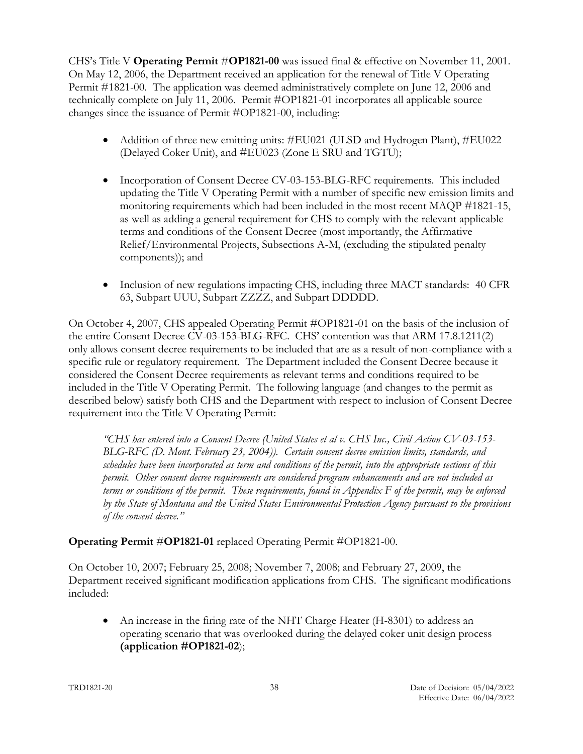CHS's Title V **Operating Permit** #**OP1821-00** was issued final & effective on November 11, 2001. On May 12, 2006, the Department received an application for the renewal of Title V Operating Permit #1821-00. The application was deemed administratively complete on June 12, 2006 and technically complete on July 11, 2006. Permit #OP1821-01 incorporates all applicable source changes since the issuance of Permit #OP1821-00, including:

- Addition of three new emitting units: #EU021 (ULSD and Hydrogen Plant), #EU022 (Delayed Coker Unit), and #EU023 (Zone E SRU and TGTU);
- Incorporation of Consent Decree CV-03-153-BLG-RFC requirements. This included updating the Title V Operating Permit with a number of specific new emission limits and monitoring requirements which had been included in the most recent MAQP #1821-15, as well as adding a general requirement for CHS to comply with the relevant applicable terms and conditions of the Consent Decree (most importantly, the Affirmative Relief/Environmental Projects, Subsections A-M, (excluding the stipulated penalty components)); and
- Inclusion of new regulations impacting CHS, including three MACT standards: 40 CFR 63, Subpart UUU, Subpart ZZZZ, and Subpart DDDDD.

On October 4, 2007, CHS appealed Operating Permit #OP1821-01 on the basis of the inclusion of the entire Consent Decree CV-03-153-BLG-RFC. CHS' contention was that ARM 17.8.1211(2) only allows consent decree requirements to be included that are as a result of non-compliance with a specific rule or regulatory requirement. The Department included the Consent Decree because it considered the Consent Decree requirements as relevant terms and conditions required to be included in the Title V Operating Permit. The following language (and changes to the permit as described below) satisfy both CHS and the Department with respect to inclusion of Consent Decree requirement into the Title V Operating Permit:

*"CHS has entered into a Consent Decree (United States et al v. CHS Inc., Civil Action CV-03-153- BLG-RFC (D. Mont. February 23, 2004)). Certain consent decree emission limits, standards, and schedules have been incorporated as term and conditions of the permit, into the appropriate sections of this permit. Other consent decree requirements are considered program enhancements and are not included as terms or conditions of the permit. These requirements, found in Appendix F of the permit, may be enforced by the State of Montana and the United States Environmental Protection Agency pursuant to the provisions of the consent decree."*

# **Operating Permit** #**OP1821-01** replaced Operating Permit #OP1821-00.

On October 10, 2007; February 25, 2008; November 7, 2008; and February 27, 2009, the Department received significant modification applications from CHS. The significant modifications included:

• An increase in the firing rate of the NHT Charge Heater (H-8301) to address an operating scenario that was overlooked during the delayed coker unit design process **(application #OP1821-02**);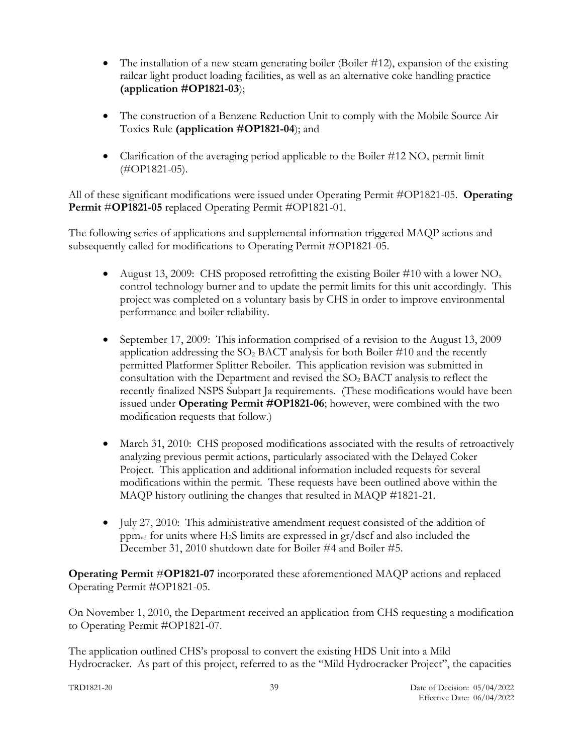- The installation of a new steam generating boiler (Boiler #12), expansion of the existing railcar light product loading facilities, as well as an alternative coke handling practice **(application #OP1821-03**);
- The construction of a Benzene Reduction Unit to comply with the Mobile Source Air Toxics Rule **(application #OP1821-04**); and
- Clarification of the averaging period applicable to the Boiler  $#12 \text{ NO}_x$  permit limit (#OP1821-05).

All of these significant modifications were issued under Operating Permit #OP1821-05. **Operating Permit** #**OP1821-05** replaced Operating Permit #OP1821-01.

The following series of applications and supplemental information triggered MAQP actions and subsequently called for modifications to Operating Permit #OP1821-05.

- August 13, 2009: CHS proposed retrofitting the existing Boiler #10 with a lower NO<sub>x</sub> control technology burner and to update the permit limits for this unit accordingly. This project was completed on a voluntary basis by CHS in order to improve environmental performance and boiler reliability.
- September 17, 2009: This information comprised of a revision to the August 13, 2009 application addressing the  $SO_2$  BACT analysis for both Boiler #10 and the recently permitted Platformer Splitter Reboiler. This application revision was submitted in consultation with the Department and revised the  $SO<sub>2</sub>$  BACT analysis to reflect the recently finalized NSPS Subpart Ja requirements. (These modifications would have been issued under **Operating Permit #OP1821-06**; however, were combined with the two modification requests that follow.)
- March 31, 2010: CHS proposed modifications associated with the results of retroactively analyzing previous permit actions, particularly associated with the Delayed Coker Project. This application and additional information included requests for several modifications within the permit. These requests have been outlined above within the MAQP history outlining the changes that resulted in MAQP #1821-21.
- July 27, 2010: This administrative amendment request consisted of the addition of ppm<sub>vd</sub> for units where H<sub>2</sub>S limits are expressed in  $gr/dscf$  and also included the December 31, 2010 shutdown date for Boiler #4 and Boiler #5.

**Operating Permit** #**OP1821-07** incorporated these aforementioned MAQP actions and replaced Operating Permit #OP1821-05.

On November 1, 2010, the Department received an application from CHS requesting a modification to Operating Permit #OP1821-07.

The application outlined CHS's proposal to convert the existing HDS Unit into a Mild Hydrocracker. As part of this project, referred to as the "Mild Hydrocracker Project", the capacities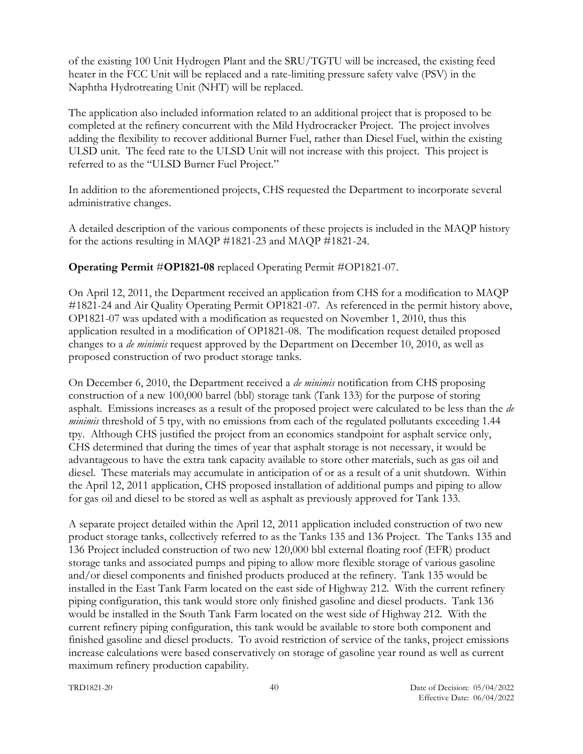of the existing 100 Unit Hydrogen Plant and the SRU/TGTU will be increased, the existing feed heater in the FCC Unit will be replaced and a rate-limiting pressure safety valve (PSV) in the Naphtha Hydrotreating Unit (NHT) will be replaced.

The application also included information related to an additional project that is proposed to be completed at the refinery concurrent with the Mild Hydrocracker Project. The project involves adding the flexibility to recover additional Burner Fuel, rather than Diesel Fuel, within the existing ULSD unit. The feed rate to the ULSD Unit will not increase with this project. This project is referred to as the "ULSD Burner Fuel Project."

In addition to the aforementioned projects, CHS requested the Department to incorporate several administrative changes.

A detailed description of the various components of these projects is included in the MAQP history for the actions resulting in MAQP #1821-23 and MAQP #1821-24.

**Operating Permit** #**OP1821-08** replaced Operating Permit #OP1821-07.

On April 12, 2011, the Department received an application from CHS for a modification to MAQP #1821-24 and Air Quality Operating Permit OP1821-07. As referenced in the permit history above, OP1821-07 was updated with a modification as requested on November 1, 2010, thus this application resulted in a modification of OP1821-08. The modification request detailed proposed changes to a *de minimis* request approved by the Department on December 10, 2010, as well as proposed construction of two product storage tanks.

On December 6, 2010, the Department received a *de minimis* notification from CHS proposing construction of a new 100,000 barrel (bbl) storage tank (Tank 133) for the purpose of storing asphalt. Emissions increases as a result of the proposed project were calculated to be less than the *de minimis* threshold of 5 tpy, with no emissions from each of the regulated pollutants exceeding 1.44 tpy. Although CHS justified the project from an economics standpoint for asphalt service only, CHS determined that during the times of year that asphalt storage is not necessary, it would be advantageous to have the extra tank capacity available to store other materials, such as gas oil and diesel. These materials may accumulate in anticipation of or as a result of a unit shutdown. Within the April 12, 2011 application, CHS proposed installation of additional pumps and piping to allow for gas oil and diesel to be stored as well as asphalt as previously approved for Tank 133.

A separate project detailed within the April 12, 2011 application included construction of two new product storage tanks, collectively referred to as the Tanks 135 and 136 Project. The Tanks 135 and 136 Project included construction of two new 120,000 bbl external floating roof (EFR) product storage tanks and associated pumps and piping to allow more flexible storage of various gasoline and/or diesel components and finished products produced at the refinery. Tank 135 would be installed in the East Tank Farm located on the east side of Highway 212. With the current refinery piping configuration, this tank would store only finished gasoline and diesel products. Tank 136 would be installed in the South Tank Farm located on the west side of Highway 212. With the current refinery piping configuration, this tank would be available to store both component and finished gasoline and diesel products. To avoid restriction of service of the tanks, project emissions increase calculations were based conservatively on storage of gasoline year round as well as current maximum refinery production capability.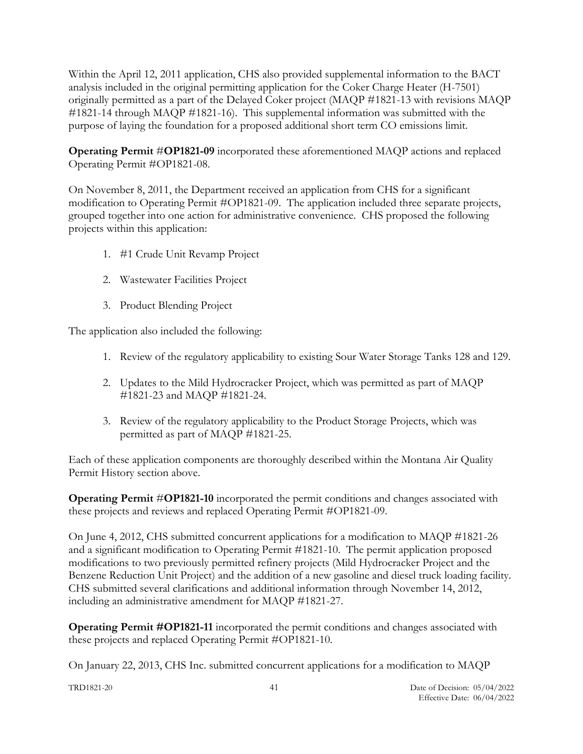Within the April 12, 2011 application, CHS also provided supplemental information to the BACT analysis included in the original permitting application for the Coker Charge Heater (H-7501) originally permitted as a part of the Delayed Coker project (MAQP #1821-13 with revisions MAQP #1821-14 through MAQP #1821-16). This supplemental information was submitted with the purpose of laying the foundation for a proposed additional short term CO emissions limit.

**Operating Permit** #**OP1821-09** incorporated these aforementioned MAQP actions and replaced Operating Permit #OP1821-08.

On November 8, 2011, the Department received an application from CHS for a significant modification to Operating Permit #OP1821-09. The application included three separate projects, grouped together into one action for administrative convenience. CHS proposed the following projects within this application:

- 1. #1 Crude Unit Revamp Project
- 2. Wastewater Facilities Project
- 3. Product Blending Project

The application also included the following:

- 1. Review of the regulatory applicability to existing Sour Water Storage Tanks 128 and 129.
- 2. Updates to the Mild Hydrocracker Project, which was permitted as part of MAQP #1821-23 and MAQP #1821-24.
- 3. Review of the regulatory applicability to the Product Storage Projects, which was permitted as part of MAQP #1821-25.

Each of these application components are thoroughly described within the Montana Air Quality Permit History section above.

**Operating Permit** #**OP1821-10** incorporated the permit conditions and changes associated with these projects and reviews and replaced Operating Permit #OP1821-09.

On June 4, 2012, CHS submitted concurrent applications for a modification to MAQP #1821-26 and a significant modification to Operating Permit #1821-10. The permit application proposed modifications to two previously permitted refinery projects (Mild Hydrocracker Project and the Benzene Reduction Unit Project) and the addition of a new gasoline and diesel truck loading facility. CHS submitted several clarifications and additional information through November 14, 2012, including an administrative amendment for MAQP #1821-27.

**Operating Permit #OP1821-11** incorporated the permit conditions and changes associated with these projects and replaced Operating Permit #OP1821-10.

On January 22, 2013, CHS Inc. submitted concurrent applications for a modification to MAQP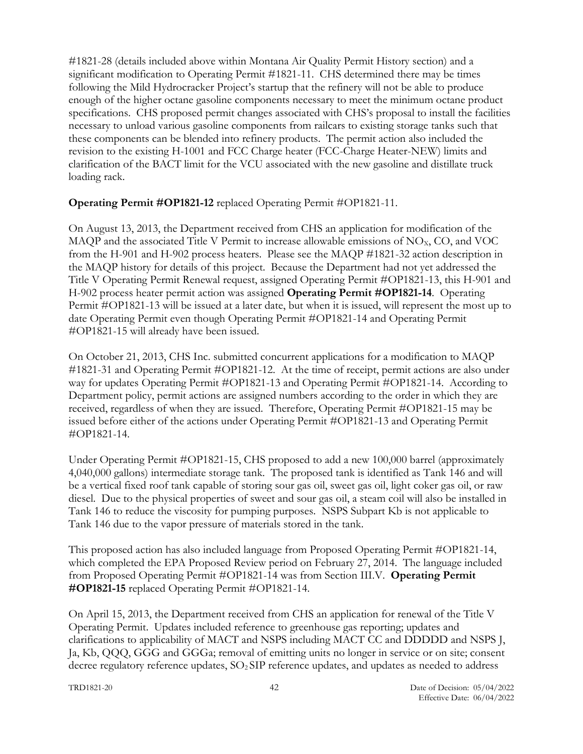#1821-28 (details included above within Montana Air Quality Permit History section) and a significant modification to Operating Permit #1821-11. CHS determined there may be times following the Mild Hydrocracker Project's startup that the refinery will not be able to produce enough of the higher octane gasoline components necessary to meet the minimum octane product specifications. CHS proposed permit changes associated with CHS's proposal to install the facilities necessary to unload various gasoline components from railcars to existing storage tanks such that these components can be blended into refinery products. The permit action also included the revision to the existing H-1001 and FCC Charge heater (FCC-Charge Heater-NEW) limits and clarification of the BACT limit for the VCU associated with the new gasoline and distillate truck loading rack.

### **Operating Permit #OP1821-12** replaced Operating Permit #OP1821-11.

On August 13, 2013, the Department received from CHS an application for modification of the MAQP and the associated Title V Permit to increase allowable emissions of  $NO<sub>X</sub>$ , CO, and VOC from the H-901 and H-902 process heaters. Please see the MAQP #1821-32 action description in the MAQP history for details of this project. Because the Department had not yet addressed the Title V Operating Permit Renewal request, assigned Operating Permit #OP1821-13, this H-901 and H-902 process heater permit action was assigned **Operating Permit #OP1821-14**. Operating Permit #OP1821-13 will be issued at a later date, but when it is issued, will represent the most up to date Operating Permit even though Operating Permit #OP1821-14 and Operating Permit #OP1821-15 will already have been issued.

On October 21, 2013, CHS Inc. submitted concurrent applications for a modification to MAQP #1821-31 and Operating Permit #OP1821-12. At the time of receipt, permit actions are also under way for updates Operating Permit #OP1821-13 and Operating Permit #OP1821-14. According to Department policy, permit actions are assigned numbers according to the order in which they are received, regardless of when they are issued. Therefore, Operating Permit #OP1821-15 may be issued before either of the actions under Operating Permit #OP1821-13 and Operating Permit #OP1821-14.

Under Operating Permit #OP1821-15, CHS proposed to add a new 100,000 barrel (approximately 4,040,000 gallons) intermediate storage tank. The proposed tank is identified as Tank 146 and will be a vertical fixed roof tank capable of storing sour gas oil, sweet gas oil, light coker gas oil, or raw diesel. Due to the physical properties of sweet and sour gas oil, a steam coil will also be installed in Tank 146 to reduce the viscosity for pumping purposes. NSPS Subpart Kb is not applicable to Tank 146 due to the vapor pressure of materials stored in the tank.

This proposed action has also included language from Proposed Operating Permit #OP1821-14, which completed the EPA Proposed Review period on February 27, 2014. The language included from Proposed Operating Permit #OP1821-14 was from Section III.V. **Operating Permit #OP1821-15** replaced Operating Permit #OP1821-14.

On April 15, 2013, the Department received from CHS an application for renewal of the Title V Operating Permit. Updates included reference to greenhouse gas reporting; updates and clarifications to applicability of MACT and NSPS including MACT CC and DDDDD and NSPS J, Ja, Kb, QQQ, GGG and GGGa; removal of emitting units no longer in service or on site; consent decree regulatory reference updates, SO2 SIP reference updates, and updates as needed to address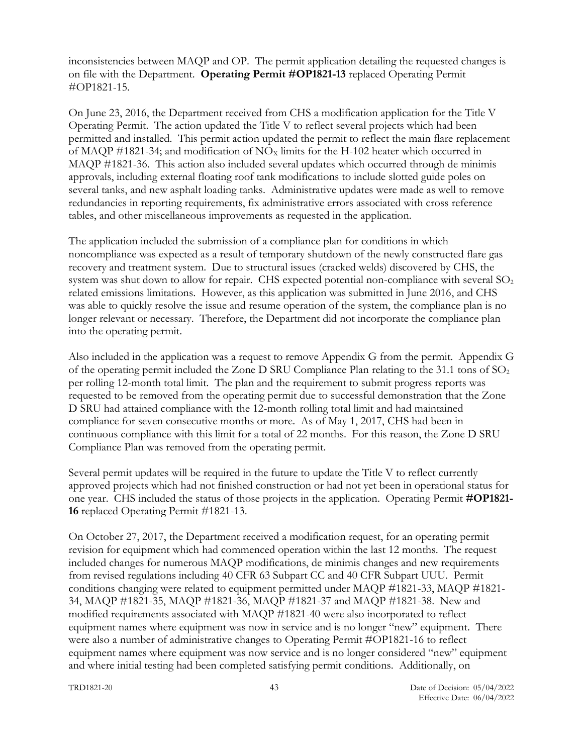inconsistencies between MAQP and OP. The permit application detailing the requested changes is on file with the Department. **Operating Permit #OP1821-13** replaced Operating Permit #OP1821-15.

On June 23, 2016, the Department received from CHS a modification application for the Title V Operating Permit. The action updated the Title V to reflect several projects which had been permitted and installed. This permit action updated the permit to reflect the main flare replacement of MAQP #1821-34; and modification of  $NO<sub>x</sub>$  limits for the H-102 heater which occurred in MAQP #1821-36. This action also included several updates which occurred through de minimis approvals, including external floating roof tank modifications to include slotted guide poles on several tanks, and new asphalt loading tanks. Administrative updates were made as well to remove redundancies in reporting requirements, fix administrative errors associated with cross reference tables, and other miscellaneous improvements as requested in the application.

The application included the submission of a compliance plan for conditions in which noncompliance was expected as a result of temporary shutdown of the newly constructed flare gas recovery and treatment system. Due to structural issues (cracked welds) discovered by CHS, the system was shut down to allow for repair. CHS expected potential non-compliance with several  $SO<sub>2</sub>$ related emissions limitations. However, as this application was submitted in June 2016, and CHS was able to quickly resolve the issue and resume operation of the system, the compliance plan is no longer relevant or necessary. Therefore, the Department did not incorporate the compliance plan into the operating permit.

Also included in the application was a request to remove Appendix G from the permit. Appendix G of the operating permit included the Zone D SRU Compliance Plan relating to the  $31.1$  tons of  $SO<sub>2</sub>$ per rolling 12-month total limit. The plan and the requirement to submit progress reports was requested to be removed from the operating permit due to successful demonstration that the Zone D SRU had attained compliance with the 12-month rolling total limit and had maintained compliance for seven consecutive months or more. As of May 1, 2017, CHS had been in continuous compliance with this limit for a total of 22 months. For this reason, the Zone D SRU Compliance Plan was removed from the operating permit.

Several permit updates will be required in the future to update the Title V to reflect currently approved projects which had not finished construction or had not yet been in operational status for one year. CHS included the status of those projects in the application. Operating Permit **#OP1821- 16** replaced Operating Permit #1821-13.

On October 27, 2017, the Department received a modification request, for an operating permit revision for equipment which had commenced operation within the last 12 months. The request included changes for numerous MAQP modifications, de minimis changes and new requirements from revised regulations including 40 CFR 63 Subpart CC and 40 CFR Subpart UUU. Permit conditions changing were related to equipment permitted under MAQP #1821-33, MAQP #1821- 34, MAQP #1821-35, MAQP #1821-36, MAQP #1821-37 and MAQP #1821-38. New and modified requirements associated with MAQP #1821-40 were also incorporated to reflect equipment names where equipment was now in service and is no longer "new" equipment. There were also a number of administrative changes to Operating Permit #OP1821-16 to reflect equipment names where equipment was now service and is no longer considered "new" equipment and where initial testing had been completed satisfying permit conditions. Additionally, on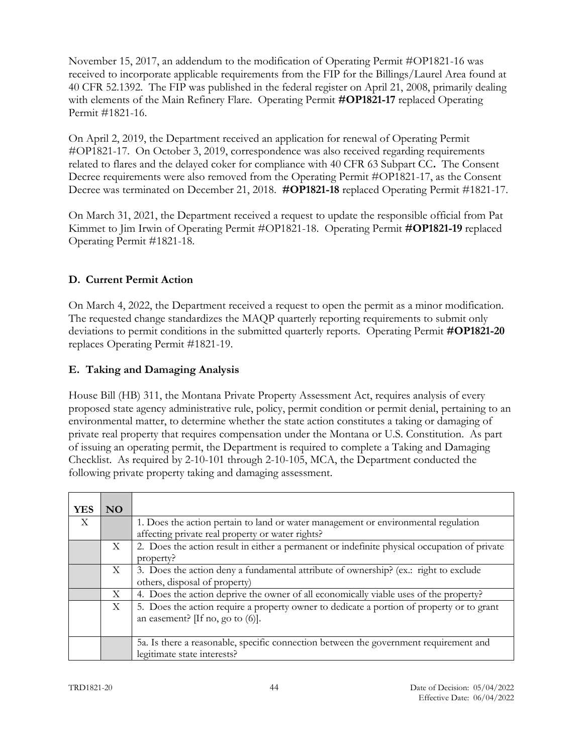November 15, 2017, an addendum to the modification of Operating Permit #OP1821-16 was received to incorporate applicable requirements from the FIP for the Billings/Laurel Area found at 40 CFR 52.1392. The FIP was published in the federal register on April 21, 2008, primarily dealing with elements of the Main Refinery Flare. Operating Permit **#OP1821-17** replaced Operating Permit #1821-16.

On April 2, 2019, the Department received an application for renewal of Operating Permit #OP1821-17.On October 3, 2019, correspondence was also received regarding requirements related to flares and the delayed coker for compliance with 40 CFR 63 Subpart CC**.** The Consent Decree requirements were also removed from the Operating Permit #OP1821-17, as the Consent Decree was terminated on December 21, 2018. **#OP1821-18** replaced Operating Permit #1821-17.

On March 31, 2021, the Department received a request to update the responsible official from Pat Kimmet to Jim Irwin of Operating Permit #OP1821-18. Operating Permit **#OP1821-19** replaced Operating Permit #1821-18.

# <span id="page-43-0"></span>**D. Current Permit Action**

On March 4, 2022, the Department received a request to open the permit as a minor modification. The requested change standardizes the MAQP quarterly reporting requirements to submit only deviations to permit conditions in the submitted quarterly reports. Operating Permit **#OP1821-20** replaces Operating Permit #1821-19.

# <span id="page-43-1"></span>**E. Taking and Damaging Analysis**

House Bill (HB) 311, the Montana Private Property Assessment Act, requires analysis of every proposed state agency administrative rule, policy, permit condition or permit denial, pertaining to an environmental matter, to determine whether the state action constitutes a taking or damaging of private real property that requires compensation under the Montana or U.S. Constitution. As part of issuing an operating permit, the Department is required to complete a Taking and Damaging Checklist. As required by 2-10-101 through 2-10-105, MCA, the Department conducted the following private property taking and damaging assessment.

| <b>YES</b>                | NO. |                                                                                              |
|---------------------------|-----|----------------------------------------------------------------------------------------------|
| $\boldsymbol{\mathrm{X}}$ |     | 1. Does the action pertain to land or water management or environmental regulation           |
|                           |     | affecting private real property or water rights?                                             |
|                           | X   | 2. Does the action result in either a permanent or indefinite physical occupation of private |
|                           |     | property?                                                                                    |
|                           | X   | 3. Does the action deny a fundamental attribute of ownership? (ex.: right to exclude         |
|                           |     | others, disposal of property)                                                                |
|                           | X   | 4. Does the action deprive the owner of all economically viable uses of the property?        |
|                           | X   | 5. Does the action require a property owner to dedicate a portion of property or to grant    |
|                           |     | an easement? [If no, go to $(6)$ ].                                                          |
|                           |     |                                                                                              |
|                           |     | 5a. Is there a reasonable, specific connection between the government requirement and        |
|                           |     | legitimate state interests?                                                                  |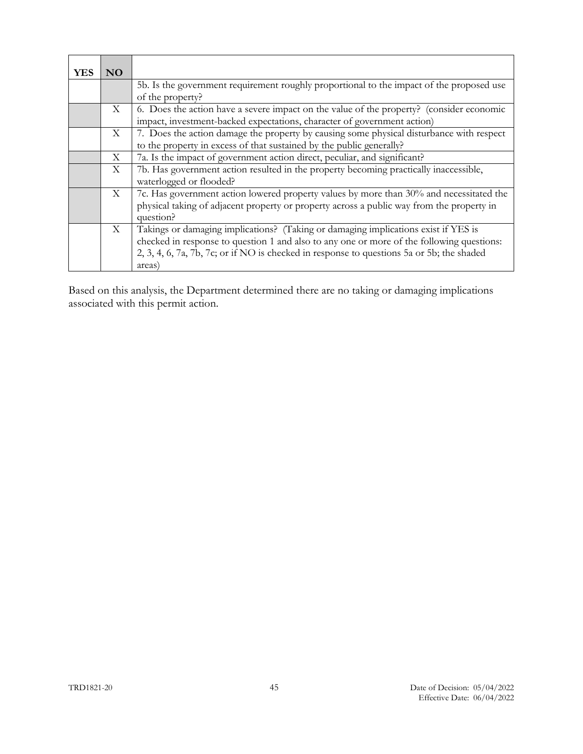| YES | NO.          |                                                                                           |
|-----|--------------|-------------------------------------------------------------------------------------------|
|     |              | 5b. Is the government requirement roughly proportional to the impact of the proposed use  |
|     |              | of the property?                                                                          |
|     | X            | 6. Does the action have a severe impact on the value of the property? (consider economic  |
|     |              | impact, investment-backed expectations, character of government action)                   |
|     | $\mathbf{X}$ | 7. Does the action damage the property by causing some physical disturbance with respect  |
|     |              | to the property in excess of that sustained by the public generally?                      |
|     | X            | 7a. Is the impact of government action direct, peculiar, and significant?                 |
|     | X            | 7b. Has government action resulted in the property becoming practically inaccessible,     |
|     |              | waterlogged or flooded?                                                                   |
|     | X            | 7c. Has government action lowered property values by more than 30% and necessitated the   |
|     |              | physical taking of adjacent property or property across a public way from the property in |
|     |              | question?                                                                                 |
|     | $\mathbf{X}$ | Takings or damaging implications? (Taking or damaging implications exist if YES is        |
|     |              | checked in response to question 1 and also to any one or more of the following questions: |
|     |              | 2, 3, 4, 6, 7a, 7b, 7c; or if NO is checked in response to questions 5a or 5b; the shaded |
|     |              | areas)                                                                                    |

Based on this analysis, the Department determined there are no taking or damaging implications associated with this permit action.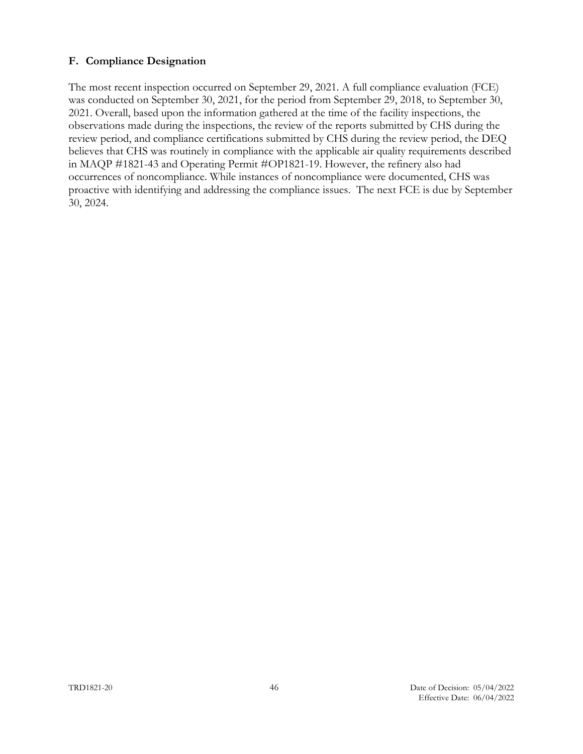#### <span id="page-45-0"></span>**F. Compliance Designation**

The most recent inspection occurred on September 29, 2021. A full compliance evaluation (FCE) was conducted on September 30, 2021, for the period from September 29, 2018, to September 30, 2021. Overall, based upon the information gathered at the time of the facility inspections, the observations made during the inspections, the review of the reports submitted by CHS during the review period, and compliance certifications submitted by CHS during the review period, the DEQ believes that CHS was routinely in compliance with the applicable air quality requirements described in MAQP #1821-43 and Operating Permit #OP1821-19. However, the refinery also had occurrences of noncompliance. While instances of noncompliance were documented, CHS was proactive with identifying and addressing the compliance issues. The next FCE is due by September 30, 2024.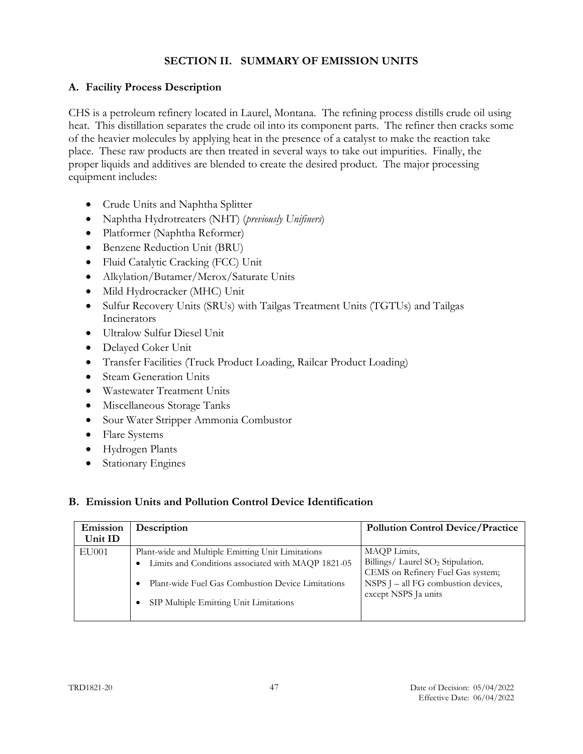# <span id="page-46-0"></span>**SECTION II. SUMMARY OF EMISSION UNITS**

## <span id="page-46-1"></span>**A. Facility Process Description**

CHS is a petroleum refinery located in Laurel, Montana. The refining process distills crude oil using heat. This distillation separates the crude oil into its component parts. The refiner then cracks some of the heavier molecules by applying heat in the presence of a catalyst to make the reaction take place. These raw products are then treated in several ways to take out impurities. Finally, the proper liquids and additives are blended to create the desired product. The major processing equipment includes:

- Crude Units and Naphtha Splitter
- Naphtha Hydrotreaters (NHT) (*previously Unifiners*)
- Platformer (Naphtha Reformer)
- Benzene Reduction Unit (BRU)
- Fluid Catalytic Cracking (FCC) Unit
- Alkylation/Butamer/Merox/Saturate Units
- Mild Hydrocracker (MHC) Unit
- Sulfur Recovery Units (SRUs) with Tailgas Treatment Units (TGTUs) and Tailgas Incinerators
- Ultralow Sulfur Diesel Unit
- Delayed Coker Unit
- Transfer Facilities (Truck Product Loading, Railcar Product Loading)
- Steam Generation Units
- Wastewater Treatment Units
- Miscellaneous Storage Tanks
- Sour Water Stripper Ammonia Combustor
- Flare Systems
- Hydrogen Plants
- Stationary Engines

#### <span id="page-46-2"></span>**B. Emission Units and Pollution Control Device Identification**

| Emission<br>Unit ID | Description                                        | <b>Pollution Control Device/Practice</b>                                           |
|---------------------|----------------------------------------------------|------------------------------------------------------------------------------------|
| EU001               | Plant-wide and Multiple Emitting Unit Limitations  | MAQP Limits,                                                                       |
|                     | Limits and Conditions associated with MAQP 1821-05 | Billings/ Laurel SO <sub>2</sub> Stipulation.<br>CEMS on Refinery Fuel Gas system; |
|                     | Plant-wide Fuel Gas Combustion Device Limitations  | NSPS J - all FG combustion devices,<br>except NSPS Ja units                        |
|                     | SIP Multiple Emitting Unit Limitations             |                                                                                    |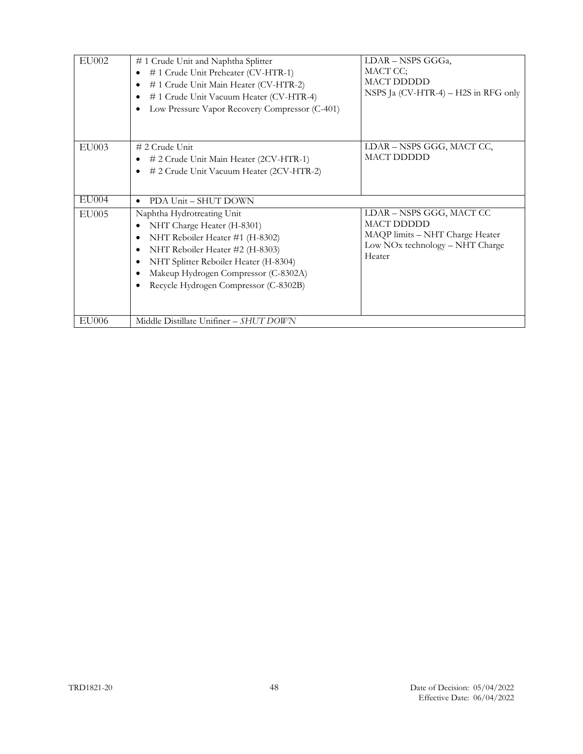| EU002        | #1 Crude Unit and Naphtha Splitter<br>#1 Crude Unit Preheater (CV-HTR-1)<br>#1 Crude Unit Main Heater (CV-HTR-2)<br>٠<br>#1 Crude Unit Vacuum Heater (CV-HTR-4)<br>Low Pressure Vapor Recovery Compressor (C-401)                                                                  | LDAR - NSPS GGGa,<br>MACT CC;<br><b>MACT DDDDD</b><br>NSPS Ja (CV-HTR-4) - H2S in RFG only                                    |  |  |  |
|--------------|------------------------------------------------------------------------------------------------------------------------------------------------------------------------------------------------------------------------------------------------------------------------------------|-------------------------------------------------------------------------------------------------------------------------------|--|--|--|
| EU003        | $# 2$ Crude Unit<br># 2 Crude Unit Main Heater (2CV-HTR-1)<br># 2 Crude Unit Vacuum Heater (2CV-HTR-2)<br>$\bullet$                                                                                                                                                                | LDAR - NSPS GGG, MACT CC,<br><b>MACT DDDDD</b>                                                                                |  |  |  |
| EU004        | PDA Unit - SHUT DOWN<br>$\bullet$                                                                                                                                                                                                                                                  |                                                                                                                               |  |  |  |
| <b>EU005</b> | Naphtha Hydrotreating Unit<br>NHT Charge Heater (H-8301)<br>NHT Reboiler Heater #1 (H-8302)<br>NHT Reboiler Heater #2 (H-8303)<br>$\bullet$<br>NHT Splitter Reboiler Heater (H-8304)<br>$\bullet$<br>Makeup Hydrogen Compressor (C-8302A)<br>Recycle Hydrogen Compressor (C-8302B) | LDAR - NSPS GGG, MACT CC<br><b>MACT DDDDD</b><br>MAQP limits - NHT Charge Heater<br>Low NOx technology - NHT Charge<br>Heater |  |  |  |
| EU006        | Middle Distillate Unifiner - SHUT DOWN                                                                                                                                                                                                                                             |                                                                                                                               |  |  |  |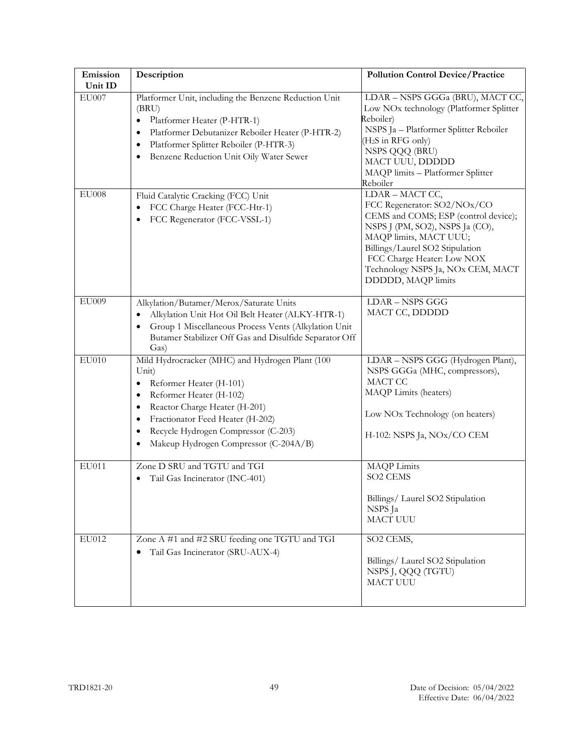| Emission<br>Unit ID | Description                                                                                                                                                                                                                                                                                                  | <b>Pollution Control Device/Practice</b>                                                                                                                                                                                                                                        |
|---------------------|--------------------------------------------------------------------------------------------------------------------------------------------------------------------------------------------------------------------------------------------------------------------------------------------------------------|---------------------------------------------------------------------------------------------------------------------------------------------------------------------------------------------------------------------------------------------------------------------------------|
| $\rm EU007$         | Platformer Unit, including the Benzene Reduction Unit<br>(BRU)<br>Platformer Heater (P-HTR-1)<br>$\bullet$<br>Platformer Debutanizer Reboiler Heater (P-HTR-2)<br>$\bullet$<br>Platformer Splitter Reboiler (P-HTR-3)<br>$\bullet$<br>Benzene Reduction Unit Oily Water Sewer<br>٠                           | LDAR - NSPS GGGa (BRU), MACT CC,<br>Low NOx technology (Platformer Splitter<br>Reboiler)<br>NSPS Ja - Platformer Splitter Reboiler<br>(H <sub>2</sub> S in RFG only)<br>NSPS QQQ (BRU)<br>MACT UUU, DDDDD<br>MAQP limits - Platformer Splitter<br>Reboiler                      |
| <b>EU008</b>        | Fluid Catalytic Cracking (FCC) Unit<br>FCC Charge Heater (FCC-Htr-1)<br>FCC Regenerator (FCC-VSSL-1)                                                                                                                                                                                                         | LDAR - MACT CC,<br>FCC Regenerator: SO2/NOx/CO<br>CEMS and COMS; ESP (control device);<br>NSPS J (PM, SO2), NSPS Ja (CO),<br>MAQP limits, MACT UUU;<br>Billings/Laurel SO2 Stipulation<br>FCC Charge Heater: Low NOX<br>Technology NSPS Ja, NOx CEM, MACT<br>DDDDD, MAQP limits |
| <b>EU009</b>        | Alkylation/Butamer/Merox/Saturate Units<br>Alkylation Unit Hot Oil Belt Heater (ALKY-HTR-1)<br>$\bullet$<br>Group 1 Miscellaneous Process Vents (Alkylation Unit<br>$\bullet$<br>Butamer Stabilizer Off Gas and Disulfide Separator Off<br>Gas)                                                              | <b>LDAR-NSPS GGG</b><br>MACT CC, DDDDD                                                                                                                                                                                                                                          |
| <b>EU010</b>        | Mild Hydrocracker (MHC) and Hydrogen Plant (100<br>Unit)<br>Reformer Heater (H-101)<br>$\bullet$<br>Reformer Heater (H-102)<br>٠<br>Reactor Charge Heater (H-201)<br>٠<br>Fractionator Feed Heater (H-202)<br>٠<br>Recycle Hydrogen Compressor (C-203)<br>$\bullet$<br>Makeup Hydrogen Compressor (C-204A/B) | LDAR - NSPS GGG (Hydrogen Plant),<br>NSPS GGGa (MHC, compressors),<br>MACT CC<br>MAQP Limits (heaters)<br>Low NOx Technology (on heaters)<br>H-102: NSPS Ja, NOx/CO CEM                                                                                                         |
| EU011               | Zone D SRU and TGTU and TGI<br>Tail Gas Incinerator (INC-401)                                                                                                                                                                                                                                                | <b>MAQP</b> Limits<br><b>SO2 CEMS</b><br>Billings/ Laurel SO2 Stipulation<br>NSPS Ja<br><b>MACT UUU</b>                                                                                                                                                                         |
| EU012               | Zone A #1 and #2 SRU feeding one TGTU and TGI<br>Tail Gas Incinerator (SRU-AUX-4)                                                                                                                                                                                                                            | SO2 CEMS,<br>Billings/ Laurel SO2 Stipulation<br>NSPS J, QQQ (TGTU)<br><b>MACT UUU</b>                                                                                                                                                                                          |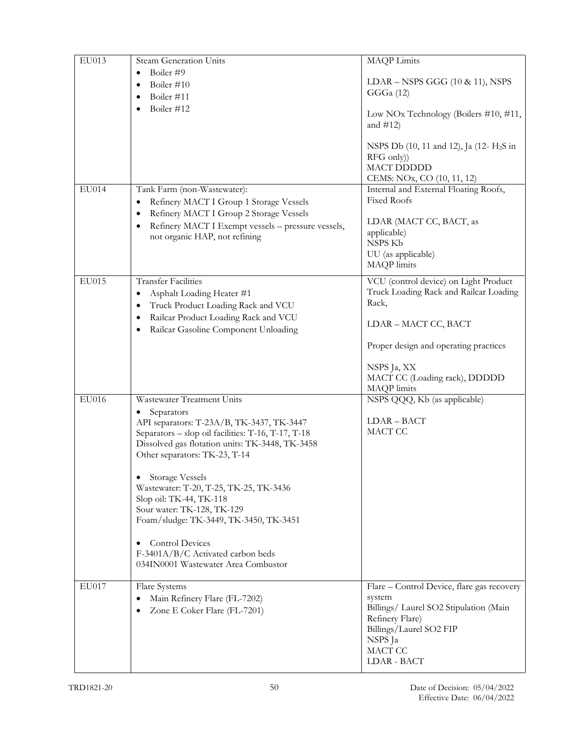| EU013 | Steam Generation Units                                            | <b>MAQP</b> Limits                                    |
|-------|-------------------------------------------------------------------|-------------------------------------------------------|
|       | Boiler #9<br>$\bullet$                                            |                                                       |
|       | Boiler #10<br>٠                                                   | $LDAR - NSPS GGG (10 & 11), NSPS$                     |
|       | Boiler #11<br>٠                                                   | GGGa (12)                                             |
|       | Boiler #12                                                        |                                                       |
|       |                                                                   | Low NOx Technology (Boilers #10, #11,<br>and $\#12$ ) |
|       |                                                                   |                                                       |
|       |                                                                   | NSPS Db (10, 11 and 12), Ja (12- H <sub>2</sub> S in  |
|       |                                                                   | RFG only)                                             |
|       |                                                                   | <b>MACT DDDDD</b>                                     |
|       |                                                                   | CEMS: NOx, CO (10, 11, 12)                            |
| EU014 | Tank Farm (non-Wastewater):                                       | Internal and External Floating Roofs,                 |
|       | Refinery MACT I Group 1 Storage Vessels<br>٠                      | Fixed Roofs                                           |
|       | Refinery MACT I Group 2 Storage Vessels<br>٠                      |                                                       |
|       | Refinery MACT I Exempt vessels - pressure vessels,<br>٠           | LDAR (MACT CC, BACT, as                               |
|       | not organic HAP, not refining                                     | applicable)                                           |
|       |                                                                   | NSPS Kb                                               |
|       |                                                                   | UU (as applicable)<br>MAQP limits                     |
|       |                                                                   |                                                       |
| EU015 | <b>Transfer Facilities</b>                                        | VCU (control device) on Light Product                 |
|       | Asphalt Loading Heater #1<br>$\bullet$                            | Truck Loading Rack and Railcar Loading                |
|       | Truck Product Loading Rack and VCU<br>٠                           | Rack,                                                 |
|       | Railcar Product Loading Rack and VCU<br>٠                         |                                                       |
|       | Railcar Gasoline Component Unloading<br>٠                         | LDAR - MACT CC, BACT                                  |
|       |                                                                   | Proper design and operating practices                 |
|       |                                                                   | NSPS Ja, XX                                           |
|       |                                                                   | MACT CC (Loading rack), DDDDD                         |
|       |                                                                   | MAQP limits                                           |
| EU016 | Wastewater Treatment Units                                        | NSPS QQQ, Kb (as applicable)                          |
|       | Separators                                                        |                                                       |
|       | API separators: T-23A/B, TK-3437, TK-3447                         | LDAR-BACT                                             |
|       | Separators - slop oil facilities: T-16, T-17, T-18                | MACT CC                                               |
|       | Dissolved gas flotation units: TK-3448, TK-3458                   |                                                       |
|       | Other separators: TK-23, T-14                                     |                                                       |
|       |                                                                   |                                                       |
|       | <b>Storage Vessels</b>                                            |                                                       |
|       | Wastewater: T-20, T-25, TK-25, TK-3436<br>Slop oil: TK-44, TK-118 |                                                       |
|       | Sour water: TK-128, TK-129                                        |                                                       |
|       | Foam/sludge: TK-3449, TK-3450, TK-3451                            |                                                       |
|       |                                                                   |                                                       |
|       | <b>Control Devices</b><br>٠                                       |                                                       |
|       | F-3401A/B/C Activated carbon beds                                 |                                                       |
|       | 034IN0001 Wastewater Area Combustor                               |                                                       |
|       |                                                                   |                                                       |
| EU017 | Flare Systems                                                     | Flare - Control Device, flare gas recovery            |
|       | Main Refinery Flare (FL-7202)                                     | system                                                |
|       | Zone E Coker Flare (FL-7201)<br>٠                                 | Billings/ Laurel SO2 Stipulation (Main                |
|       |                                                                   | Refinery Flare)                                       |
|       |                                                                   | Billings/Laurel SO2 FIP                               |
|       |                                                                   | NSPS Ja<br>MACT CC                                    |
|       |                                                                   | LDAR - BACT                                           |
|       |                                                                   |                                                       |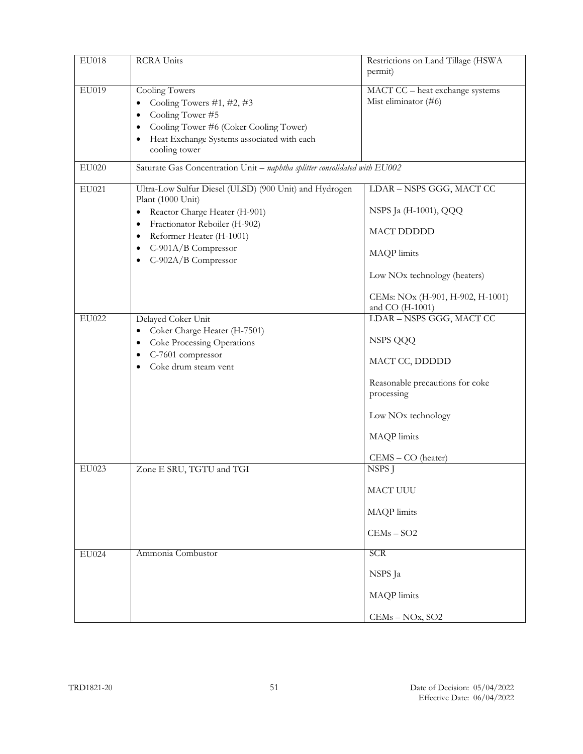| <b>EU018</b> | RCRA Units                                                                                                                                                                                                                                               | Restrictions on Land Tillage (HSWA<br>permit)                                                                                                                                  |
|--------------|----------------------------------------------------------------------------------------------------------------------------------------------------------------------------------------------------------------------------------------------------------|--------------------------------------------------------------------------------------------------------------------------------------------------------------------------------|
| EU019        | Cooling Towers<br>Cooling Towers #1, #2, #3<br>٠<br>Cooling Tower #5<br>٠<br>Cooling Tower #6 (Coker Cooling Tower)<br>٠<br>Heat Exchange Systems associated with each<br>٠<br>cooling tower                                                             | MACT CC - heat exchange systems<br>Mist eliminator (#6)                                                                                                                        |
| EU020        | Saturate Gas Concentration Unit - naphtha splitter consolidated with EU002                                                                                                                                                                               |                                                                                                                                                                                |
| EU021        | Ultra-Low Sulfur Diesel (ULSD) (900 Unit) and Hydrogen<br>Plant (1000 Unit)<br>Reactor Charge Heater (H-901)<br>$\bullet$<br>Fractionator Reboiler (H-902)<br>٠<br>Reformer Heater (H-1001)<br>٠<br>C-901A/B Compressor<br>٠<br>C-902A/B Compressor<br>٠ | LDAR - NSPS GGG, MACT CC<br>NSPS Ja (H-1001), QQQ<br>MACT DDDDD                                                                                                                |
|              |                                                                                                                                                                                                                                                          | MAQP limits<br>Low NO <sub>x</sub> technology (heaters)                                                                                                                        |
|              |                                                                                                                                                                                                                                                          | CEMs: NOx (H-901, H-902, H-1001)<br>and CO (H-1001)                                                                                                                            |
| EU022        | Delayed Coker Unit<br>Coker Charge Heater (H-7501)<br>٠<br>Coke Processing Operations<br>٠<br>C-7601 compressor<br>٠<br>Coke drum steam vent                                                                                                             | LDAR - NSPS GGG, MACT CC<br>NSPS QQQ<br>MACT CC, DDDDD<br>Reasonable precautions for coke<br>processing<br>Low NO <sub>x</sub> technology<br>MAQP limits<br>CEMS - CO (heater) |
| EU023        | Zone E SRU, TGTU and TGI                                                                                                                                                                                                                                 | NSPS J<br>MACT UUU<br>MAQP limits<br>$CEMs - SO2$                                                                                                                              |
| <b>EU024</b> | Ammonia Combustor                                                                                                                                                                                                                                        | SCR<br>NSPS Ja<br>MAQP limits<br>CEMs - NOx, SO2                                                                                                                               |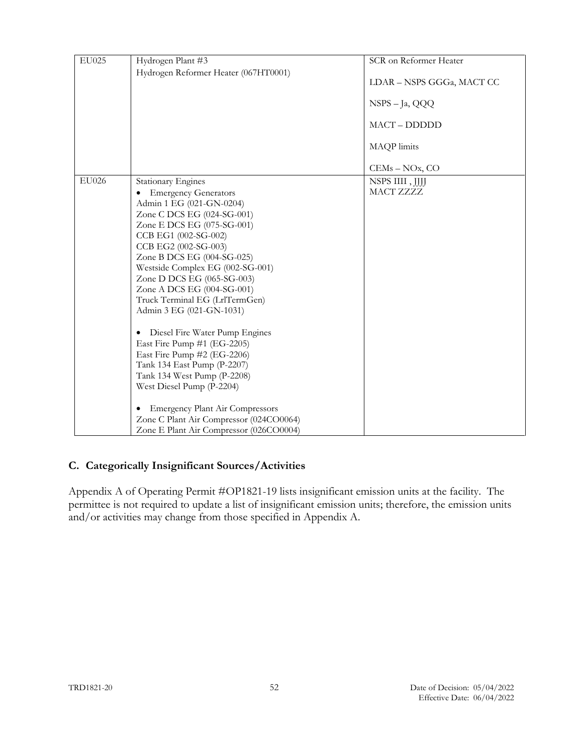| EU025 | Hydrogen Plant #3                           | SCR on Reformer Heater    |
|-------|---------------------------------------------|---------------------------|
|       | Hydrogen Reformer Heater (067HT0001)        |                           |
|       |                                             | LDAR – NSPS GGGa, MACT CC |
|       |                                             |                           |
|       |                                             | NSPS - Ja, QQQ            |
|       |                                             | MACT-DDDDD                |
|       |                                             |                           |
|       |                                             | MAQP limits               |
|       |                                             | CEMs - NOx, CO            |
| EU026 | <b>Stationary Engines</b>                   | NSPS IIII, JJJJ           |
|       | <b>Emergency Generators</b>                 | MACT ZZZZ                 |
|       | Admin 1 EG (021-GN-0204)                    |                           |
|       | Zone C DCS EG (024-SG-001)                  |                           |
|       | Zone E DCS EG (075-SG-001)                  |                           |
|       | CCB EG1 (002-SG-002)                        |                           |
|       | CCB EG2 (002-SG-003)                        |                           |
|       | Zone B DCS EG (004-SG-025)                  |                           |
|       | Westside Complex EG (002-SG-001)            |                           |
|       | Zone D DCS EG (065-SG-003)                  |                           |
|       | Zone A DCS EG (004-SG-001)                  |                           |
|       | Truck Terminal EG (LrlTermGen)              |                           |
|       | Admin 3 EG (021-GN-1031)                    |                           |
|       | Diesel Fire Water Pump Engines<br>٠         |                           |
|       | East Fire Pump #1 (EG-2205)                 |                           |
|       | East Fire Pump #2 (EG-2206)                 |                           |
|       | Tank 134 East Pump (P-2207)                 |                           |
|       | Tank 134 West Pump (P-2208)                 |                           |
|       | West Diesel Pump (P-2204)                   |                           |
|       | <b>Emergency Plant Air Compressors</b><br>٠ |                           |
|       | Zone C Plant Air Compressor (024CO0064)     |                           |
|       | Zone E Plant Air Compressor (026CO0004)     |                           |

#### <span id="page-51-0"></span>**C. Categorically Insignificant Sources/Activities**

Appendix A of Operating Permit #OP1821-19 lists insignificant emission units at the facility. The permittee is not required to update a list of insignificant emission units; therefore, the emission units and/or activities may change from those specified in Appendix A.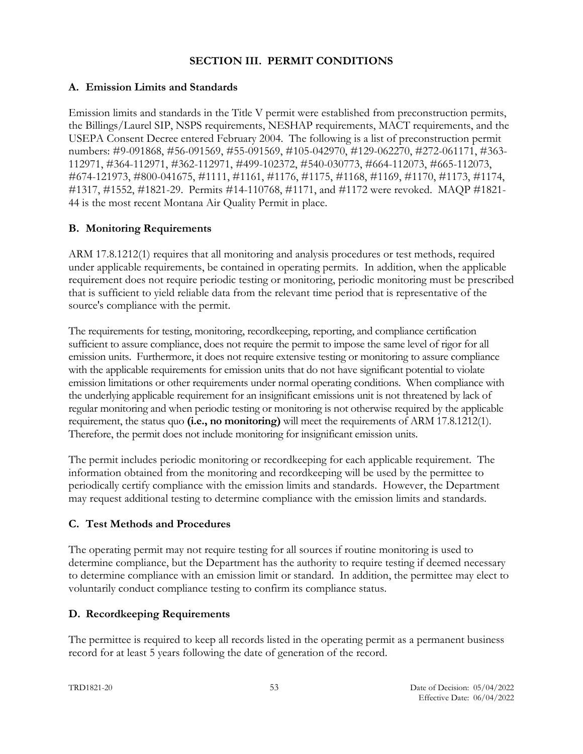#### **SECTION III. PERMIT CONDITIONS**

## <span id="page-52-1"></span><span id="page-52-0"></span>**A. Emission Limits and Standards**

Emission limits and standards in the Title V permit were established from preconstruction permits, the Billings/Laurel SIP, NSPS requirements, NESHAP requirements, MACT requirements, and the USEPA Consent Decree entered February 2004. The following is a list of preconstruction permit numbers: #9-091868, #56-091569, #55-091569, #105-042970, #129-062270, #272-061171, #363- 112971, #364-112971, #362-112971, #499-102372, #540-030773, #664-112073, #665-112073, #674-121973, #800-041675, #1111, #1161, #1176, #1175, #1168, #1169, #1170, #1173, #1174, #1317, #1552, #1821-29. Permits #14-110768, #1171, and #1172 were revoked. MAQP #1821- 44 is the most recent Montana Air Quality Permit in place.

# <span id="page-52-2"></span>**B. Monitoring Requirements**

ARM 17.8.1212(1) requires that all monitoring and analysis procedures or test methods, required under applicable requirements, be contained in operating permits. In addition, when the applicable requirement does not require periodic testing or monitoring, periodic monitoring must be prescribed that is sufficient to yield reliable data from the relevant time period that is representative of the source's compliance with the permit.

The requirements for testing, monitoring, recordkeeping, reporting, and compliance certification sufficient to assure compliance, does not require the permit to impose the same level of rigor for all emission units. Furthermore, it does not require extensive testing or monitoring to assure compliance with the applicable requirements for emission units that do not have significant potential to violate emission limitations or other requirements under normal operating conditions. When compliance with the underlying applicable requirement for an insignificant emissions unit is not threatened by lack of regular monitoring and when periodic testing or monitoring is not otherwise required by the applicable requirement, the status quo **(i.e., no monitoring)** will meet the requirements of ARM 17.8.1212(1). Therefore, the permit does not include monitoring for insignificant emission units.

The permit includes periodic monitoring or recordkeeping for each applicable requirement. The information obtained from the monitoring and recordkeeping will be used by the permittee to periodically certify compliance with the emission limits and standards. However, the Department may request additional testing to determine compliance with the emission limits and standards.

# <span id="page-52-3"></span>**C. Test Methods and Procedures**

The operating permit may not require testing for all sources if routine monitoring is used to determine compliance, but the Department has the authority to require testing if deemed necessary to determine compliance with an emission limit or standard. In addition, the permittee may elect to voluntarily conduct compliance testing to confirm its compliance status.

# <span id="page-52-4"></span>**D. Recordkeeping Requirements**

The permittee is required to keep all records listed in the operating permit as a permanent business record for at least 5 years following the date of generation of the record.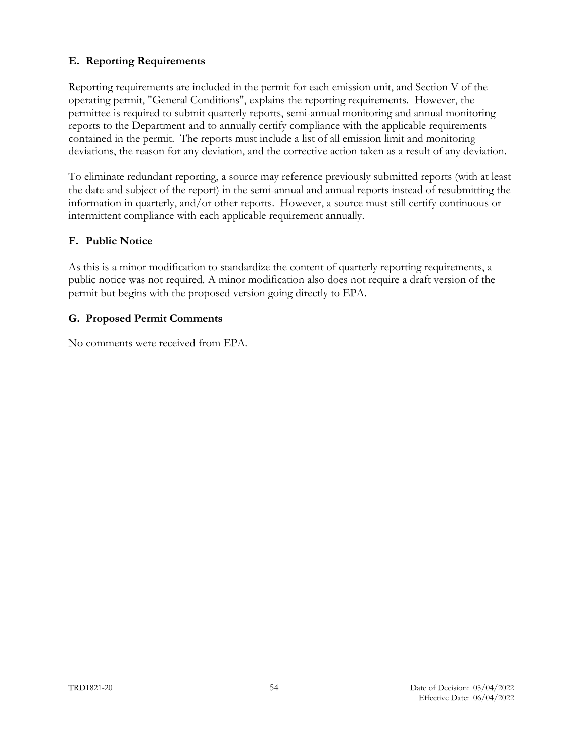### <span id="page-53-0"></span>**E. Reporting Requirements**

Reporting requirements are included in the permit for each emission unit, and Section V of the operating permit, "General Conditions", explains the reporting requirements. However, the permittee is required to submit quarterly reports, semi-annual monitoring and annual monitoring reports to the Department and to annually certify compliance with the applicable requirements contained in the permit. The reports must include a list of all emission limit and monitoring deviations, the reason for any deviation, and the corrective action taken as a result of any deviation.

To eliminate redundant reporting, a source may reference previously submitted reports (with at least the date and subject of the report) in the semi-annual and annual reports instead of resubmitting the information in quarterly, and/or other reports. However, a source must still certify continuous or intermittent compliance with each applicable requirement annually.

#### <span id="page-53-1"></span>**F. Public Notice**

As this is a minor modification to standardize the content of quarterly reporting requirements, a public notice was not required. A minor modification also does not require a draft version of the permit but begins with the proposed version going directly to EPA.

#### <span id="page-53-2"></span>**G. Proposed Permit Comments**

No comments were received from EPA.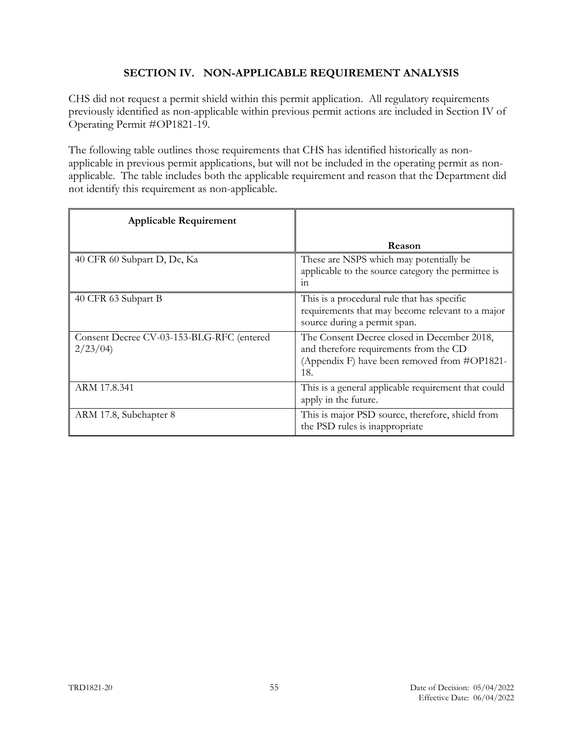# <span id="page-54-0"></span>**SECTION IV. NON-APPLICABLE REQUIREMENT ANALYSIS**

CHS did not request a permit shield within this permit application. All regulatory requirements previously identified as non-applicable within previous permit actions are included in Section IV of Operating Permit #OP1821-19.

The following table outlines those requirements that CHS has identified historically as nonapplicable in previous permit applications, but will not be included in the operating permit as nonapplicable. The table includes both the applicable requirement and reason that the Department did not identify this requirement as non-applicable.

| <b>Applicable Requirement</b>                        |                                                                                                                                              |
|------------------------------------------------------|----------------------------------------------------------------------------------------------------------------------------------------------|
|                                                      | Reason                                                                                                                                       |
| 40 CFR 60 Subpart D, Dc, Ka                          | These are NSPS which may potentially be<br>applicable to the source category the permittee is<br>111                                         |
| 40 CFR 63 Subpart B                                  | This is a procedural rule that has specific<br>requirements that may become relevant to a major<br>source during a permit span.              |
| Consent Decree CV-03-153-BLG-RFC (entered<br>2/23/04 | The Consent Decree closed in December 2018,<br>and therefore requirements from the CD<br>(Appendix F) have been removed from #OP1821-<br>18. |
| ARM 17.8.341                                         | This is a general applicable requirement that could<br>apply in the future.                                                                  |
| ARM 17.8, Subchapter 8                               | This is major PSD source, therefore, shield from<br>the PSD rules is inappropriate                                                           |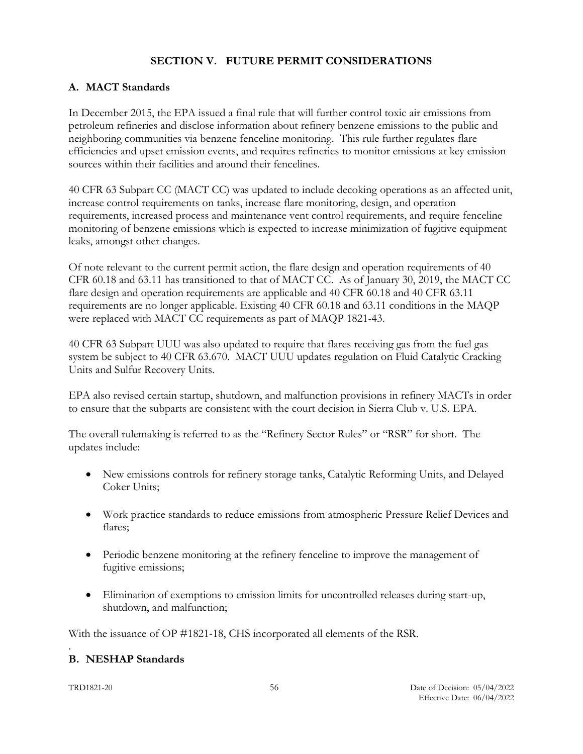## <span id="page-55-0"></span>**SECTION V. FUTURE PERMIT CONSIDERATIONS**

#### <span id="page-55-1"></span>**A. MACT Standards**

In December 2015, the EPA issued a final rule that will further control toxic air emissions from petroleum refineries and disclose information about refinery benzene emissions to the public and neighboring communities via benzene fenceline monitoring. This rule further regulates flare efficiencies and upset emission events, and requires refineries to monitor emissions at key emission sources within their facilities and around their fencelines.

40 CFR 63 Subpart CC (MACT CC) was updated to include decoking operations as an affected unit, increase control requirements on tanks, increase flare monitoring, design, and operation requirements, increased process and maintenance vent control requirements, and require fenceline monitoring of benzene emissions which is expected to increase minimization of fugitive equipment leaks, amongst other changes.

Of note relevant to the current permit action, the flare design and operation requirements of 40 CFR 60.18 and 63.11 has transitioned to that of MACT CC. As of January 30, 2019, the MACT CC flare design and operation requirements are applicable and 40 CFR 60.18 and 40 CFR 63.11 requirements are no longer applicable. Existing 40 CFR 60.18 and 63.11 conditions in the MAQP were replaced with MACT CC requirements as part of MAQP 1821-43.

40 CFR 63 Subpart UUU was also updated to require that flares receiving gas from the fuel gas system be subject to 40 CFR 63.670. MACT UUU updates regulation on Fluid Catalytic Cracking Units and Sulfur Recovery Units.

EPA also revised certain startup, shutdown, and malfunction provisions in refinery MACTs in order to ensure that the subparts are consistent with the court decision in Sierra Club v. U.S. EPA.

The overall rulemaking is referred to as the "Refinery Sector Rules" or "RSR" for short. The updates include:

- New emissions controls for refinery storage tanks, Catalytic Reforming Units, and Delayed Coker Units;
- Work practice standards to reduce emissions from atmospheric Pressure Relief Devices and flares;
- Periodic benzene monitoring at the refinery fenceline to improve the management of fugitive emissions;
- Elimination of exemptions to emission limits for uncontrolled releases during start-up, shutdown, and malfunction;

With the issuance of OP #1821-18, CHS incorporated all elements of the RSR.

#### <span id="page-55-2"></span>. **B. NESHAP Standards**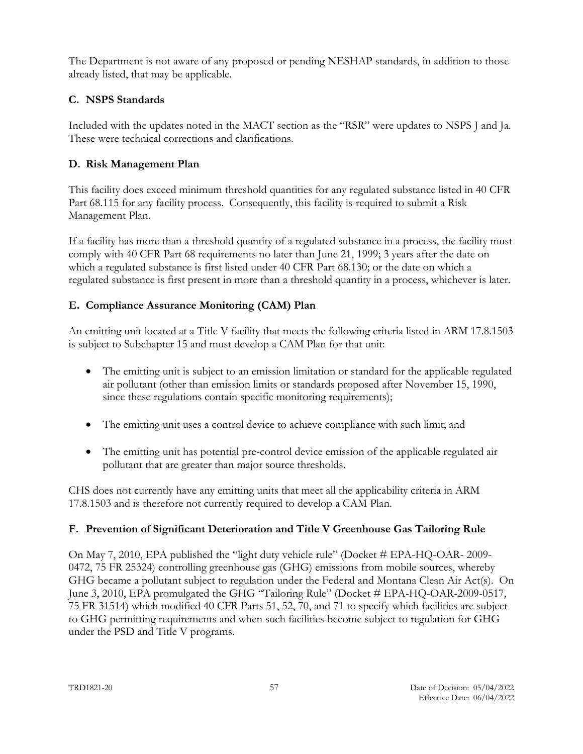The Department is not aware of any proposed or pending NESHAP standards, in addition to those already listed, that may be applicable.

# <span id="page-56-0"></span>**C. NSPS Standards**

Included with the updates noted in the MACT section as the "RSR" were updates to NSPS J and Ja. These were technical corrections and clarifications.

# <span id="page-56-1"></span>**D. Risk Management Plan**

This facility does exceed minimum threshold quantities for any regulated substance listed in 40 CFR Part 68.115 for any facility process. Consequently, this facility is required to submit a Risk Management Plan.

If a facility has more than a threshold quantity of a regulated substance in a process, the facility must comply with 40 CFR Part 68 requirements no later than June 21, 1999; 3 years after the date on which a regulated substance is first listed under 40 CFR Part 68.130; or the date on which a regulated substance is first present in more than a threshold quantity in a process, whichever is later.

# <span id="page-56-2"></span>**E. Compliance Assurance Monitoring (CAM) Plan**

An emitting unit located at a Title V facility that meets the following criteria listed in ARM 17.8.1503 is subject to Subchapter 15 and must develop a CAM Plan for that unit:

- The emitting unit is subject to an emission limitation or standard for the applicable regulated air pollutant (other than emission limits or standards proposed after November 15, 1990, since these regulations contain specific monitoring requirements);
- The emitting unit uses a control device to achieve compliance with such limit; and
- The emitting unit has potential pre-control device emission of the applicable regulated air pollutant that are greater than major source thresholds.

CHS does not currently have any emitting units that meet all the applicability criteria in ARM 17.8.1503 and is therefore not currently required to develop a CAM Plan.

# <span id="page-56-3"></span>**F. Prevention of Significant Deterioration and Title V Greenhouse Gas Tailoring Rule**

On May 7, 2010, EPA published the "light duty vehicle rule" (Docket # EPA-HQ-OAR- 2009- 0472, 75 FR 25324) controlling greenhouse gas (GHG) emissions from mobile sources, whereby GHG became a pollutant subject to regulation under the Federal and Montana Clean Air Act(s). On June 3, 2010, EPA promulgated the GHG "Tailoring Rule" (Docket # EPA-HQ-OAR-2009-0517, 75 FR 31514) which modified 40 CFR Parts 51, 52, 70, and 71 to specify which facilities are subject to GHG permitting requirements and when such facilities become subject to regulation for GHG under the PSD and Title V programs.